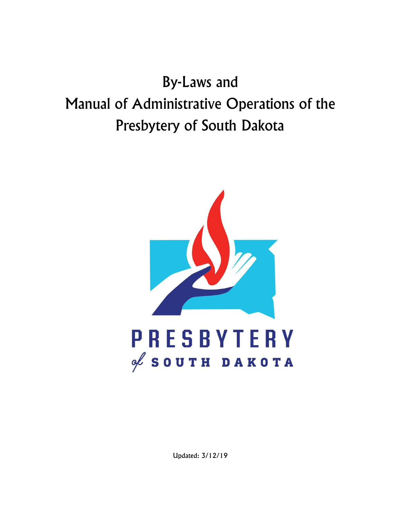# By-Laws and Manual of Administrative Operations of the Presbytery of South Dakota



Updated: 3/12/19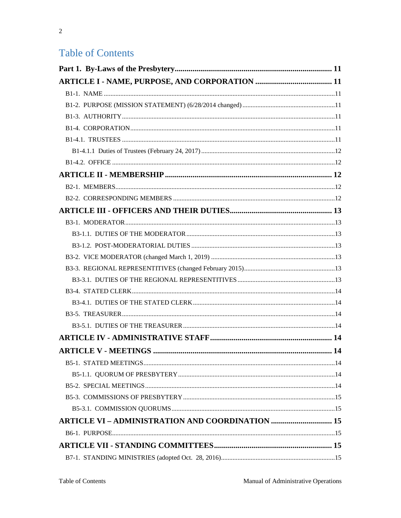## **Table of Contents**

| <b>ARTICLE VI - ADMINISTRATION AND COORDINATION  15</b> |  |
|---------------------------------------------------------|--|
|                                                         |  |
|                                                         |  |
|                                                         |  |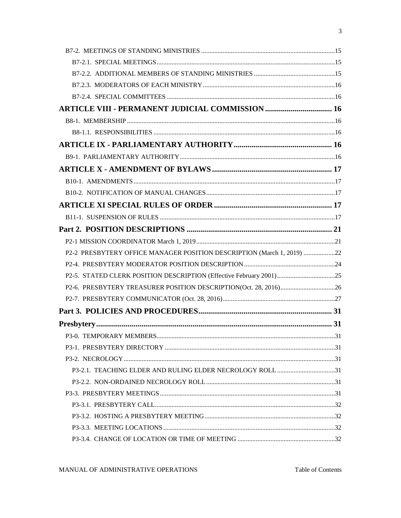| <b>ARTICLE VIII - PERMANENT JUDICIAL COMMISSION  16</b>                |  |
|------------------------------------------------------------------------|--|
|                                                                        |  |
|                                                                        |  |
|                                                                        |  |
|                                                                        |  |
|                                                                        |  |
|                                                                        |  |
|                                                                        |  |
|                                                                        |  |
|                                                                        |  |
|                                                                        |  |
|                                                                        |  |
| P2-2 PRESBYTERY OFFICE MANAGER POSITION DESCRIPTION (March 1, 2019) 22 |  |
|                                                                        |  |
|                                                                        |  |
|                                                                        |  |
|                                                                        |  |
|                                                                        |  |
|                                                                        |  |
|                                                                        |  |
|                                                                        |  |
|                                                                        |  |
| P3-2.1. TEACHING ELDER AND RULING ELDER NECROLOGY ROLL 31              |  |
|                                                                        |  |
|                                                                        |  |
|                                                                        |  |
|                                                                        |  |
|                                                                        |  |
|                                                                        |  |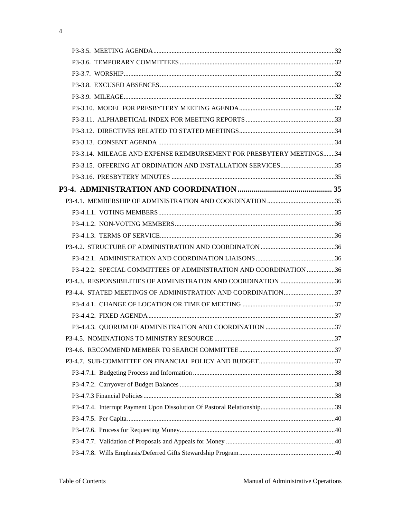| P3-3.14. MILEAGE AND EXPENSE REIMBURSEMENT FOR PRESBYTERY MEETINGS34 |  |
|----------------------------------------------------------------------|--|
|                                                                      |  |
|                                                                      |  |
|                                                                      |  |
|                                                                      |  |
|                                                                      |  |
|                                                                      |  |
|                                                                      |  |
|                                                                      |  |
|                                                                      |  |
| P3-4.2.2. SPECIAL COMMITTEES OF ADMINISTRATION AND COORDINATION 36   |  |
| P3-4.3. RESPONSIBILITIES OF ADMINISTRATON AND COORDINATION 36        |  |
|                                                                      |  |
|                                                                      |  |
|                                                                      |  |
|                                                                      |  |
|                                                                      |  |
|                                                                      |  |
|                                                                      |  |
|                                                                      |  |
|                                                                      |  |
|                                                                      |  |
|                                                                      |  |
|                                                                      |  |
|                                                                      |  |
|                                                                      |  |
|                                                                      |  |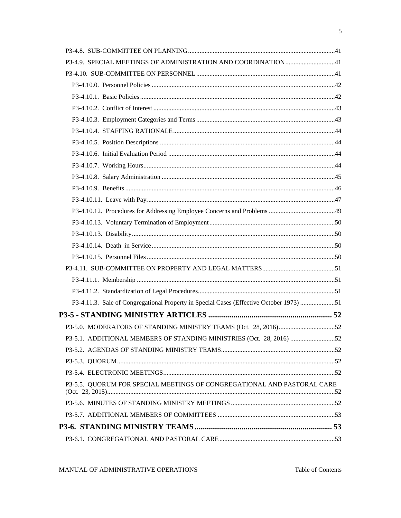| P3-4.11.3. Sale of Congregational Property in Special Cases (Effective October 1973) 51 |  |
|-----------------------------------------------------------------------------------------|--|
|                                                                                         |  |
|                                                                                         |  |
| P3-5.1. ADDITIONAL MEMBERS OF STANDING MINISTRIES (Oct. 28, 2016) 52                    |  |
|                                                                                         |  |
|                                                                                         |  |
|                                                                                         |  |
| P3-5.5. QUORUM FOR SPECIAL MEETINGS OF CONGREGATIONAL AND PASTORAL CARE                 |  |
|                                                                                         |  |
|                                                                                         |  |
|                                                                                         |  |
|                                                                                         |  |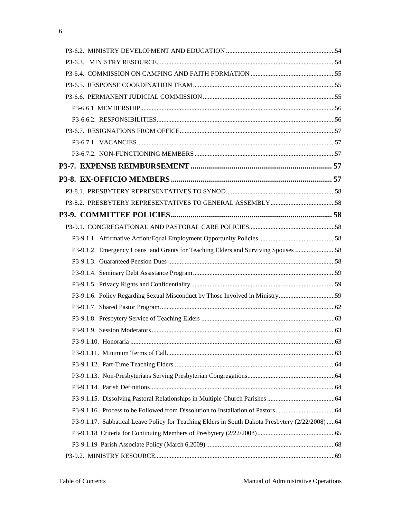| P3-9.1.2. Emergency Loans and Grants for Teaching Elders and Surviving Spouses 58               |  |
|-------------------------------------------------------------------------------------------------|--|
|                                                                                                 |  |
|                                                                                                 |  |
|                                                                                                 |  |
| P3-9.1.6. Policy Regarding Sexual Misconduct by Those Involved in Ministry59                    |  |
|                                                                                                 |  |
|                                                                                                 |  |
|                                                                                                 |  |
|                                                                                                 |  |
|                                                                                                 |  |
|                                                                                                 |  |
|                                                                                                 |  |
|                                                                                                 |  |
|                                                                                                 |  |
|                                                                                                 |  |
| P3-9.1.17. Sabbatical Leave Policy for Teaching Elders in South Dakota Presbytery (2/22/2008)64 |  |
|                                                                                                 |  |
|                                                                                                 |  |
|                                                                                                 |  |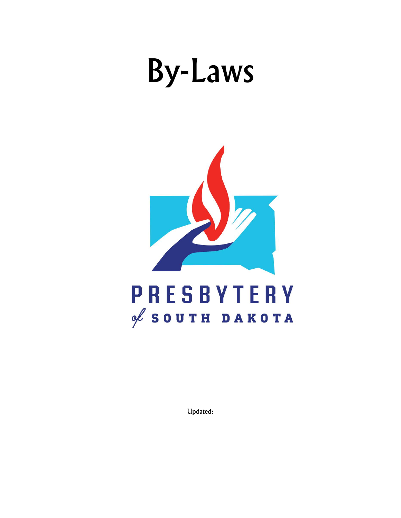# By-Laws



Updated: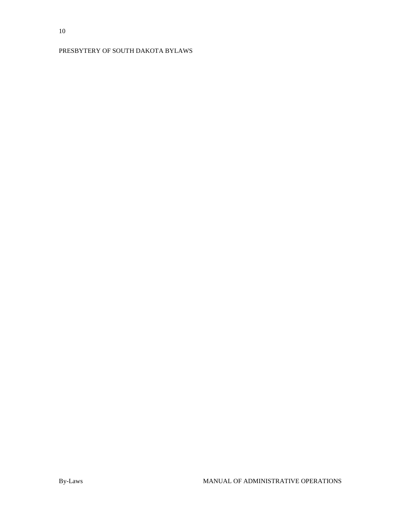## PRESBYTERY OF SOUTH DAKOTA BYLAWS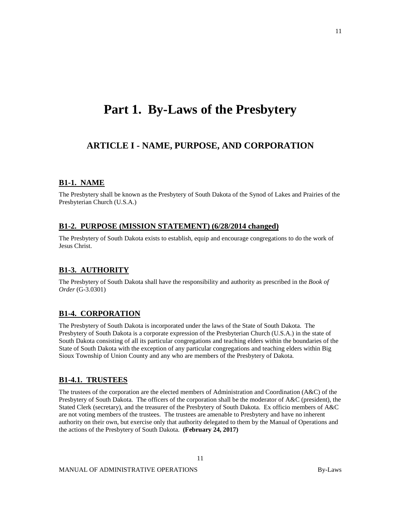## <span id="page-10-0"></span>**Part 1. By-Laws of the Presbytery**

## <span id="page-10-1"></span>**ARTICLE I - NAME, PURPOSE, AND CORPORATION**

#### <span id="page-10-2"></span>**B1-1. NAME**

<span id="page-10-3"></span>The Presbytery shall be known as the Presbytery of South Dakota of the Synod of Lakes and Prairies of the Presbyterian Church (U.S.A.)

#### **B1-2. PURPOSE (MISSION STATEMENT) (6/28/2014 changed)**

<span id="page-10-4"></span>The Presbytery of South Dakota exists to establish, equip and encourage congregations to do the work of Jesus Christ.

#### **B1-3. AUTHORITY**

<span id="page-10-5"></span>The Presbytery of South Dakota shall have the responsibility and authority as prescribed in the *Book of Order* (G-3.0301)

#### **B1-4. CORPORATION**

The Presbytery of South Dakota is incorporated under the laws of the State of South Dakota. The Presbytery of South Dakota is a corporate expression of the Presbyterian Church (U.S.A.) in the state of South Dakota consisting of all its particular congregations and teaching elders within the boundaries of the State of South Dakota with the exception of any particular congregations and teaching elders within Big Sioux Township of Union County and any who are members of the Presbytery of Dakota.

#### <span id="page-10-6"></span>**B1-4.1. TRUSTEES**

The trustees of the corporation are the elected members of Administration and Coordination (A&C) of the Presbytery of South Dakota. The officers of the corporation shall be the moderator of A&C (president), the Stated Clerk (secretary), and the treasurer of the Presbytery of South Dakota. Ex officio members of A&C are not voting members of the trustees. The trustees are amenable to Presbytery and have no inherent authority on their own, but exercise only that authority delegated to them by the Manual of Operations and the actions of the Presbytery of South Dakota. **(February 24, 2017)**

11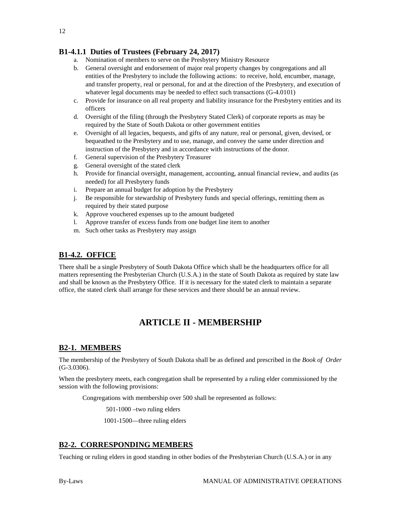## <span id="page-11-0"></span>**B1-4.1.1 Duties of Trustees (February 24, 2017)**

- a. Nomination of members to serve on the Presbytery Ministry Resource
- b. General oversight and endorsement of major real property changes by congregations and all entities of the Presbytery to include the following actions: to receive, hold, encumber, manage, and transfer property, real or personal, for and at the direction of the Presbytery, and execution of whatever legal documents may be needed to effect such transactions (G-4.0101)
- c. Provide for insurance on all real property and liability insurance for the Presbytery entities and its officers
- d. Oversight of the filing (through the Presbytery Stated Clerk) of corporate reports as may be required by the State of South Dakota or other government entities
- e. Oversight of all legacies, bequests, and gifts of any nature, real or personal, given, devised, or bequeathed to the Presbytery and to use, manage, and convey the same under direction and instruction of the Presbytery and in accordance with instructions of the donor.
- f. General supervision of the Presbytery Treasurer
- g. General oversight of the stated clerk
- h. Provide for financial oversight, management, accounting, annual financial review, and audits (as needed) for all Presbytery funds
- i. Prepare an annual budget for adoption by the Presbytery
- j. Be responsible for stewardship of Presbytery funds and special offerings, remitting them as required by their stated purpose
- k. Approve vouchered expenses up to the amount budgeted
- l. Approve transfer of excess funds from one budget line item to another
- m. Such other tasks as Presbytery may assign

## <span id="page-11-1"></span>**B1-4.2. OFFICE**

<span id="page-11-2"></span>There shall be a single Presbytery of South Dakota Office which shall be the headquarters office for all matters representing the Presbyterian Church (U.S.A.) in the state of South Dakota as required by state law and shall be known as the Presbytery Office. If it is necessary for the stated clerk to maintain a separate office, the stated clerk shall arrange for these services and there should be an annual review.

## **ARTICLE II - MEMBERSHIP**

## <span id="page-11-3"></span>**B2-1. MEMBERS**

The membership of the Presbytery of South Dakota shall be as defined and prescribed in the *Book of Order* (G-3.0306).

When the presbytery meets, each congregation shall be represented by a ruling elder commissioned by the session with the following provisions:

Congregations with membership over 500 shall be represented as follows:

501-1000 –two ruling elders

1001-1500—three ruling elders

## <span id="page-11-4"></span>**B2-2. CORRESPONDING MEMBERS**

Teaching or ruling elders in good standing in other bodies of the Presbyterian Church (U.S.A.) or in any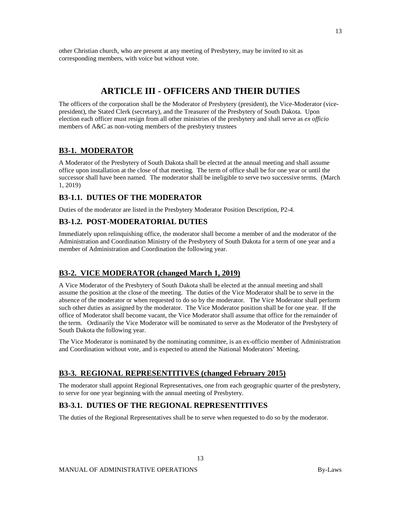<span id="page-12-0"></span>other Christian church, who are present at any meeting of Presbytery, may be invited to sit as corresponding members, with voice but without vote.

## **ARTICLE III - OFFICERS AND THEIR DUTIES**

The officers of the corporation shall be the Moderator of Presbytery (president), the Vice-Moderator (vicepresident), the Stated Clerk (secretary), and the Treasurer of the Presbytery of South Dakota. Upon election each officer must resign from all other ministries of the presbytery and shall serve as *ex officio* members of A&C as non-voting members of the presbytery trustees

## <span id="page-12-1"></span>**B3-1. MODERATOR**

A Moderator of the Presbytery of South Dakota shall be elected at the annual meeting and shall assume office upon installation at the close of that meeting. The term of office shall be for one year or until the successor shall have been named. The moderator shall be ineligible to serve two successive terms. (March 1, 2019)

#### <span id="page-12-2"></span>**B3-1.1. DUTIES OF THE MODERATOR**

Duties of the moderator are listed in the Presbytery Moderator Position Description, P2-4.

#### <span id="page-12-3"></span>**B3-1.2. POST-MODERATORIAL DUTIES**

Immediately upon relinquishing office, the moderator shall become a member of and the moderator of the Administration and Coordination Ministry of the Presbytery of South Dakota for a term of one year and a member of Administration and Coordination the following year.

## <span id="page-12-4"></span>**B3-2. VICE MODERATOR (changed March 1, 2019)**

A Vice Moderator of the Presbytery of South Dakota shall be elected at the annual meeting and shall assume the position at the close of the meeting. The duties of the Vice Moderator shall be to serve in the absence of the moderator or when requested to do so by the moderator. The Vice Moderator shall perform such other duties as assigned by the moderator. The Vice Moderator position shall be for one year. If the office of Moderator shall become vacant, the Vice Moderator shall assume that office for the remainder of the term. Ordinarily the Vice Moderator will be nominated to serve as the Moderator of the Presbytery of South Dakota the following year.

<span id="page-12-5"></span>The Vice Moderator is nominated by the nominating committee, is an ex-officio member of Administration and Coordination without vote, and is expected to attend the National Moderators' Meeting.

#### **B3-3. REGIONAL REPRESENTITIVES (changed February 2015)**

The moderator shall appoint Regional Representatives, one from each geographic quarter of the presbytery, to serve for one year beginning with the annual meeting of Presbytery.

13

#### <span id="page-12-6"></span>**B3-3.1. DUTIES OF THE REGIONAL REPRESENTITIVES**

The duties of the Regional Representatives shall be to serve when requested to do so by the moderator.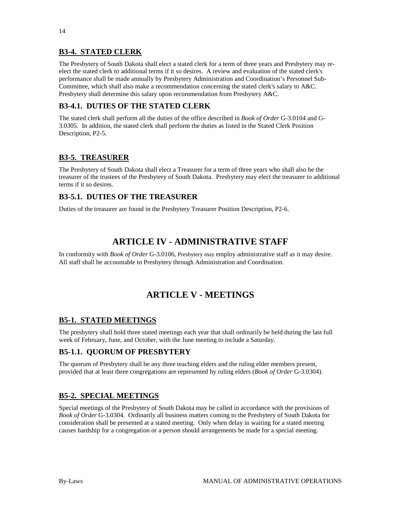## <span id="page-13-0"></span>**B3-4. STATED CLERK**

The Presbytery of South Dakota shall elect a stated clerk for a term of three years and Presbytery may reelect the stated clerk to additional terms if it so desires. A review and evaluation of the stated clerk's performance shall be made annually by Presbytery Administration and Coordination's Personnel Sub-Committee, which shall also make a recommendation concerning the stated clerk's salary to A&C. Presbytery shall determine this salary upon recommendation from Presbytery A&C.

## <span id="page-13-1"></span>**B3-4.1. DUTIES OF THE STATED CLERK**

The stated clerk shall perform all the duties of the office described in *Book of Order* G-3.0104 and G-3.0305. In addition, the stated clerk shall perform the duties as listed in the Stated Clerk Position Description, P2-5.

## <span id="page-13-2"></span>**B3-5. TREASURER**

The Presbytery of South Dakota shall elect a Treasurer for a term of three years who shall also be the treasurer of the trustees of the Presbytery of South Dakota. Presbytery may elect the treasurer to additional terms if it so desires.

## <span id="page-13-3"></span>**B3-5.1. DUTIES OF THE TREASURER**

<span id="page-13-4"></span>Duties of the treasurer are found in the Presbytery Treasurer Position Description, P2-6.

## **ARTICLE IV - ADMINISTRATIVE STAFF**

<span id="page-13-5"></span>In conformity with *Book of Order* G-3.0106, Presbytery may employ administrative staff as it may desire. All staff shall be accountable to Presbytery through Administration and Coordination.

## **ARTICLE V - MEETINGS**

## <span id="page-13-6"></span>**B5-1. STATED MEETINGS**

The presbytery shall hold three stated meetings each year that shall ordinarily be held during the last full week of February, June, and October, with the June meeting to include a Saturday.

## <span id="page-13-7"></span>**B5-1.1. QUORUM OF PRESBYTERY**

<span id="page-13-8"></span>The quorum of Presbytery shall be any three teaching elders and the ruling elder members present, provided that at least three congregations are represented by ruling elders (*Book of Order* G-3.0304).

## **B5-2. SPECIAL MEETINGS**

Special meetings of the Presbytery of South Dakota may be called in accordance with the provisions of *Book of Order* G-3.0304. Ordinarily all business matters coming to the Presbytery of South Dakota for consideration shall be presented at a stated meeting. Only when delay in waiting for a stated meeting causes hardship for a congregation or a person should arrangements be made for a special meeting.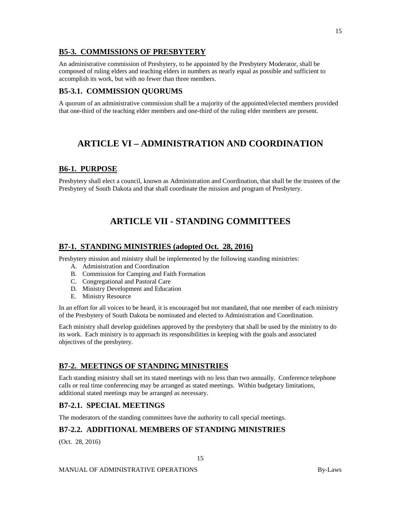## <span id="page-14-0"></span>**B5-3. COMMISSIONS OF PRESBYTERY**

An administrative commission of Presbytery, to be appointed by the Presbytery Moderator, shall be composed of ruling elders and teaching elders in numbers as nearly equal as possible and sufficient to accomplish its work, but with no fewer than three members.

#### <span id="page-14-1"></span>**B5-3.1. COMMISSION QUORUMS**

<span id="page-14-2"></span>A quorum of an administrative commission shall be a majority of the appointed/elected members provided that one-third of the teaching elder members and one-third of the ruling elder members are present.

## **ARTICLE VI – ADMINISTRATION AND COORDINATION**

#### <span id="page-14-3"></span>**B6-1. PURPOSE**

<span id="page-14-4"></span>Presbytery shall elect a council, known as Administration and Coordination, that shall be the trustees of the Presbytery of South Dakota and that shall coordinate the mission and program of Presbytery.

## **ARTICLE VII - STANDING COMMITTEES**

#### <span id="page-14-5"></span>**B7-1. STANDING MINISTRIES (adopted Oct. 28, 2016)**

Presbytery mission and ministry shall be implemented by the following standing ministries:

- A. Administration and Coordination
- B. Commission for Camping and Faith Formation
- C. Congregational and Pastoral Care
- D. Ministry Development and Education
- E. Ministry Resource

In an effort for all voices to be heard, it is encouraged but not mandated, that one member of each ministry of the Presbytery of South Dakota be nominated and elected to Administration and Coordination.

Each ministry shall develop guidelines approved by the presbytery that shall be used by the ministry to do its work. Each ministry is to approach its responsibilities in keeping with the goals and associated objectives of the presbytery.

## <span id="page-14-6"></span>**B7-2. MEETINGS OF STANDING MINISTRIES**

Each standing ministry shall set its stated meetings with no less than two annually. Conference telephone calls or real time conferencing may be arranged as stated meetings. Within budgetary limitations, additional stated meetings may be arranged as necessary.

## <span id="page-14-7"></span>**B7-2.1. SPECIAL MEETINGS**

The moderators of the standing committees have the authority to call special meetings.

#### <span id="page-14-8"></span>**B7-2.2. ADDITIONAL MEMBERS OF STANDING MINISTRIES**

(Oct. 28, 2016)

15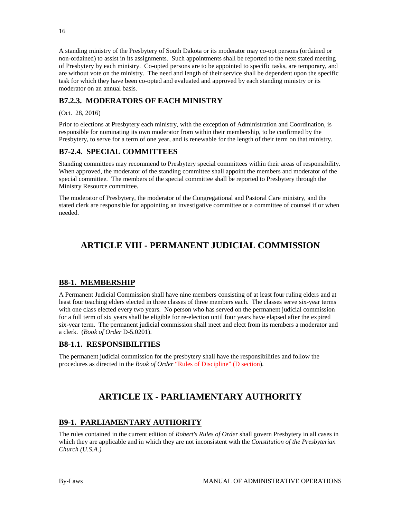A standing ministry of the Presbytery of South Dakota or its moderator may co-opt persons (ordained or non-ordained) to assist in its assignments. Such appointments shall be reported to the next stated meeting of Presbytery by each ministry. Co-opted persons are to be appointed to specific tasks, are temporary, and are without vote on the ministry. The need and length of their service shall be dependent upon the specific task for which they have been co-opted and evaluated and approved by each standing ministry or its moderator on an annual basis.

## <span id="page-15-0"></span>**B7.2.3. MODERATORS OF EACH MINISTRY**

(Oct. 28, 2016)

Prior to elections at Presbytery each ministry, with the exception of Administration and Coordination, is responsible for nominating its own moderator from within their membership, to be confirmed by the Presbytery, to serve for a term of one year, and is renewable for the length of their term on that ministry.

## <span id="page-15-1"></span>**B7-2.4. SPECIAL COMMITTEES**

Standing committees may recommend to Presbytery special committees within their areas of responsibility. When approved, the moderator of the standing committee shall appoint the members and moderator of the special committee. The members of the special committee shall be reported to Presbytery through the Ministry Resource committee.

<span id="page-15-2"></span>The moderator of Presbytery, the moderator of the Congregational and Pastoral Care ministry, and the stated clerk are responsible for appointing an investigative committee or a committee of counsel if or when needed.

## **ARTICLE VIII - PERMANENT JUDICIAL COMMISSION**

## <span id="page-15-3"></span>**B8-1. MEMBERSHIP**

A Permanent Judicial Commission shall have nine members consisting of at least four ruling elders and at least four teaching elders elected in three classes of three members each. The classes serve six-year terms with one class elected every two years. No person who has served on the permanent judicial commission for a full term of six years shall be eligible for re-election until four years have elapsed after the expired six-year term. The permanent judicial commission shall meet and elect from its members a moderator and a clerk. (*Book of Order* D-5.0201).

## <span id="page-15-4"></span>**B8-1.1. RESPONSIBILITIES**

<span id="page-15-5"></span>The permanent judicial commission for the presbytery shall have the responsibilities and follow the procedures as directed in the *Book of Order* "Rules of Discipline" (D section).

## **ARTICLE IX - PARLIAMENTARY AUTHORITY**

## <span id="page-15-6"></span>**B9-1. PARLIAMENTARY AUTHORITY**

The rules contained in the current edition of *Robert's Rules of Order* shall govern Presbytery in all cases in which they are applicable and in which they are not inconsistent with the *Constitution of the Presbyterian Church (U.S.A.).*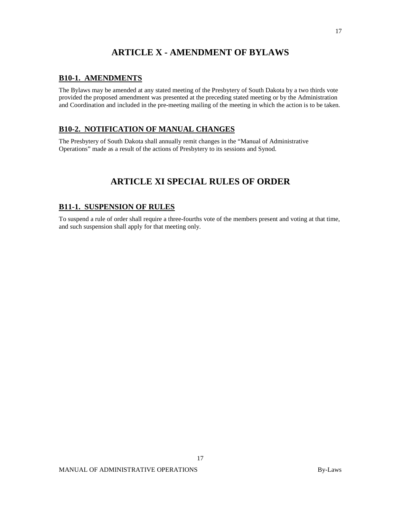## **ARTICLE X - AMENDMENT OF BYLAWS**

#### <span id="page-16-1"></span><span id="page-16-0"></span>**B10-1. AMENDMENTS**

The Bylaws may be amended at any stated meeting of the Presbytery of South Dakota by a two thirds vote provided the proposed amendment was presented at the preceding stated meeting or by the Administration and Coordination and included in the pre-meeting mailing of the meeting in which the action is to be taken.

## <span id="page-16-2"></span>**B10-2. NOTIFICATION OF MANUAL CHANGES**

<span id="page-16-3"></span>The Presbytery of South Dakota shall annually remit changes in the "Manual of Administrative Operations" made as a result of the actions of Presbytery to its sessions and Synod.

## **ARTICLE XI SPECIAL RULES OF ORDER**

## <span id="page-16-4"></span>**B11-1. SUSPENSION OF RULES**

To suspend a rule of order shall require a three-fourths vote of the members present and voting at that time, and such suspension shall apply for that meeting only.

17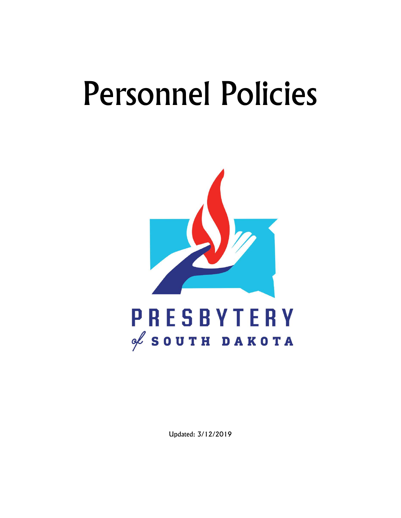# Personnel Policies



Updated: 3/12/2019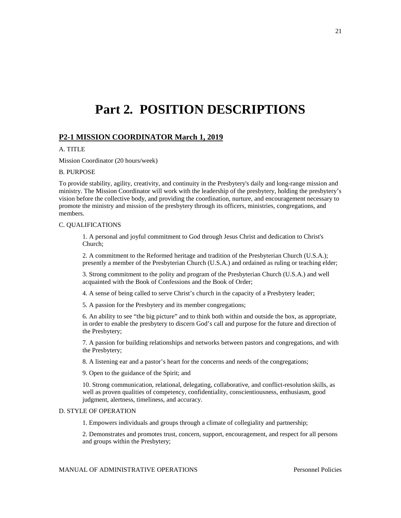## <span id="page-20-0"></span>**Part 2. POSITION DESCRIPTIONS**

#### <span id="page-20-1"></span>**P2-1 MISSION COORDINATOR March 1, 2019**

#### A. TITLE

Mission Coordinator (20 hours/week)

#### B. PURPOSE

To provide stability, agility, creativity, and continuity in the Presbytery's daily and long-range mission and ministry. The Mission Coordinator will work with the leadership of the presbytery, holding the presbytery's vision before the collective body, and providing the coordination, nurture, and encouragement necessary to promote the ministry and mission of the presbytery through its officers, ministries, congregations, and members.

#### C. QUALIFICATIONS

1. A personal and joyful commitment to God through Jesus Christ and dedication to Christ's Church;

2. A commitment to the Reformed heritage and tradition of the Presbyterian Church (U.S.A.); presently a member of the Presbyterian Church (U.S.A.) and ordained as ruling or teaching elder;

3. Strong commitment to the polity and program of the Presbyterian Church (U.S.A.) and well acquainted with the Book of Confessions and the Book of Order;

4. A sense of being called to serve Christ's church in the capacity of a Presbytery leader;

5. A passion for the Presbytery and its member congregations;

6. An ability to see "the big picture" and to think both within and outside the box, as appropriate, in order to enable the presbytery to discern God's call and purpose for the future and direction of the Presbytery;

7. A passion for building relationships and networks between pastors and congregations, and with the Presbytery;

8. A listening ear and a pastor's heart for the concerns and needs of the congregations;

9. Open to the guidance of the Spirit; and

10. Strong communication, relational, delegating, collaborative, and conflict-resolution skills, as well as proven qualities of competency, confidentiality, conscientiousness, enthusiasm, good judgment, alertness, timeliness, and accuracy.

#### D. STYLE OF OPERATION

1. Empowers individuals and groups through a climate of collegiality and partnership;

2. Demonstrates and promotes trust, concern, support, encouragement, and respect for all persons and groups within the Presbytery;

MANUAL OF ADMINISTRATIVE OPERATIONS Personnel Policies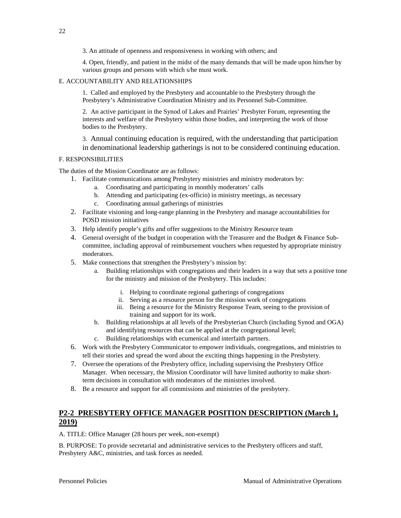3. An attitude of openness and responsiveness in working with others; and

4. Open, friendly, and patient in the midst of the many demands that will be made upon him/her by various groups and persons with which s/he must work.

#### E. ACCOUNTABILITY AND RELATIONSHIPS

1. Called and employed by the Presbytery and accountable to the Presbytery through the Presbytery's Administrative Coordination Ministry and its Personnel Sub-Committee.

2. An active participant in the Synod of Lakes and Prairies' Presbyter Forum, representing the interests and welfare of the Presbytery within those bodies, and interpreting the work of those bodies to the Presbytery.

3. Annual continuing education is required, with the understanding that participation in denominational leadership gatherings is not to be considered continuing education.

#### F. RESPONSIBILITIES

The duties of the Mission Coordinator are as follows:

- 1. Facilitate communications among Presbytery ministries and ministry moderators by:
	- a. Coordinating and participating in monthly moderators' calls
	- b. Attending and participating (ex-officio) in ministry meetings, as necessary
	- c. Coordinating annual gatherings of ministries
- 2. Facilitate visioning and long-range planning in the Presbytery and manage accountabilities for POSD mission initiatives
- 3. Help identify people's gifts and offer suggestions to the Ministry Resource team
- 4. General oversight of the budget in cooperation with the Treasurer and the Budget & Finance Subcommittee, including approval of reimbursement vouchers when requested by appropriate ministry moderators.
- 5. Make connections that strengthen the Presbytery's mission by:
	- a. Building relationships with congregations and their leaders in a way that sets a positive tone for the ministry and mission of the Presbytery. This includes:
		- i. Helping to coordinate regional gatherings of congregations
		- ii. Serving as a resource person for the mission work of congregations
		- iii. Being a resource for the Ministry Response Team, seeing to the provision of training and support for its work.
	- b. Building relationships at all levels of the Presbyterian Church (including Synod and OGA) and identifying resources that can be applied at the congregational level;
	- c. Building relationships with ecumenical and interfaith partners.
- 6. Work with the Presbytery Communicator to empower individuals, congregations, and ministries to tell their stories and spread the word about the exciting things happening in the Presbytery.
- 7. Oversee the operations of the Presbytery office, including supervising the Presbytery Office Manager. When necessary, the Mission Coordinator will have limited authority to make shortterm decisions in consultation with moderators of the ministries involved.
- <span id="page-21-0"></span>8. Be a resource and support for all commissions and ministries of the presbytery.

## **P2-2 PRESBYTERY OFFICE MANAGER POSITION DESCRIPTION (March 1, 2019)**

A. TITLE: Office Manager (28 hours per week, non-exempt)

B. PURPOSE: To provide secretarial and administrative services to the Presbytery officers and staff, Presbytery A&C, ministries, and task forces as needed.

22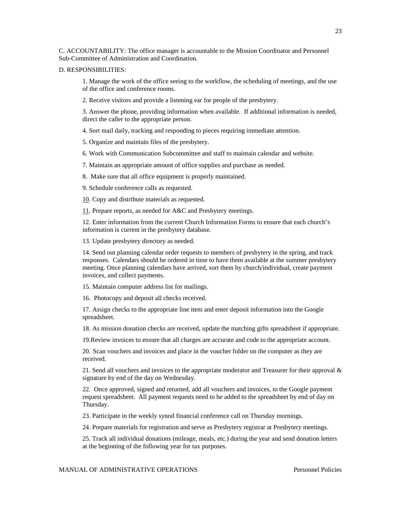C. ACCOUNTABILITY: The office manager is accountable to the Mission Coordinator and Personnel Sub-Committee of Administration and Coordination.

#### D. RESPONSIBILITIES:

1. Manage the work of the office seeing to the workflow, the scheduling of meetings, and the use of the office and conference rooms.

2. Receive visitors and provide a listening ear for people of the presbytery.

3. Answer the phone, providing information when available. If additional information is needed, direct the caller to the appropriate person.

4. Sort mail daily, tracking and responding to pieces requiring immediate attention.

5. Organize and maintain files of the presbytery.

6. Work with Communication Subcommittee and staff to maintain calendar and website.

7. Maintain an appropriate amount of office supplies and purchase as needed.

8. Make sure that all office equipment is properly maintained.

9. Schedule conference calls as requested.

10. Copy and distribute materials as requested.

11. Prepare reports, as needed for A&C and Presbytery meetings.

12. Enter information from the current Church Information Forms to ensure that each church's information is current in the presbytery database.

13. Update presbytery directory as needed.

14. Send out planning calendar order requests to members of presbytery in the spring, and track responses. Calendars should be ordered in time to have them available at the summer presbytery meeting. Once planning calendars have arrived, sort them by church/individual, create payment invoices, and collect payments.

15. Maintain computer address list for mailings.

16. Photocopy and deposit all checks received.

17. Assign checks to the appropriate line item and enter deposit information into the Google spreadsheet.

18. As mission donation checks are received, update the matching gifts spreadsheet if appropriate.

19.Review invoices to ensure that all charges are accurate and code to the appropriate account.

20. Scan vouchers and invoices and place in the voucher folder on the computer as they are received.

21. Send all vouchers and invoices to the appropriate moderator and Treasurer for their approval  $\&$ signature by end of the day on Wednesday.

22. Once approved, signed and returned, add all vouchers and invoices, to the Google payment request spreadsheet. All payment requests need to be added to the spreadsheet by end of day on Thursday.

23. Participate in the weekly synod financial conference call on Thursday mornings.

24. Prepare materials for registration and serve as Presbytery registrar at Presbytery meetings.

25. Track all individual donations (mileage, meals, etc.) during the year and send donation letters at the beginning of the following year for tax purposes.

MANUAL OF ADMINISTRATIVE OPERATIONS Personnel Policies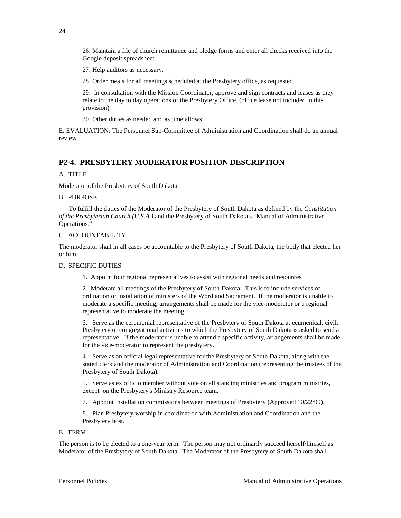26. Maintain a file of church remittance and pledge forms and enter all checks received into the Google deposit spreadsheet.

27. Help auditors as necessary.

28. Order meals for all meetings scheduled at the Presbytery office, as requested.

29. In consultation with the Mission Coordinator, approve and sign contracts and leases as they relate to the day to day operations of the Presbytery Office. (office lease not included in this provision)

30. Other duties as needed and as time allows.

<span id="page-23-0"></span>E. EVALUATION: The Personnel Sub-Committee of Administration and Coordination shall do an annual review.

## **P2-4. PRESBYTERY MODERATOR POSITION DESCRIPTION**

#### A. TITLE

Moderator of the Presbytery of South Dakota

#### B. PURPOSE

 To fulfill the duties of the Moderator of the Presbytery of South Dakota as defined by the *Constitution of the Presbyterian Church (U.S.A.)* and the Presbytery of South Dakota's "Manual of Administrative Operations."

#### C. ACCOUNTABILITY

The moderator shall in all cases be accountable to the Presbytery of South Dakota, the body that elected her or him.

#### D. SPECIFIC DUTIES

1. Appoint four regional representatives to assist with regional needs and resources

2. Moderate all meetings of the Presbytery of South Dakota. This is to include services of ordination or installation of ministers of the Word and Sacrament. If the moderator is unable to moderate a specific meeting, arrangements shall be made for the vice-moderator or a regional representative to moderate the meeting.

3. Serve as the ceremonial representative of the Presbytery of South Dakota at ecumenical, civil, Presbytery or congregational activities to which the Presbytery of South Dakota is asked to send a representative. If the moderator is unable to attend a specific activity, arrangements shall be made for the vice-moderator to represent the presbytery.

4. Serve as an official legal representative for the Presbytery of South Dakota, along with the stated clerk and the moderator of Administration and Coordination (representing the trustees of the Presbytery of South Dakota).

5. Serve as ex officio member without vote on all standing ministries and program ministries, except on the Presbytery's Ministry Resource team.

7. Appoint installation commissions between meetings of Presbytery (Approved 10/22/99).

8. Plan Presbytery worship in coordination with Administration and Coordination and the Presbytery host.

#### E. TERM

The person is to be elected to a one-year term. The person may not ordinarily succeed herself/himself as Moderator of the Presbytery of South Dakota. The Moderator of the Presbytery of South Dakota shall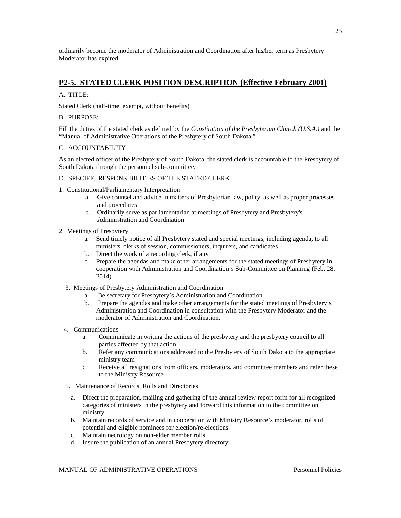<span id="page-24-0"></span>ordinarily become the moderator of Administration and Coordination after his/her term as Presbytery Moderator has expired.

## **P2-5. STATED CLERK POSITION DESCRIPTION (Effective February 2001)**

#### A. TITLE:

Stated Clerk (half-time, exempt, without benefits)

#### B. PURPOSE:

Fill the duties of the stated clerk as defined by the *Constitution of the Presbyterian Church (U.S.A.)* and the "Manual of Administrative Operations of the Presbytery of South Dakota."

#### C. ACCOUNTABILITY:

As an elected officer of the Presbytery of South Dakota, the stated clerk is accountable to the Presbytery of South Dakota through the personnel sub-committee.

#### D. SPECIFIC RESPONSIBILITIES OF THE STATED CLERK

- 1. Constitutional/Parliamentary Interpretation
	- a. Give counsel and advice in matters of Presbyterian law, polity, as well as proper processes and procedures
	- b. Ordinarily serve as parliamentarian at meetings of Presbytery and Presbytery's Administration and Coordination
- 2. Meetings of Presbytery
	- a. Send timely notice of all Presbytery stated and special meetings, including agenda, to all ministers, clerks of session, commissioners, inquirers, and candidates
	- b. Direct the work of a recording clerk, if any
	- c. Prepare the agendas and make other arrangements for the stated meetings of Presbytery in cooperation with Administration and Coordination's Sub-Committee on Planning (Feb. 28, 2014)
	- 3. Meetings of Presbytery Administration and Coordination
		- a. Be secretary for Presbytery's Administration and Coordination
		- b. Prepare the agendas and make other arrangements for the stated meetings of Presbytery's Administration and Coordination in consultation with the Presbytery Moderator and the moderator of Administration and Coordination.
	- 4. Communications
		- a. Communicate in writing the actions of the presbytery and the presbytery council to all parties affected by that action
		- b. Refer any communications addressed to the Presbytery of South Dakota to the appropriate ministry team
		- c. Receive all resignations from officers, moderators, and committee members and refer these to the Ministry Resource
	- 5. Maintenance of Records, Rolls and Directories
		- a. Direct the preparation, mailing and gathering of the annual review report form for all recognized categories of ministers in the presbytery and forward this information to the committee on ministry
		- b. Maintain records of service and in cooperation with Ministry Resource's moderator, rolls of potential and eligible nominees for election/re-elections
		- c. Maintain necrology on non-elder member rolls
		- d. Insure the publication of an annual Presbytery directory

25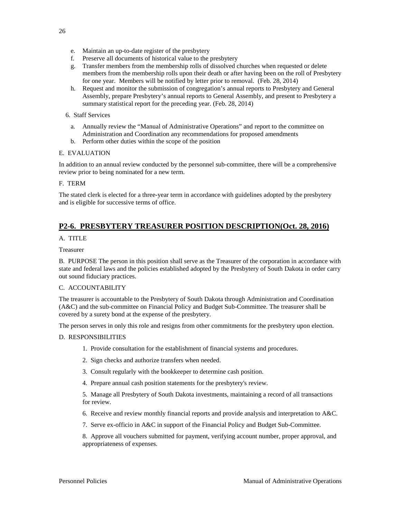- e. Maintain an up-to-date register of the presbytery
- f. Preserve all documents of historical value to the presbytery
- g. Transfer members from the membership rolls of dissolved churches when requested or delete members from the membership rolls upon their death or after having been on the roll of Presbytery for one year. Members will be notified by letter prior to removal. (Feb. 28, 2014)
- h. Request and monitor the submission of congregation's annual reports to Presbytery and General Assembly, prepare Presbytery's annual reports to General Assembly, and present to Presbytery a summary statistical report for the preceding year. (Feb. 28, 2014)

#### 6. Staff Services

- a. Annually review the "Manual of Administrative Operations" and report to the committee on Administration and Coordination any recommendations for proposed amendments
- b. Perform other duties within the scope of the position

#### E. EVALUATION

In addition to an annual review conducted by the personnel sub-committee, there will be a comprehensive review prior to being nominated for a new term.

#### F. TERM

<span id="page-25-0"></span>The stated clerk is elected for a three-year term in accordance with guidelines adopted by the presbytery and is eligible for successive terms of office.

## **P2-6. PRESBYTERY TREASURER POSITION DESCRIPTION(Oct. 28, 2016)**

#### A. TITLE

#### Treasurer

B. PURPOSE The person in this position shall serve as the Treasurer of the corporation in accordance with state and federal laws and the policies established adopted by the Presbytery of South Dakota in order carry out sound fiduciary practices.

#### C. ACCOUNTABILITY

The treasurer is accountable to the Presbytery of South Dakota through Administration and Coordination (A&C) and the sub-committee on Financial Policy and Budget Sub-Committee. The treasurer shall be covered by a surety bond at the expense of the presbytery.

The person serves in only this role and resigns from other commitments for the presbytery upon election.

#### D. RESPONSIBILITIES

- 1. Provide consultation for the establishment of financial systems and procedures.
- 2. Sign checks and authorize transfers when needed.
- 3. Consult regularly with the bookkeeper to determine cash position.
- 4. Prepare annual cash position statements for the presbytery's review.

5. Manage all Presbytery of South Dakota investments, maintaining a record of all transactions for review.

- 6. Receive and review monthly financial reports and provide analysis and interpretation to A&C.
- 7. Serve ex-officio in A&C in support of the Financial Policy and Budget Sub-Committee.

8. Approve all vouchers submitted for payment, verifying account number, proper approval, and appropriateness of expenses.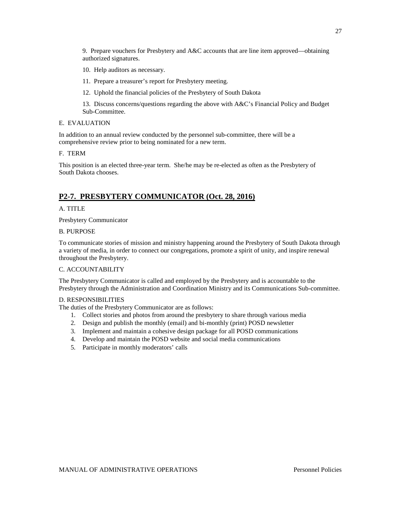9. Prepare vouchers for Presbytery and A&C accounts that are line item approved—obtaining authorized signatures.

- 10. Help auditors as necessary.
- 11. Prepare a treasurer's report for Presbytery meeting.
- 12. Uphold the financial policies of the Presbytery of South Dakota

13. Discuss concerns/questions regarding the above with A&C's Financial Policy and Budget Sub-Committee.

#### E. EVALUATION

In addition to an annual review conducted by the personnel sub-committee, there will be a comprehensive review prior to being nominated for a new term.

#### F. TERM

<span id="page-26-0"></span>This position is an elected three-year term. She/he may be re-elected as often as the Presbytery of South Dakota chooses.

## **P2-7. PRESBYTERY COMMUNICATOR (Oct. 28, 2016)**

#### A. TITLE

Presbytery Communicator

#### B. PURPOSE

To communicate stories of mission and ministry happening around the Presbytery of South Dakota through a variety of media, in order to connect our congregations, promote a spirit of unity, and inspire renewal throughout the Presbytery.

#### C. ACCOUNTABILITY

The Presbytery Communicator is called and employed by the Presbytery and is accountable to the Presbytery through the Administration and Coordination Ministry and its Communications Sub-committee.

#### D. RESPONSIBILITIES

The duties of the Presbytery Communicator are as follows:

- 1. Collect stories and photos from around the presbytery to share through various media
- 2. Design and publish the monthly (email) and bi-monthly (print) POSD newsletter
- 3. Implement and maintain a cohesive design package for all POSD communications
- 4. Develop and maintain the POSD website and social media communications
- 5. Participate in monthly moderators' calls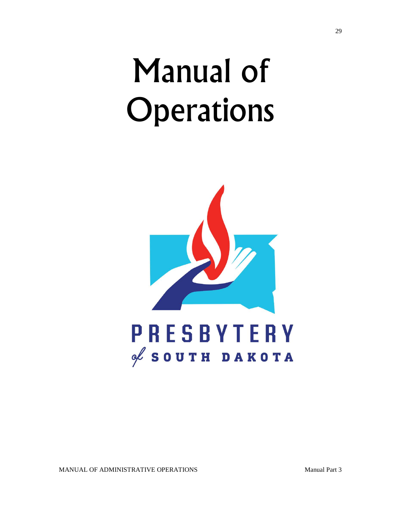# Manual of **Operations**



MANUAL OF ADMINISTRATIVE OPERATIONS Manual Part 3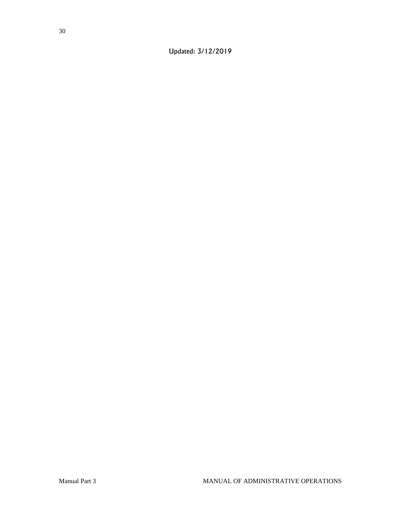Updated: 3/12/2019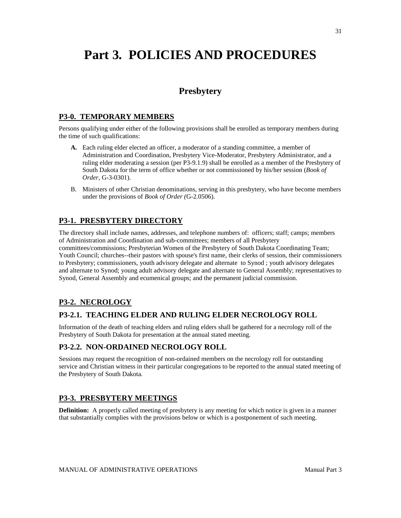# <span id="page-30-1"></span><span id="page-30-0"></span>**Part 3. POLICIES AND PROCEDURES**

## **Presbytery**

## <span id="page-30-2"></span>**P3-0. TEMPORARY MEMBERS**

Persons qualifying under either of the following provisions shall be enrolled as temporary members during the time of such qualifications:

- **A.** Each ruling elder elected an officer, a moderator of a standing committee, a member of Administration and Coordination, Presbytery Vice-Moderator, Presbytery Administrator, and a ruling elder moderating a session (per P3-9.1.9) shall be enrolled as a member of the Presbytery of South Dakota for the term of office whether or not commissioned by his/her session (*Book of Order*, G-3-0301).
- B. Ministers of other Christian denominations, serving in this presbytery, who have become members under the provisions of *Book of Order (*G-2.0506).

## <span id="page-30-3"></span>**P3-1. PRESBYTERY DIRECTORY**

The directory shall include names, addresses, and telephone numbers of: officers; staff; camps; members of Administration and Coordination and sub-committees; members of all Presbytery committees/commissions; Presbyterian Women of the Presbytery of South Dakota Coordinating Team; Youth Council; churches--their pastors with spouse's first name, their clerks of session, their commissioners to Presbytery; commissioners, youth advisory delegate and alternate to Synod ; youth advisory delegates and alternate to Synod; young adult advisory delegate and alternate to General Assembly; representatives to Synod, General Assembly and ecumenical groups; and the permanent judicial commission.

## <span id="page-30-4"></span>**P3-2. NECROLOGY**

## <span id="page-30-5"></span>**P3-2.1. TEACHING ELDER AND RULING ELDER NECROLOGY ROLL**

Information of the death of teaching elders and ruling elders shall be gathered for a necrology roll of the Presbytery of South Dakota for presentation at the annual stated meeting.

## <span id="page-30-6"></span>**P3-2.2. NON-ORDAINED NECROLOGY ROLL**

Sessions may request the recognition of non-ordained members on the necrology roll for outstanding service and Christian witness in their particular congregations to be reported to the annual stated meeting of the Presbytery of South Dakota.

## <span id="page-30-7"></span>**P3-3. PRESBYTERY MEETINGS**

**Definition:** A properly called meeting of presbytery is any meeting for which notice is given in a manner that substantially complies with the provisions below or which is a postponement of such meeting.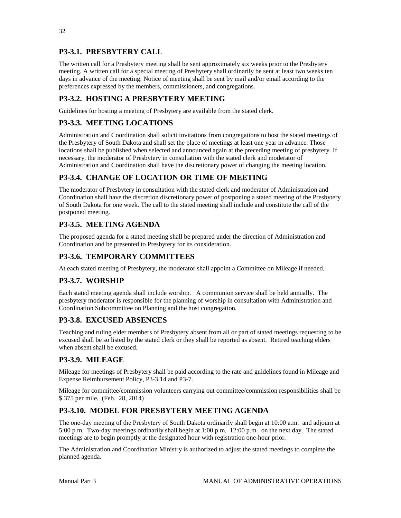## <span id="page-31-0"></span>**P3-3.1. PRESBYTERY CALL**

The written call for a Presbytery meeting shall be sent approximately six weeks prior to the Presbytery meeting. A written call for a special meeting of Presbytery shall ordinarily be sent at least two weeks ten days in advance of the meeting. Notice of meeting shall be sent by mail and/or email according to the preferences expressed by the members, commissioners, and congregations.

## <span id="page-31-1"></span>**P3-3.2. HOSTING A PRESBYTERY MEETING**

Guidelines for hosting a meeting of Presbytery are available from the stated clerk.

## <span id="page-31-2"></span>**P3-3.3. MEETING LOCATIONS**

Administration and Coordination shall solicit invitations from congregations to host the stated meetings of the Presbytery of South Dakota and shall set the place of meetings at least one year in advance. Those locations shall be published when selected and announced again at the preceding meeting of presbytery. If necessary, the moderator of Presbytery in consultation with the stated clerk and moderator of Administration and Coordination shall have the discretionary power of changing the meeting location.

## <span id="page-31-3"></span>**P3-3.4. CHANGE OF LOCATION OR TIME OF MEETING**

The moderator of Presbytery in consultation with the stated clerk and moderator of Administration and Coordination shall have the discretion discretionary power of postponing a stated meeting of the Presbytery of South Dakota for one week. The call to the stated meeting shall include and constitute the call of the postponed meeting.

## <span id="page-31-4"></span>**P3-3.5. MEETING AGENDA**

The proposed agenda for a stated meeting shall be prepared under the direction of Administration and Coordination and be presented to Presbytery for its consideration.

## <span id="page-31-5"></span>**P3-3.6. TEMPORARY COMMITTEES**

At each stated meeting of Presbytery, the moderator shall appoint a Committee on Mileage if needed.

## <span id="page-31-6"></span>**P3-3.7. WORSHIP**

Each stated meeting agenda shall include worship. A communion service shall be held annually. The presbytery moderator is responsible for the planning of worship in consultation with Administration and Coordination Subcommittee on Planning and the host congregation.

## <span id="page-31-7"></span>**P3-3.8. EXCUSED ABSENCES**

Teaching and ruling elder members of Presbytery absent from all or part of stated meetings requesting to be excused shall be so listed by the stated clerk or they shall be reported as absent. Retired teaching elders when absent shall be excused.

## <span id="page-31-8"></span>**P3-3.9. MILEAGE**

Mileage for meetings of Presbytery shall be paid according to the rate and guidelines found in Mileage and Expense Reimbursement Policy, P3-3.14 and P3-7.

Mileage for committee/commission volunteers carrying out committee/commission responsibilities shall be \$.375 per mile. (Feb. 28, 2014)

## <span id="page-31-9"></span>**P3-3.10. MODEL FOR PRESBYTERY MEETING AGENDA**

The one-day meeting of the Presbytery of South Dakota ordinarily shall begin at 10:00 a.m. and adjourn at 5:00 p.m. Two-day meetings ordinarily shall begin at 1:00 p.m. 12:00 p.m. on the next day. The stated meetings are to begin promptly at the designated hour with registration one-hour prior.

The Administration and Coordination Ministry is authorized to adjust the stated meetings to complete the planned agenda.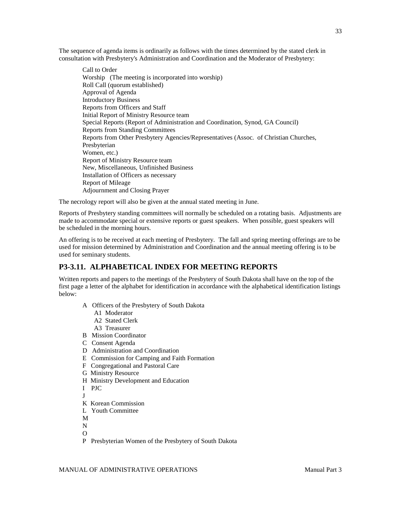The sequence of agenda items is ordinarily as follows with the times determined by the stated clerk in consultation with Presbytery's Administration and Coordination and the Moderator of Presbytery:

Call to Order Worship (The meeting is incorporated into worship) Roll Call (quorum established) Approval of Agenda Introductory Business Reports from Officers and Staff Initial Report of Ministry Resource team Special Reports (Report of Administration and Coordination, Synod, GA Council) Reports from Standing Committees Reports from Other Presbytery Agencies/Representatives (Assoc. of Christian Churches, Presbyterian Women, etc.) Report of Ministry Resource team New, Miscellaneous, Unfinished Business Installation of Officers as necessary Report of Mileage Adjournment and Closing Prayer

The necrology report will also be given at the annual stated meeting in June.

Reports of Presbytery standing committees will normally be scheduled on a rotating basis. Adjustments are made to accommodate special or extensive reports or guest speakers. When possible, guest speakers will be scheduled in the morning hours.

An offering is to be received at each meeting of Presbytery. The fall and spring meeting offerings are to be used for mission determined by Administration and Coordination and the annual meeting offering is to be used for seminary students.

## <span id="page-32-0"></span>**P3-3.11. ALPHABETICAL INDEX FOR MEETING REPORTS**

Written reports and papers to the meetings of the Presbytery of South Dakota shall have on the top of the first page a letter of the alphabet for identification in accordance with the alphabetical identification listings below:

- A Officers of the Presbytery of South Dakota
	- A1 Moderator
	- A2 Stated Clerk
	- A3 Treasurer
- B Mission Coordinator
- C Consent Agenda
- D Administration and Coordination
- E Commission for Camping and Faith Formation
- F Congregational and Pastoral Care
- G Ministry Resource
- H Ministry Development and Education
- I PJC
- J
- K Korean Commission
- L Youth Committee
- M
- N
- $\Omega$
- P Presbyterian Women of the Presbytery of South Dakota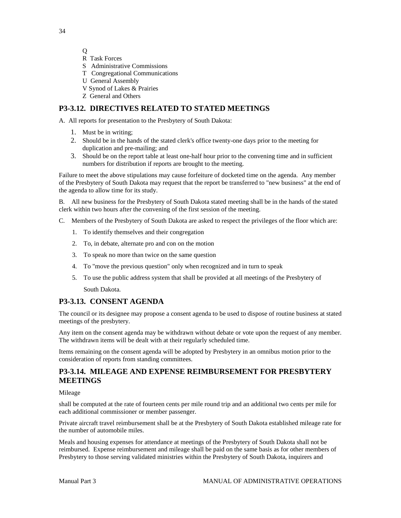Q

- R Task Forces
- S Administrative Commissions
- T Congregational Communications
- U General Assembly
- V Synod of Lakes & Prairies
- Z General and Others

## <span id="page-33-0"></span>**P3-3.12. DIRECTIVES RELATED TO STATED MEETINGS**

A. All reports for presentation to the Presbytery of South Dakota:

- 1. Must be in writing;
- 2. Should be in the hands of the stated clerk's office twenty-one days prior to the meeting for duplication and pre-mailing; and
- 3. Should be on the report table at least one-half hour prior to the convening time and in sufficient numbers for distribution if reports are brought to the meeting.

Failure to meet the above stipulations may cause forfeiture of docketed time on the agenda. Any member of the Presbytery of South Dakota may request that the report be transferred to "new business" at the end of the agenda to allow time for its study.

B. All new business for the Presbytery of South Dakota stated meeting shall be in the hands of the stated clerk within two hours after the convening of the first session of the meeting.

- C. Members of the Presbytery of South Dakota are asked to respect the privileges of the floor which are:
	- 1. To identify themselves and their congregation
	- 2. To, in debate, alternate pro and con on the motion
	- 3. To speak no more than twice on the same question
	- 4. To "move the previous question" only when recognized and in turn to speak
	- 5. To use the public address system that shall be provided at all meetings of the Presbytery of South Dakota.

## <span id="page-33-1"></span>**P3-3.13. CONSENT AGENDA**

The council or its designee may propose a consent agenda to be used to dispose of routine business at stated meetings of the presbytery.

Any item on the consent agenda may be withdrawn without debate or vote upon the request of any member. The withdrawn items will be dealt with at their regularly scheduled time.

Items remaining on the consent agenda will be adopted by Presbytery in an omnibus motion prior to the consideration of reports from standing committees.

## <span id="page-33-2"></span>**P3-3.14. MILEAGE AND EXPENSE REIMBURSEMENT FOR PRESBYTERY MEETINGS**

Mileage

shall be computed at the rate of fourteen cents per mile round trip and an additional two cents per mile for each additional commissioner or member passenger.

Private aircraft travel reimbursement shall be at the Presbytery of South Dakota established mileage rate for the number of automobile miles.

Meals and housing expenses for attendance at meetings of the Presbytery of South Dakota shall not be reimbursed. Expense reimbursement and mileage shall be paid on the same basis as for other members of Presbytery to those serving validated ministries within the Presbytery of South Dakota, inquirers and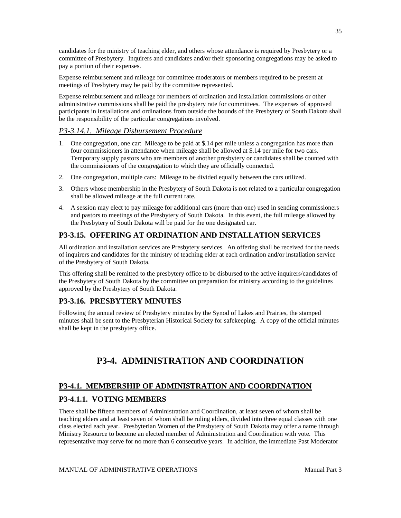candidates for the ministry of teaching elder, and others whose attendance is required by Presbytery or a committee of Presbytery. Inquirers and candidates and/or their sponsoring congregations may be asked to pay a portion of their expenses.

Expense reimbursement and mileage for committee moderators or members required to be present at meetings of Presbytery may be paid by the committee represented.

Expense reimbursement and mileage for members of ordination and installation commissions or other administrative commissions shall be paid the presbytery rate for committees. The expenses of approved participants in installations and ordinations from outside the bounds of the Presbytery of South Dakota shall be the responsibility of the particular congregations involved.

#### *P3-3.14.1. Mileage Disbursement Procedure*

- 1. One congregation, one car: Mileage to be paid at \$.14 per mile unless a congregation has more than four commissioners in attendance when mileage shall be allowed at \$.14 per mile for two cars. Temporary supply pastors who are members of another presbytery or candidates shall be counted with the commissioners of the congregation to which they are officially connected.
- 2. One congregation, multiple cars: Mileage to be divided equally between the cars utilized.
- 3. Others whose membership in the Presbytery of South Dakota is not related to a particular congregation shall be allowed mileage at the full current rate.
- 4. A session may elect to pay mileage for additional cars (more than one) used in sending commissioners and pastors to meetings of the Presbytery of South Dakota. In this event, the full mileage allowed by the Presbytery of South Dakota will be paid for the one designated car.

## <span id="page-34-0"></span>**P3-3.15. OFFERING AT ORDINATION AND INSTALLATION SERVICES**

All ordination and installation services are Presbytery services. An offering shall be received for the needs of inquirers and candidates for the ministry of teaching elder at each ordination and/or installation service of the Presbytery of South Dakota.

This offering shall be remitted to the presbytery office to be disbursed to the active inquirers/candidates of the Presbytery of South Dakota by the committee on preparation for ministry according to the guidelines approved by the Presbytery of South Dakota.

## <span id="page-34-1"></span>**P3-3.16. PRESBYTERY MINUTES**

<span id="page-34-2"></span>Following the annual review of Presbytery minutes by the Synod of Lakes and Prairies, the stamped minutes shall be sent to the Presbyterian Historical Society for safekeeping. A copy of the official minutes shall be kept in the presbytery office.

## **P3-4. ADMINISTRATION AND COORDINATION**

## <span id="page-34-3"></span>**P3-4.1. MEMBERSHIP OF ADMINISTRATION AND COORDINATION**

## <span id="page-34-4"></span>**P3-4.1.1. VOTING MEMBERS**

There shall be fifteen members of Administration and Coordination, at least seven of whom shall be teaching elders and at least seven of whom shall be ruling elders, divided into three equal classes with one class elected each year. Presbyterian Women of the Presbytery of South Dakota may offer a name through Ministry Resource to become an elected member of Administration and Coordination with vote. This representative may serve for no more than 6 consecutive years. In addition, the immediate Past Moderator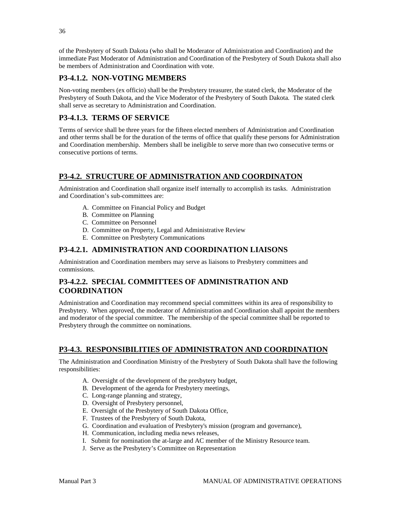of the Presbytery of South Dakota (who shall be Moderator of Administration and Coordination) and the immediate Past Moderator of Administration and Coordination of the Presbytery of South Dakota shall also be members of Administration and Coordination with vote.

## <span id="page-35-0"></span>**P3-4.1.2. NON-VOTING MEMBERS**

Non-voting members (ex officio) shall be the Presbytery treasurer, the stated clerk, the Moderator of the Presbytery of South Dakota, and the Vice Moderator of the Presbytery of South Dakota. The stated clerk shall serve as secretary to Administration and Coordination.

## <span id="page-35-1"></span>**P3-4.1.3. TERMS OF SERVICE**

Terms of service shall be three years for the fifteen elected members of Administration and Coordination and other terms shall be for the duration of the terms of office that qualify these persons for Administration and Coordination membership. Members shall be ineligible to serve more than two consecutive terms or consecutive portions of terms.

## <span id="page-35-2"></span>**P3-4.2. STRUCTURE OF ADMINISTRATION AND COORDINATON**

Administration and Coordination shall organize itself internally to accomplish its tasks. Administration and Coordination's sub-committees are:

- A. Committee on Financial Policy and Budget
- B. Committee on Planning
- C. Committee on Personnel
- D. Committee on Property, Legal and Administrative Review
- E. Committee on Presbytery Communications

## <span id="page-35-3"></span>**P3-4.2.1. ADMINISTRATION AND COORDINATION LIAISONS**

Administration and Coordination members may serve as liaisons to Presbytery committees and commissions.

## <span id="page-35-4"></span>**P3-4.2.2. SPECIAL COMMITTEES OF ADMINISTRATION AND COORDINATION**

Administration and Coordination may recommend special committees within its area of responsibility to Presbytery. When approved, the moderator of Administration and Coordination shall appoint the members and moderator of the special committee. The membership of the special committee shall be reported to Presbytery through the committee on nominations.

## <span id="page-35-5"></span>**P3-4.3. RESPONSIBILITIES OF ADMINISTRATON AND COORDINATION**

The Administration and Coordination Ministry of the Presbytery of South Dakota shall have the following responsibilities:

- A. Oversight of the development of the presbytery budget,
- B. Development of the agenda for Presbytery meetings,
- C. Long-range planning and strategy,
- D. Oversight of Presbytery personnel,
- E. Oversight of the Presbytery of South Dakota Office,
- F. Trustees of the Presbytery of South Dakota,
- G. Coordination and evaluation of Presbytery's mission (program and governance),
- H. Communication, including media news releases,
- I. Submit for nomination the at-large and AC member of the Ministry Resource team.
- J. Serve as the Presbytery's Committee on Representation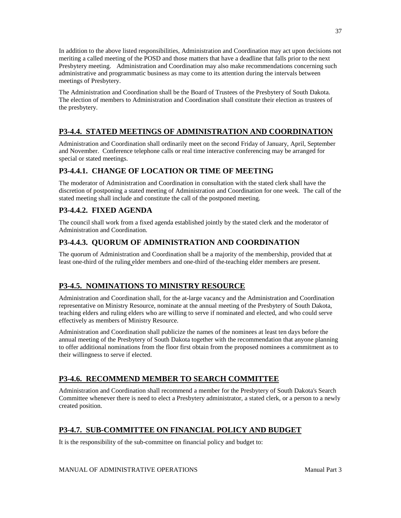In addition to the above listed responsibilities, Administration and Coordination may act upon decisions not meriting a called meeting of the POSD and those matters that have a deadline that falls prior to the next Presbytery meeting. Administration and Coordination may also make recommendations concerning such administrative and programmatic business as may come to its attention during the intervals between meetings of Presbytery.

The Administration and Coordination shall be the Board of Trustees of the Presbytery of South Dakota. The election of members to Administration and Coordination shall constitute their election as trustees of the presbytery.

# **P3-4.4. STATED MEETINGS OF ADMINISTRATION AND COORDINATION**

Administration and Coordination shall ordinarily meet on the second Friday of January, April, September and November. Conference telephone calls or real time interactive conferencing may be arranged for special or stated meetings.

# **P3-4.4.1. CHANGE OF LOCATION OR TIME OF MEETING**

The moderator of Administration and Coordination in consultation with the stated clerk shall have the discretion of postponing a stated meeting of Administration and Coordination for one week. The call of the stated meeting shall include and constitute the call of the postponed meeting.

# **P3-4.4.2. FIXED AGENDA**

The council shall work from a fixed agenda established jointly by the stated clerk and the moderator of Administration and Coordination.

# **P3-4.4.3. QUORUM OF ADMINISTRATION AND COORDINATION**

The quorum of Administration and Coordination shall be a majority of the membership, provided that at least one-third of the ruling elder members and one-third of the teaching elder members are present.

# **P3-4.5. NOMINATIONS TO MINISTRY RESOURCE**

Administration and Coordination shall, for the at-large vacancy and the Administration and Coordination representative on Ministry Resource, nominate at the annual meeting of the Presbytery of South Dakota, teaching elders and ruling elders who are willing to serve if nominated and elected, and who could serve effectively as members of Ministry Resource.

Administration and Coordination shall publicize the names of the nominees at least ten days before the annual meeting of the Presbytery of South Dakota together with the recommendation that anyone planning to offer additional nominations from the floor first obtain from the proposed nominees a commitment as to their willingness to serve if elected.

# **P3-4.6. RECOMMEND MEMBER TO SEARCH COMMITTEE**

Administration and Coordination shall recommend a member for the Presbytery of South Dakota's Search Committee whenever there is need to elect a Presbytery administrator, a stated clerk, or a person to a newly created position.

# **P3-4.7. SUB-COMMITTEE ON FINANCIAL POLICY AND BUDGET**

It is the responsibility of the sub-committee on financial policy and budget to: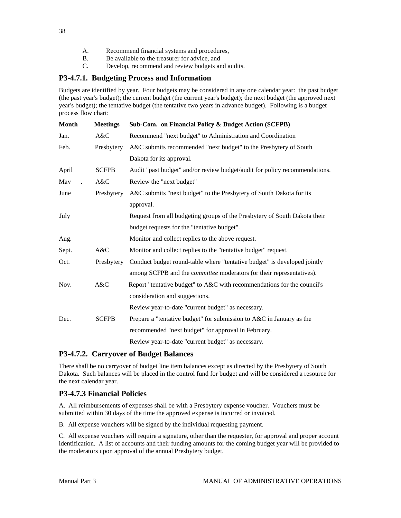- A. Recommend financial systems and procedures,
- B. Be available to the treasurer for advice, and
- C. Develop, recommend and review budgets and audits.

## **P3-4.7.1. Budgeting Process and Information**

Budgets are identified by year. Four budgets may be considered in any one calendar year: the past budget (the past year's budget); the current budget (the current year's budget); the next budget (the approved next year's budget); the tentative budget (the tentative two years in advance budget). Following is a budget process flow chart:

| <b>Month</b> | <b>Meetings</b> | Sub-Com. on Financial Policy & Budget Action (SCFPB)                       |
|--------------|-----------------|----------------------------------------------------------------------------|
| Jan.         | A&C             | Recommend "next budget" to Administration and Coordination                 |
| Feb.         | Presbytery      | A&C submits recommended "next budget" to the Presbytery of South           |
|              |                 | Dakota for its approval.                                                   |
| April        | <b>SCFPB</b>    | Audit "past budget" and/or review budget/audit for policy recommendations. |
| May          | A&C             | Review the "next budget"                                                   |
| June         | Presbytery      | A&C submits "next budget" to the Presbytery of South Dakota for its        |
|              |                 | approval.                                                                  |
| July         |                 | Request from all budgeting groups of the Presbytery of South Dakota their  |
|              |                 | budget requests for the "tentative budget".                                |
| Aug.         |                 | Monitor and collect replies to the above request.                          |
| Sept.        | A&C             | Monitor and collect replies to the "tentative budget" request.             |
| Oct.         | Presbytery      | Conduct budget round-table where "tentative budget" is developed jointly   |
|              |                 | among SCFPB and the committee moderators (or their representatives).       |
| Nov.         | A&C             | Report "tentative budget" to A&C with recommendations for the council's    |
|              |                 | consideration and suggestions.                                             |
|              |                 | Review year-to-date "current budget" as necessary.                         |
| Dec.         | <b>SCFPB</b>    | Prepare a "tentative budget" for submission to A&C in January as the       |
|              |                 | recommended "next budget" for approval in February.                        |
|              |                 | Review year-to-date "current budget" as necessary.                         |

## **P3-4.7.2. Carryover of Budget Balances**

There shall be no carryover of budget line item balances except as directed by the Presbytery of South Dakota. Such balances will be placed in the control fund for budget and will be considered a resource for the next calendar year.

## **P3-4.7.3 Financial Policies**

A. All reimbursements of expenses shall be with a Presbytery expense voucher. Vouchers must be submitted within 30 days of the time the approved expense is incurred or invoiced.

B. All expense vouchers will be signed by the individual requesting payment.

C. All expense vouchers will require a signature, other than the requester, for approval and proper account identification. A list of accounts and their funding amounts for the coming budget year will be provided to the moderators upon approval of the annual Presbytery budget.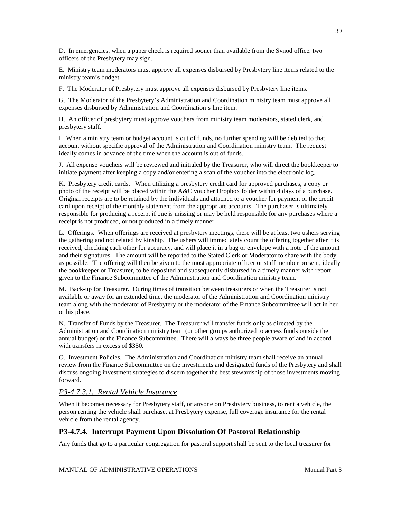D. In emergencies, when a paper check is required sooner than available from the Synod office, two officers of the Presbytery may sign.

E. Ministry team moderators must approve all expenses disbursed by Presbytery line items related to the ministry team's budget.

F. The Moderator of Presbytery must approve all expenses disbursed by Presbytery line items.

G. The Moderator of the Presbytery's Administration and Coordination ministry team must approve all expenses disbursed by Administration and Coordination's line item.

H. An officer of presbytery must approve vouchers from ministry team moderators, stated clerk, and presbytery staff.

I. When a ministry team or budget account is out of funds, no further spending will be debited to that account without specific approval of the Administration and Coordination ministry team. The request ideally comes in advance of the time when the account is out of funds.

J. All expense vouchers will be reviewed and initialed by the Treasurer, who will direct the bookkeeper to initiate payment after keeping a copy and/or entering a scan of the voucher into the electronic log.

K. Presbytery credit cards. When utilizing a presbytery credit card for approved purchases, a copy or photo of the receipt will be placed within the A&C voucher Dropbox folder within 4 days of a purchase. Original receipts are to be retained by the individuals and attached to a voucher for payment of the credit card upon receipt of the monthly statement from the appropriate accounts. The purchaser is ultimately responsible for producing a receipt if one is missing or may be held responsible for any purchases where a receipt is not produced, or not produced in a timely manner.

L. Offerings. When offerings are received at presbytery meetings, there will be at least two ushers serving the gathering and not related by kinship. The ushers will immediately count the offering together after it is received, checking each other for accuracy, and will place it in a bag or envelope with a note of the amount and their signatures. The amount will be reported to the Stated Clerk or Moderator to share with the body as possible. The offering will then be given to the most appropriate officer or staff member present, ideally the bookkeeper or Treasurer, to be deposited and subsequently disbursed in a timely manner with report given to the Finance Subcommittee of the Administration and Coordination ministry team.

M. Back-up for Treasurer. During times of transition between treasurers or when the Treasurer is not available or away for an extended time, the moderator of the Administration and Coordination ministry team along with the moderator of Presbytery or the moderator of the Finance Subcommittee will act in her or his place.

N. Transfer of Funds by the Treasurer. The Treasurer will transfer funds only as directed by the Administration and Coordination ministry team (or other groups authorized to access funds outside the annual budget) or the Finance Subcommittee. There will always be three people aware of and in accord with transfers in excess of \$350.

O. Investment Policies. The Administration and Coordination ministry team shall receive an annual review from the Finance Subcommittee on the investments and designated funds of the Presbytery and shall discuss ongoing investment strategies to discern together the best stewardship of those investments moving forward.

## *P3-4.7.3.1. Rental Vehicle Insurance*

When it becomes necessary for Presbytery staff, or anyone on Presbytery business, to rent a vehicle, the person renting the vehicle shall purchase, at Presbytery expense, full coverage insurance for the rental vehicle from the rental agency.

## **P3-4.7.4. Interrupt Payment Upon Dissolution Of Pastoral Relationship**

Any funds that go to a particular congregation for pastoral support shall be sent to the local treasurer for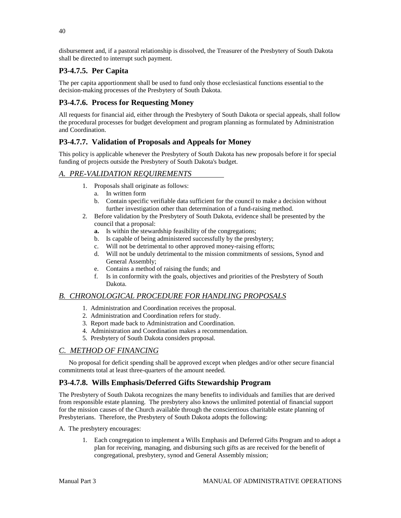disbursement and, if a pastoral relationship is dissolved, the Treasurer of the Presbytery of South Dakota shall be directed to interrupt such payment.

# **P3-4.7.5. Per Capita**

The per capita apportionment shall be used to fund only those ecclesiastical functions essential to the decision-making processes of the Presbytery of South Dakota.

# **P3-4.7.6. Process for Requesting Money**

All requests for financial aid, either through the Presbytery of South Dakota or special appeals, shall follow the procedural processes for budget development and program planning as formulated by Administration and Coordination.

# **P3-4.7.7. Validation of Proposals and Appeals for Money**

This policy is applicable whenever the Presbytery of South Dakota has new proposals before it for special funding of projects outside the Presbytery of South Dakota's budget.

## *A. PRE-VALIDATION REQUIREMENTS*

- 1. Proposals shall originate as follows:
	- a. In written form
	- b. Contain specific verifiable data sufficient for the council to make a decision without further investigation other than determination of a fund-raising method.
- 2. Before validation by the Presbytery of South Dakota, evidence shall be presented by the council that a proposal:
	- **a.** Is within the stewardship feasibility of the congregations;
	- b. Is capable of being administered successfully by the presbytery;
	- c. Will not be detrimental to other approved money-raising efforts;
	- d. Will not be unduly detrimental to the mission commitments of sessions, Synod and General Assembly;
	- e. Contains a method of raising the funds; and
	- f. Is in conformity with the goals, objectives and priorities of the Presbytery of South Dakota.

# *B. CHRONOLOGICAL PROCEDURE FOR HANDLING PROPOSALS*

- 1. Administration and Coordination receives the proposal.
- 2. Administration and Coordination refers for study.
- 3. Report made back to Administration and Coordination.
- 4. Administration and Coordination makes a recommendation.
- 5. Presbytery of South Dakota considers proposal.

# *C. METHOD OF FINANCING*

 No proposal for deficit spending shall be approved except when pledges and/or other secure financial commitments total at least three-quarters of the amount needed.

# **P3-4.7.8. Wills Emphasis/Deferred Gifts Stewardship Program**

The Presbytery of South Dakota recognizes the many benefits to individuals and families that are derived from responsible estate planning. The presbytery also knows the unlimited potential of financial support for the mission causes of the Church available through the conscientious charitable estate planning of Presbyterians. Therefore, the Presbytery of South Dakota adopts the following:

A. The presbytery encourages:

1. Each congregation to implement a Wills Emphasis and Deferred Gifts Program and to adopt a plan for receiving, managing, and disbursing such gifts as are received for the benefit of congregational, presbytery, synod and General Assembly mission;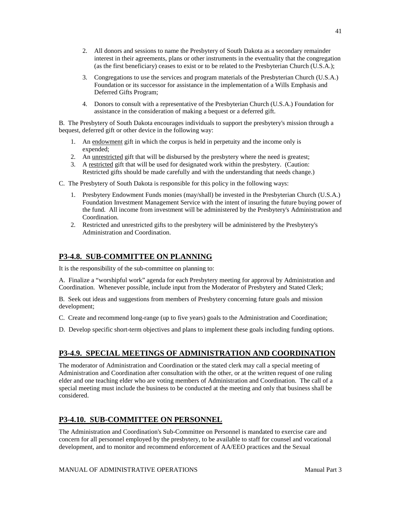- 2. All donors and sessions to name the Presbytery of South Dakota as a secondary remainder interest in their agreements, plans or other instruments in the eventuality that the congregation (as the first beneficiary) ceases to exist or to be related to the Presbyterian Church (U.S.A.);
- 3. Congregations to use the services and program materials of the Presbyterian Church (U.S.A.) Foundation or its successor for assistance in the implementation of a Wills Emphasis and Deferred Gifts Program;
- 4. Donors to consult with a representative of the Presbyterian Church (U.S.A.) Foundation for assistance in the consideration of making a bequest or a deferred gift.

B. The Presbytery of South Dakota encourages individuals to support the presbytery's mission through a bequest, deferred gift or other device in the following way:

- 1. An endowment gift in which the corpus is held in perpetuity and the income only is expended;
- 2. An unrestricted gift that will be disbursed by the presbytery where the need is greatest;
- 3. A restricted gift that will be used for designated work within the presbytery. (Caution: Restricted gifts should be made carefully and with the understanding that needs change.)
- C. The Presbytery of South Dakota is responsible for this policy in the following ways:
	- 1. Presbytery Endowment Funds monies (may/shall) be invested in the Presbyterian Church (U.S.A.) Foundation Investment Management Service with the intent of insuring the future buying power of the fund. All income from investment will be administered by the Presbytery's Administration and Coordination.
	- 2. Restricted and unrestricted gifts to the presbytery will be administered by the Presbytery's Administration and Coordination.

# **P3-4.8. SUB-COMMITTEE ON PLANNING**

It is the responsibility of the sub-committee on planning to:

A. Finalize a "worshipful work" agenda for each Presbytery meeting for approval by Administration and Coordination. Whenever possible, include input from the Moderator of Presbytery and Stated Clerk;

B. Seek out ideas and suggestions from members of Presbytery concerning future goals and mission development;

- C. Create and recommend long-range (up to five years) goals to the Administration and Coordination;
- D. Develop specific short-term objectives and plans to implement these goals including funding options.

# **P3-4.9. SPECIAL MEETINGS OF ADMINISTRATION AND COORDINATION**

The moderator of Administration and Coordination or the stated clerk may call a special meeting of Administration and Coordination after consultation with the other, or at the written request of one ruling elder and one teaching elder who are voting members of Administration and Coordination. The call of a special meeting must include the business to be conducted at the meeting and only that business shall be considered.

# **P3-4.10. SUB-COMMITTEE ON PERSONNEL**

The Administration and Coordination's Sub-Committee on Personnel is mandated to exercise care and concern for all personnel employed by the presbytery, to be available to staff for counsel and vocational development, and to monitor and recommend enforcement of AA/EEO practices and the Sexual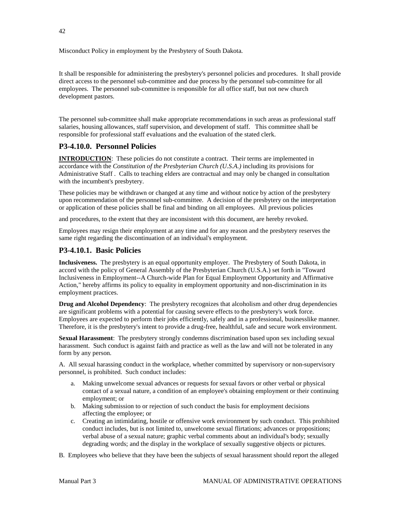Misconduct Policy in employment by the Presbytery of South Dakota.

It shall be responsible for administering the presbytery's personnel policies and procedures. It shall provide direct access to the personnel sub-committee and due process by the personnel sub-committee for all employees. The personnel sub-committee is responsible for all office staff, but not new church development pastors.

The personnel sub-committee shall make appropriate recommendations in such areas as professional staff salaries, housing allowances, staff supervision, and development of staff. This committee shall be responsible for professional staff evaluations and the evaluation of the stated clerk.

## **P3-4.10.0. Personnel Policies**

**INTRODUCTION:** These policies do not constitute a contract. Their terms are implemented in accordance with the *Constitution of the Presbyterian Church (U.S.A.)* including its provisions for Administrative Staff . Calls to teaching elders are contractual and may only be changed in consultation with the incumbent's presbytery.

These policies may be withdrawn or changed at any time and without notice by action of the presbytery upon recommendation of the personnel sub-committee. A decision of the presbytery on the interpretation or application of these policies shall be final and binding on all employees. All previous policies

and procedures, to the extent that they are inconsistent with this document, are hereby revoked.

Employees may resign their employment at any time and for any reason and the presbytery reserves the same right regarding the discontinuation of an individual's employment.

## **P3-4.10.1. Basic Policies**

**Inclusiveness.** The presbytery is an equal opportunity employer. The Presbytery of South Dakota, in accord with the policy of General Assembly of the Presbyterian Church (U.S.A.) set forth in "Toward Inclusiveness in Employment--A Church-wide Plan for Equal Employment Opportunity and Affirmative Action," hereby affirms its policy to equality in employment opportunity and non-discrimination in its employment practices.

**Drug and Alcohol Dependency:** The presbytery recognizes that alcoholism and other drug dependencies are significant problems with a potential for causing severe effects to the presbytery's work force. Employees are expected to perform their jobs efficiently, safely and in a professional, businesslike manner. Therefore, it is the presbytery's intent to provide a drug-free, healthful, safe and secure work environment.

**Sexual Harassment**: The presbytery strongly condemns discrimination based upon sex including sexual harassment. Such conduct is against faith and practice as well as the law and will not be tolerated in any form by any person.

A. All sexual harassing conduct in the workplace, whether committed by supervisory or non-supervisory personnel, is prohibited. Such conduct includes:

- a. Making unwelcome sexual advances or requests for sexual favors or other verbal or physical contact of a sexual nature, a condition of an employee's obtaining employment or their continuing employment; or
- b. Making submission to or rejection of such conduct the basis for employment decisions affecting the employee; or
- c. Creating an intimidating, hostile or offensive work environment by such conduct. This prohibited conduct includes, but is not limited to, unwelcome sexual flirtations; advances or propositions; verbal abuse of a sexual nature; graphic verbal comments about an individual's body; sexually degrading words; and the display in the workplace of sexually suggestive objects or pictures.
- B. Employees who believe that they have been the subjects of sexual harassment should report the alleged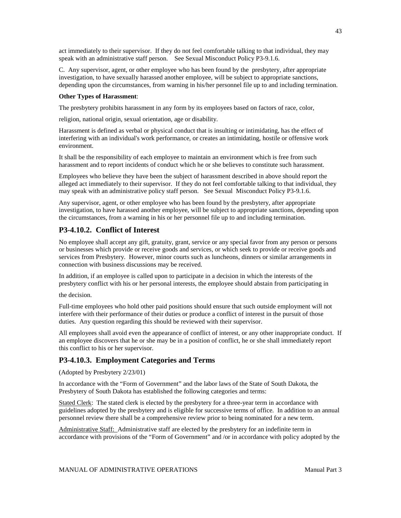act immediately to their supervisor. If they do not feel comfortable talking to that individual, they may speak with an administrative staff person. See Sexual Misconduct Policy P3-9.1.6.

C. Any supervisor, agent, or other employee who has been found by the presbytery, after appropriate investigation, to have sexually harassed another employee, will be subject to appropriate sanctions, depending upon the circumstances, from warning in his/her personnel file up to and including termination.

#### **Other Types of Harassment**:

The presbytery prohibits harassment in any form by its employees based on factors of race, color,

religion, national origin, sexual orientation, age or disability.

Harassment is defined as verbal or physical conduct that is insulting or intimidating, has the effect of interfering with an individual's work performance, or creates an intimidating, hostile or offensive work environment.

It shall be the responsibility of each employee to maintain an environment which is free from such harassment and to report incidents of conduct which he or she believes to constitute such harassment.

Employees who believe they have been the subject of harassment described in above should report the alleged act immediately to their supervisor. If they do not feel comfortable talking to that individual, they may speak with an administrative policy staff person. See Sexual Misconduct Policy P3-9.1.6.

Any supervisor, agent, or other employee who has been found by the presbytery, after appropriate investigation, to have harassed another employee, will be subject to appropriate sanctions, depending upon the circumstances, from a warning in his or her personnel file up to and including termination.

# **P3-4.10.2. Conflict of Interest**

No employee shall accept any gift, gratuity, grant, service or any special favor from any person or persons or businesses which provide or receive goods and services, or which seek to provide or receive goods and services from Presbytery. However, minor courts such as luncheons, dinners or similar arrangements in connection with business discussions may be received.

In addition, if an employee is called upon to participate in a decision in which the interests of the presbytery conflict with his or her personal interests, the employee should abstain from participating in

the decision.

Full-time employees who hold other paid positions should ensure that such outside employment will not interfere with their performance of their duties or produce a conflict of interest in the pursuit of those duties. Any question regarding this should be reviewed with their supervisor.

All employees shall avoid even the appearance of conflict of interest, or any other inappropriate conduct. If an employee discovers that he or she may be in a position of conflict, he or she shall immediately report this conflict to his or her supervisor.

# **P3-4.10.3. Employment Categories and Terms**

(Adopted by Presbytery 2/23/01)

In accordance with the "Form of Government" and the labor laws of the State of South Dakota, the Presbytery of South Dakota has established the following categories and terms:

Stated Clerk: The stated clerk is elected by the presbytery for a three-year term in accordance with guidelines adopted by the presbytery and is eligible for successive terms of office. In addition to an annual personnel review there shall be a comprehensive review prior to being nominated for a new term.

Administrative Staff: Administrative staff are elected by the presbytery for an indefinite term in accordance with provisions of the "Form of Government" and /or in accordance with policy adopted by the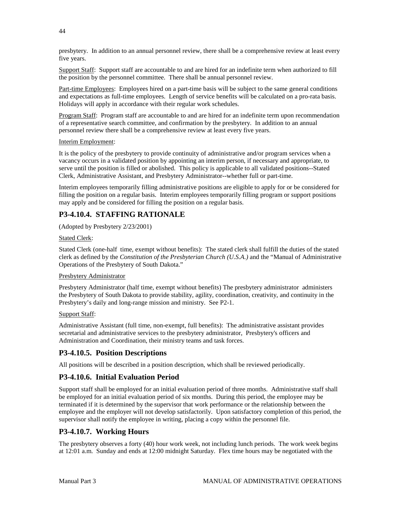presbytery. In addition to an annual personnel review, there shall be a comprehensive review at least every five years.

Support Staff: Support staff are accountable to and are hired for an indefinite term when authorized to fill the position by the personnel committee. There shall be annual personnel review.

Part-time Employees: Employees hired on a part-time basis will be subject to the same general conditions and expectations as full-time employees. Length of service benefits will be calculated on a pro-rata basis. Holidays will apply in accordance with their regular work schedules.

Program Staff: Program staff are accountable to and are hired for an indefinite term upon recommendation of a representative search committee, and confirmation by the presbytery. In addition to an annual personnel review there shall be a comprehensive review at least every five years.

### Interim Employment:

It is the policy of the presbytery to provide continuity of administrative and/or program services when a vacancy occurs in a validated position by appointing an interim person, if necessary and appropriate, to serve until the position is filled or abolished. This policy is applicable to all validated positions--Stated Clerk, Administrative Assistant, and Presbytery Administrator--whether full or part-time.

Interim employees temporarily filling administrative positions are eligible to apply for or be considered for filling the position on a regular basis. Interim employees temporarily filling program or support positions may apply and be considered for filling the position on a regular basis.

## **P3-4.10.4. STAFFING RATIONALE**

(Adopted by Presbytery 2/23/2001)

### Stated Clerk:

Stated Clerk (one-half time, exempt without benefits): The stated clerk shall fulfill the duties of the stated clerk as defined by the *Constitution of the Presbyterian Church (U.S.A.)* and the "Manual of Administrative Operations of the Presbytery of South Dakota."

### Presbytery Administrator

Presbytery Administrator (half time, exempt without benefits) The presbytery administrator administers the Presbytery of South Dakota to provide stability, agility, coordination, creativity, and continuity in the Presbytery's daily and long-range mission and ministry. See P2-1.

### Support Staff:

Administrative Assistant (full time, non-exempt, full benefits): The administrative assistant provides secretarial and administrative services to the presbytery administrator, Presbytery's officers and Administration and Coordination, their ministry teams and task forces.

## **P3-4.10.5. Position Descriptions**

All positions will be described in a position description, which shall be reviewed periodically.

## **P3-4.10.6. Initial Evaluation Period**

Support staff shall be employed for an initial evaluation period of three months. Administrative staff shall be employed for an initial evaluation period of six months. During this period, the employee may be terminated if it is determined by the supervisor that work performance or the relationship between the employee and the employer will not develop satisfactorily. Upon satisfactory completion of this period, the supervisor shall notify the employee in writing, placing a copy within the personnel file.

## **P3-4.10.7. Working Hours**

The presbytery observes a forty (40) hour work week, not including lunch periods. The work week begins at 12:01 a.m. Sunday and ends at 12:00 midnight Saturday. Flex time hours may be negotiated with the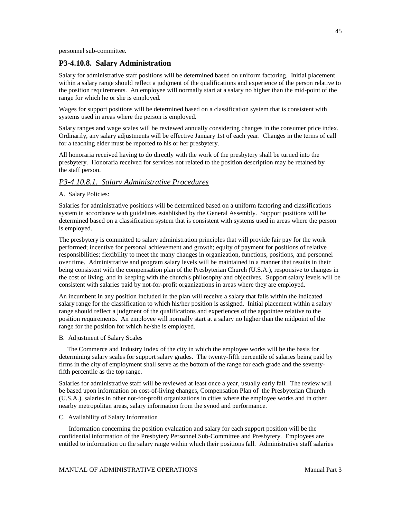personnel sub-committee.

### **P3-4.10.8. Salary Administration**

Salary for administrative staff positions will be determined based on uniform factoring. Initial placement within a salary range should reflect a judgment of the qualifications and experience of the person relative to the position requirements. An employee will normally start at a salary no higher than the mid-point of the range for which he or she is employed.

Wages for support positions will be determined based on a classification system that is consistent with systems used in areas where the person is employed.

Salary ranges and wage scales will be reviewed annually considering changes in the consumer price index. Ordinarily, any salary adjustments will be effective January 1st of each year. Changes in the terms of call for a teaching elder must be reported to his or her presbytery.

All honoraria received having to do directly with the work of the presbytery shall be turned into the presbytery. Honoraria received for services not related to the position description may be retained by the staff person.

## *P3-4.10.8.1. Salary Administrative Procedures*

#### A. Salary Policies:

Salaries for administrative positions will be determined based on a uniform factoring and classifications system in accordance with guidelines established by the General Assembly. Support positions will be determined based on a classification system that is consistent with systems used in areas where the person is employed.

The presbytery is committed to salary administration principles that will provide fair pay for the work performed; incentive for personal achievement and growth; equity of payment for positions of relative responsibilities; flexibility to meet the many changes in organization, functions, positions, and personnel over time. Administrative and program salary levels will be maintained in a manner that results in their being consistent with the compensation plan of the Presbyterian Church (U.S.A.), responsive to changes in the cost of living, and in keeping with the church's philosophy and objectives. Support salary levels will be consistent with salaries paid by not-for-profit organizations in areas where they are employed.

An incumbent in any position included in the plan will receive a salary that falls within the indicated salary range for the classification to which his/her position is assigned. Initial placement within a salary range should reflect a judgment of the qualifications and experiences of the appointee relative to the position requirements. An employee will normally start at a salary no higher than the midpoint of the range for the position for which he/she is employed.

#### B. Adjustment of Salary Scales

 The Commerce and Industry Index of the city in which the employee works will be the basis for determining salary scales for support salary grades. The twenty-fifth percentile of salaries being paid by firms in the city of employment shall serve as the bottom of the range for each grade and the seventyfifth percentile as the top range.

Salaries for administrative staff will be reviewed at least once a year, usually early fall. The review will be based upon information on cost-of-living changes, Compensation Plan of the Presbyterian Church (U.S.A.), salaries in other not-for-profit organizations in cities where the employee works and in other nearby metropolitan areas, salary information from the synod and performance.

#### C. Availability of Salary Information

 Information concerning the position evaluation and salary for each support position will be the confidential information of the Presbytery Personnel Sub-Committee and Presbytery. Employees are entitled to information on the salary range within which their positions fall. Administrative staff salaries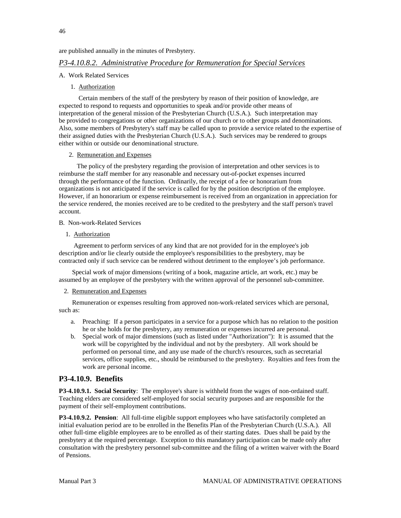are published annually in the minutes of Presbytery.

### *P3-4.10.8.2. Administrative Procedure for Remuneration for Special Services*

- A. Work Related Services
	- 1. Authorization

 Certain members of the staff of the presbytery by reason of their position of knowledge, are expected to respond to requests and opportunities to speak and/or provide other means of interpretation of the general mission of the Presbyterian Church (U.S.A.). Such interpretation may be provided to congregations or other organizations of our church or to other groups and denominations. Also, some members of Presbytery's staff may be called upon to provide a service related to the expertise of their assigned duties with the Presbyterian Church (U.S.A.). Such services may be rendered to groups either within or outside our denominational structure.

## 2. Remuneration and Expenses

 The policy of the presbytery regarding the provision of interpretation and other services is to reimburse the staff member for any reasonable and necessary out-of-pocket expenses incurred through the performance of the function. Ordinarily, the receipt of a fee or honorarium from organizations is not anticipated if the service is called for by the position description of the employee. However, if an honorarium or expense reimbursement is received from an organization in appreciation for the service rendered, the monies received are to be credited to the presbytery and the staff person's travel account.

#### B. Non-work-Related Services

1. Authorization

 Agreement to perform services of any kind that are not provided for in the employee's job description and/or lie clearly outside the employee's responsibilities to the presbytery, may be contracted only if such service can be rendered without detriment to the employee's job performance.

 Special work of major dimensions (writing of a book, magazine article, art work, etc.) may be assumed by an employee of the presbytery with the written approval of the personnel sub-committee.

#### 2. Remuneration and Expenses

 Remuneration or expenses resulting from approved non-work-related services which are personal, such as:

- a. Preaching: If a person participates in a service for a purpose which has no relation to the position he or she holds for the presbytery, any remuneration or expenses incurred are personal.
- b. Special work of major dimensions (such as listed under "Authorization"): It is assumed that the work will be copyrighted by the individual and not by the presbytery. All work should be performed on personal time, and any use made of the church's resources, such as secretarial services, office supplies, etc., should be reimbursed to the presbytery. Royalties and fees from the work are personal income.

### **P3-4.10.9. Benefits**

**P3-4.10.9.1. Social Security**: The employee's share is withheld from the wages of non-ordained staff. Teaching elders are considered self-employed for social security purposes and are responsible for the payment of their self-employment contributions.

**P3-4.10.9.2. Pension**: All full-time eligible support employees who have satisfactorily completed an initial evaluation period are to be enrolled in the Benefits Plan of the Presbyterian Church (U.S.A.). All other full-time eligible employees are to be enrolled as of their starting dates. Dues shall be paid by the presbytery at the required percentage. Exception to this mandatory participation can be made only after consultation with the presbytery personnel sub-committee and the filing of a written waiver with the Board of Pensions.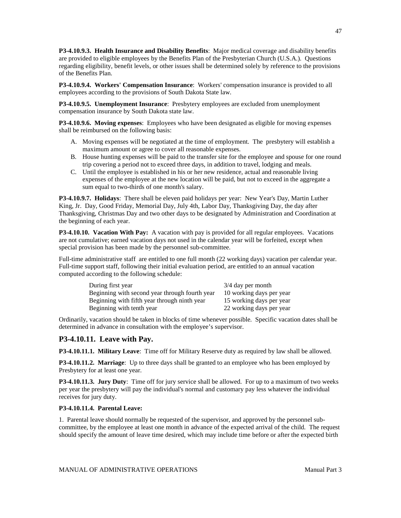**P3-4.10.9.3. Health Insurance and Disability Benefits**: Major medical coverage and disability benefits are provided to eligible employees by the Benefits Plan of the Presbyterian Church (U.S.A.). Questions regarding eligibility, benefit levels, or other issues shall be determined solely by reference to the provisions of the Benefits Plan.

**P3-4.10.9.4. Workers' Compensation Insurance**: Workers' compensation insurance is provided to all employees according to the provisions of South Dakota State law.

**P3-4.10.9.5. Unemployment Insurance**: Presbytery employees are excluded from unemployment compensation insurance by South Dakota state law.

**P3-4.10.9.6. Moving expenses**: Employees who have been designated as eligible for moving expenses shall be reimbursed on the following basis:

- A. Moving expenses will be negotiated at the time of employment. The presbytery will establish a maximum amount or agree to cover all reasonable expenses.
- B. House hunting expenses will be paid to the transfer site for the employee and spouse for one round trip covering a period not to exceed three days, in addition to travel, lodging and meals.
- C. Until the employee is established in his or her new residence, actual and reasonable living expenses of the employee at the new location will be paid, but not to exceed in the aggregate a sum equal to two-thirds of one month's salary.

**P3-4.10.9.7. Holidays**: There shall be eleven paid holidays per year: New Year's Day, Martin Luther King, Jr. Day, Good Friday, Memorial Day, July 4th, Labor Day, Thanksgiving Day, the day after Thanksgiving, Christmas Day and two other days to be designated by Administration and Coordination at the beginning of each year.

**P3-4.10.10. Vacation With Pay:** A vacation with pay is provided for all regular employees. Vacations are not cumulative; earned vacation days not used in the calendar year will be forfeited, except when special provision has been made by the personnel sub-committee.

Full-time administrative staff are entitled to one full month (22 working days) vacation per calendar year. Full-time support staff, following their initial evaluation period, are entitled to an annual vacation computed according to the following schedule:

| During first year                              | $3/4$ day per month      |
|------------------------------------------------|--------------------------|
| Beginning with second year through fourth year | 10 working days per year |
| Beginning with fifth year through ninth year   | 15 working days per year |
| Beginning with tenth year                      | 22 working days per year |

Ordinarily, vacation should be taken in blocks of time whenever possible. Specific vacation dates shall be determined in advance in consultation with the employee's supervisor.

### **P3-4.10.11. Leave with Pay.**

**P3-4.10.11.1. Military Leave**: Time off for Military Reserve duty as required by law shall be allowed.

**P3-4.10.11.2. Marriage**: Up to three days shall be granted to an employee who has been employed by Presbytery for at least one year.

**P3-4.10.11.3. Jury Duty**: Time off for jury service shall be allowed. For up to a maximum of two weeks per year the presbytery will pay the individual's normal and customary pay less whatever the individual receives for jury duty.

#### **P3-4.10.11.4. Parental Leave:**

1. Parental leave should normally be requested of the supervisor, and approved by the personnel subcommittee, by the employee at least one month in advance of the expected arrival of the child. The request should specify the amount of leave time desired, which may include time before or after the expected birth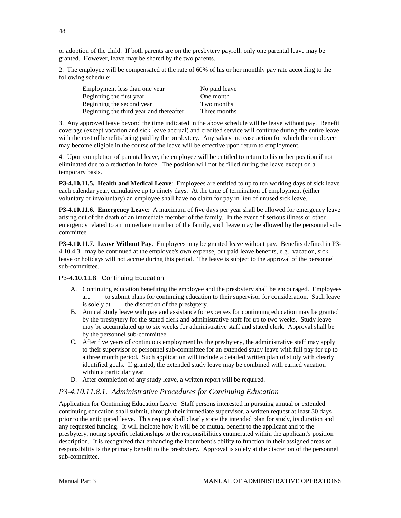or adoption of the child. If both parents are on the presbytery payroll, only one parental leave may be granted. However, leave may be shared by the two parents.

2. The employee will be compensated at the rate of 60% of his or her monthly pay rate according to the following schedule:

| Employment less than one year           | No paid leave |
|-----------------------------------------|---------------|
| Beginning the first year                | One month     |
| Beginning the second year               | Two months    |
| Beginning the third year and thereafter | Three months  |

3. Any approved leave beyond the time indicated in the above schedule will be leave without pay. Benefit coverage (except vacation and sick leave accrual) and credited service will continue during the entire leave with the cost of benefits being paid by the presbytery. Any salary increase action for which the employee may become eligible in the course of the leave will be effective upon return to employment.

4. Upon completion of parental leave, the employee will be entitled to return to his or her position if not eliminated due to a reduction in force. The position will not be filled during the leave except on a temporary basis.

**P3-4.10.11.5. Health and Medical Leave**: Employees are entitled to up to ten working days of sick leave each calendar year, cumulative up to ninety days. At the time of termination of employment (either voluntary or involuntary) an employee shall have no claim for pay in lieu of unused sick leave.

**P3-4.10.11.6. Emergency Leave**: A maximum of five days per year shall be allowed for emergency leave arising out of the death of an immediate member of the family. In the event of serious illness or other emergency related to an immediate member of the family, such leave may be allowed by the personnel subcommittee.

**P3-4.10.11.7. Leave Without Pay**. Employees may be granted leave without pay. Benefits defined in P3- 4.10.4.3. may be continued at the employee's own expense, but paid leave benefits, e.g. vacation, sick leave or holidays will not accrue during this period. The leave is subject to the approval of the personnel sub-committee.

#### P3-4.10.11.8. Continuing Education

- A. Continuing education benefiting the employee and the presbytery shall be encouraged. Employees are to submit plans for continuing education to their supervisor for consideration. Such leave is solely at the discretion of the presbytery.
- B. Annual study leave with pay and assistance for expenses for continuing education may be granted by the presbytery for the stated clerk and administrative staff for up to two weeks. Study leave may be accumulated up to six weeks for administrative staff and stated clerk. Approval shall be by the personnel sub-committee.
- C. After five years of continuous employment by the presbytery, the administrative staff may apply to their supervisor or personnel sub-committee for an extended study leave with full pay for up to a three month period. Such application will include a detailed written plan of study with clearly identified goals. If granted, the extended study leave may be combined with earned vacation within a particular year.
- D. After completion of any study leave, a written report will be required.

## *P3-4.10.11.8.1. Administrative Procedures for Continuing Education*

Application for Continuing Education Leave: Staff persons interested in pursuing annual or extended continuing education shall submit, through their immediate supervisor, a written request at least 30 days prior to the anticipated leave. This request shall clearly state the intended plan for study, its duration and any requested funding. It will indicate how it will be of mutual benefit to the applicant and to the presbytery, noting specific relationships to the responsibilities enumerated within the applicant's position description. It is recognized that enhancing the incumbent's ability to function in their assigned areas of responsibility is the primary benefit to the presbytery. Approval is solely at the discretion of the personnel sub-committee.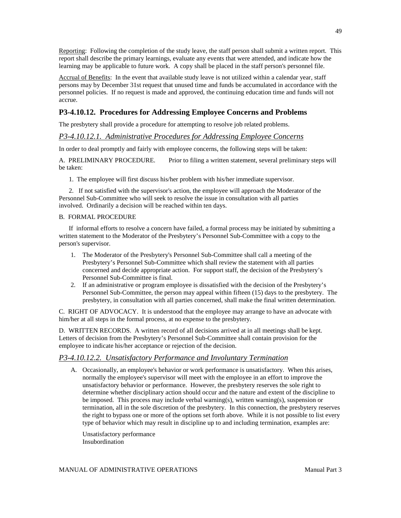Reporting: Following the completion of the study leave, the staff person shall submit a written report. This report shall describe the primary learnings, evaluate any events that were attended, and indicate how the learning may be applicable to future work. A copy shall be placed in the staff person's personnel file.

Accrual of Benefits: In the event that available study leave is not utilized within a calendar year, staff persons may by December 31st request that unused time and funds be accumulated in accordance with the personnel policies. If no request is made and approved, the continuing education time and funds will not accrue.

## **P3-4.10.12. Procedures for Addressing Employee Concerns and Problems**

The presbytery shall provide a procedure for attempting to resolve job related problems.

## *P3-4.10.12.1. Administrative Procedures for Addressing Employee Concerns*

In order to deal promptly and fairly with employee concerns, the following steps will be taken:

A. PRELIMINARY PROCEDURE. Prior to filing a written statement, several preliminary steps will be taken:

1. The employee will first discuss his/her problem with his/her immediate supervisor.

 2. If not satisfied with the supervisor's action, the employee will approach the Moderator of the Personnel Sub-Committee who will seek to resolve the issue in consultation with all parties involved. Ordinarily a decision will be reached within ten days.

### B. FORMAL PROCEDURE

 If informal efforts to resolve a concern have failed, a formal process may be initiated by submitting a written statement to the Moderator of the Presbytery's Personnel Sub-Committee with a copy to the person's supervisor.

- 1. The Moderator of the Presbytery's Personnel Sub-Committee shall call a meeting of the Presbytery's Personnel Sub-Committee which shall review the statement with all parties concerned and decide appropriate action. For support staff, the decision of the Presbytery's Personnel Sub-Committee is final.
- 2. If an administrative or program employee is dissatisfied with the decision of the Presbytery's Personnel Sub-Committee, the person may appeal within fifteen (15) days to the presbytery. The presbytery, in consultation with all parties concerned, shall make the final written determination.

C. RIGHT OF ADVOCACY. It is understood that the employee may arrange to have an advocate with him/her at all steps in the formal process, at no expense to the presbytery.

D. WRITTEN RECORDS. A written record of all decisions arrived at in all meetings shall be kept. Letters of decision from the Presbytery's Personnel Sub-Committee shall contain provision for the employee to indicate his/her acceptance or rejection of the decision.

## *P3-4.10.12.2. Unsatisfactory Performance and Involuntary Termination*

A. Occasionally, an employee's behavior or work performance is unsatisfactory. When this arises, normally the employee's supervisor will meet with the employee in an effort to improve the unsatisfactory behavior or performance. However, the presbytery reserves the sole right to determine whether disciplinary action should occur and the nature and extent of the discipline to be imposed. This process may include verbal warning(s), written warning(s), suspension or termination, all in the sole discretion of the presbytery. In this connection, the presbytery reserves the right to bypass one or more of the options set forth above. While it is not possible to list every type of behavior which may result in discipline up to and including termination, examples are:

Unsatisfactory performance Insubordination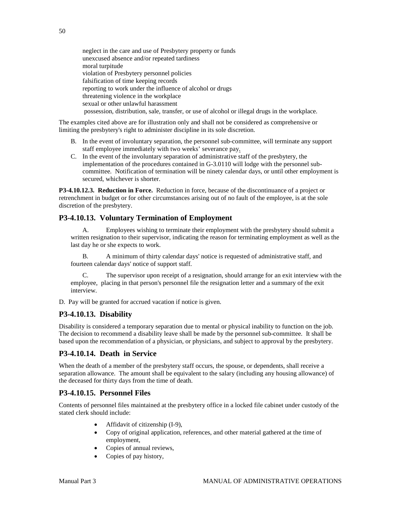neglect in the care and use of Presbytery property or funds unexcused absence and/or repeated tardiness moral turpitude violation of Presbytery personnel policies falsification of time keeping records reporting to work under the influence of alcohol or drugs threatening violence in the workplace sexual or other unlawful harassment possession, distribution, sale, transfer, or use of alcohol or illegal drugs in the workplace.

The examples cited above are for illustration only and shall not be considered as comprehensive or limiting the presbytery's right to administer discipline in its sole discretion.

- B. In the event of involuntary separation, the personnel sub-committee, will terminate any support staff employee immediately with two weeks' severance pay.
- C. In the event of the involuntary separation of administrative staff of the presbytery, the implementation of the procedures contained in G-3.0110 will lodge with the personnel subcommittee. Notification of termination will be ninety calendar days, or until other employment is secured, whichever is shorter.

**P3-4.10.12.3. Reduction in Force.** Reduction in force, because of the discontinuance of a project or retrenchment in budget or for other circumstances arising out of no fault of the employee, is at the sole discretion of the presbytery.

## **P3-4.10.13. Voluntary Termination of Employment**

Employees wishing to terminate their employment with the presbytery should submit a written resignation to their supervisor, indicating the reason for terminating employment as well as the last day he or she expects to work.

B. A minimum of thirty calendar days' notice is requested of administrative staff, and fourteen calendar days' notice of support staff.

C. The supervisor upon receipt of a resignation, should arrange for an exit interview with the employee, placing in that person's personnel file the resignation letter and a summary of the exit interview.

D. Pay will be granted for accrued vacation if notice is given.

## **P3-4.10.13. Disability**

Disability is considered a temporary separation due to mental or physical inability to function on the job. The decision to recommend a disability leave shall be made by the personnel sub-committee. It shall be based upon the recommendation of a physician, or physicians, and subject to approval by the presbytery.

## **P3-4.10.14. Death in Service**

When the death of a member of the presbytery staff occurs, the spouse, or dependents, shall receive a separation allowance. The amount shall be equivalent to the salary (including any housing allowance) of the deceased for thirty days from the time of death.

## **P3-4.10.15. Personnel Files**

Contents of personnel files maintained at the presbytery office in a locked file cabinet under custody of the stated clerk should include:

- Affidavit of citizenship (I-9),
- Copy of original application, references, and other material gathered at the time of employment,
- Copies of annual reviews,
- Copies of pay history,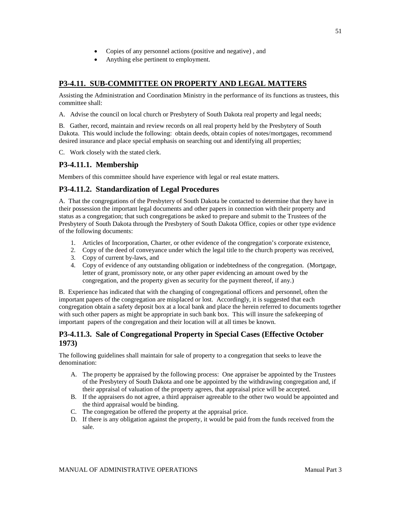- Copies of any personnel actions (positive and negative) , and
- Anything else pertinent to employment.

# **P3-4.11. SUB-COMMITTEE ON PROPERTY AND LEGAL MATTERS**

Assisting the Administration and Coordination Ministry in the performance of its functions as trustees, this committee shall:

A. Advise the council on local church or Presbytery of South Dakota real property and legal needs;

B. Gather, record, maintain and review records on all real property held by the Presbytery of South Dakota. This would include the following: obtain deeds, obtain copies of notes/mortgages, recommend desired insurance and place special emphasis on searching out and identifying all properties;

C. Work closely with the stated clerk.

## **P3-4.11.1. Membership**

Members of this committee should have experience with legal or real estate matters.

## **P3-4.11.2. Standardization of Legal Procedures**

A. That the congregations of the Presbytery of South Dakota be contacted to determine that they have in their possession the important legal documents and other papers in connection with their property and status as a congregation; that such congregations be asked to prepare and submit to the Trustees of the Presbytery of South Dakota through the Presbytery of South Dakota Office, copies or other type evidence of the following documents:

- 1. Articles of Incorporation, Charter, or other evidence of the congregation's corporate existence,
- 2. Copy of the deed of conveyance under which the legal title to the church property was received,
- 3. Copy of current by-laws, and
- 4. Copy of evidence of any outstanding obligation or indebtedness of the congregation. (Mortgage, letter of grant, promissory note, or any other paper evidencing an amount owed by the congregation, and the property given as security for the payment thereof, if any.)

B. Experience has indicated that with the changing of congregational officers and personnel, often the important papers of the congregation are misplaced or lost. Accordingly, it is suggested that each congregation obtain a safety deposit box at a local bank and place the herein referred to documents together with such other papers as might be appropriate in such bank box. This will insure the safekeeping of important papers of the congregation and their location will at all times be known.

## **P3-4.11.3. Sale of Congregational Property in Special Cases (Effective October 1973)**

The following guidelines shall maintain for sale of property to a congregation that seeks to leave the denomination:

- A. The property be appraised by the following process: One appraiser be appointed by the Trustees of the Presbytery of South Dakota and one be appointed by the withdrawing congregation and, if their appraisal of valuation of the property agrees, that appraisal price will be accepted.
- B. If the appraisers do not agree, a third appraiser agreeable to the other two would be appointed and the third appraisal would be binding.
- C. The congregation be offered the property at the appraisal price.
- D. If there is any obligation against the property, it would be paid from the funds received from the sale.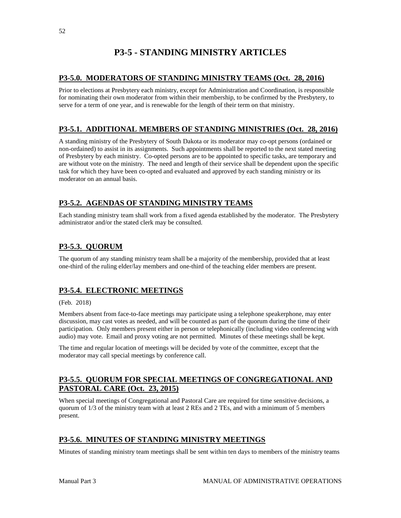# **P3-5 - STANDING MINISTRY ARTICLES**

# **P3-5.0. MODERATORS OF STANDING MINISTRY TEAMS (Oct. 28, 2016)**

Prior to elections at Presbytery each ministry, except for Administration and Coordination, is responsible for nominating their own moderator from within their membership, to be confirmed by the Presbytery, to serve for a term of one year, and is renewable for the length of their term on that ministry.

# **P3-5.1. ADDITIONAL MEMBERS OF STANDING MINISTRIES (Oct. 28, 2016)**

A standing ministry of the Presbytery of South Dakota or its moderator may co-opt persons (ordained or non-ordained) to assist in its assignments. Such appointments shall be reported to the next stated meeting of Presbytery by each ministry. Co-opted persons are to be appointed to specific tasks, are temporary and are without vote on the ministry. The need and length of their service shall be dependent upon the specific task for which they have been co-opted and evaluated and approved by each standing ministry or its moderator on an annual basis.

# **P3-5.2. AGENDAS OF STANDING MINISTRY TEAMS**

Each standing ministry team shall work from a fixed agenda established by the moderator. The Presbytery administrator and/or the stated clerk may be consulted.

# **P3-5.3. QUORUM**

The quorum of any standing ministry team shall be a majority of the membership, provided that at least one-third of the ruling elder/lay members and one-third of the teaching elder members are present.

# **P3-5.4. ELECTRONIC MEETINGS**

### (Feb. 2018)

Members absent from face-to-face meetings may participate using a telephone speakerphone, may enter discussion, may cast votes as needed, and will be counted as part of the quorum during the time of their participation. Only members present either in person or telephonically (including video conferencing with audio) may vote. Email and proxy voting are not permitted. Minutes of these meetings shall be kept.

The time and regular location of meetings will be decided by vote of the committee, except that the moderator may call special meetings by conference call.

# **P3-5.5. QUORUM FOR SPECIAL MEETINGS OF CONGREGATIONAL AND PASTORAL CARE (Oct. 23, 2015)**

When special meetings of Congregational and Pastoral Care are required for time sensitive decisions, a quorum of 1/3 of the ministry team with at least 2 REs and 2 TEs, and with a minimum of 5 members present.

# **P3-5.6. MINUTES OF STANDING MINISTRY MEETINGS**

Minutes of standing ministry team meetings shall be sent within ten days to members of the ministry teams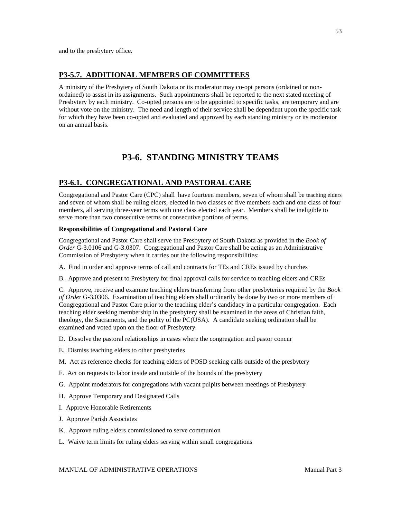## **P3-5.7. ADDITIONAL MEMBERS OF COMMITTEES**

A ministry of the Presbytery of South Dakota or its moderator may co-opt persons (ordained or nonordained) to assist in its assignments. Such appointments shall be reported to the next stated meeting of Presbytery by each ministry. Co-opted persons are to be appointed to specific tasks, are temporary and are without vote on the ministry. The need and length of their service shall be dependent upon the specific task for which they have been co-opted and evaluated and approved by each standing ministry or its moderator on an annual basis.

# **P3-6. STANDING MINISTRY TEAMS**

### **P3-6.1. CONGREGATIONAL AND PASTORAL CARE**

Congregational and Pastor Care (CPC) shall have fourteen members, seven of whom shall be teaching elders and seven of whom shall be ruling elders, elected in two classes of five members each and one class of four members, all serving three-year terms with one class elected each year. Members shall be ineligible to serve more than two consecutive terms or consecutive portions of terms.

#### **Responsibilities of Congregational and Pastoral Care**

Congregational and Pastor Care shall serve the Presbytery of South Dakota as provided in the *Book of Order* G-3.0106 and G-3.0307. Congregational and Pastor Care shall be acting as an Administrative Commission of Presbytery when it carries out the following responsibilities:

- A. Find in order and approve terms of call and contracts for TEs and CREs issued by churches
- B. Approve and present to Presbytery for final approval calls for service to teaching elders and CREs

C. Approve, receive and examine teaching elders transferring from other presbyteries required by the *Book of Orde*r G-3.0306. Examination of teaching elders shall ordinarily be done by two or more members of Congregational and Pastor Care prior to the teaching elder's candidacy in a particular congregation. Each teaching elder seeking membership in the presbytery shall be examined in the areas of Christian faith, theology, the Sacraments, and the polity of the PC(USA). A candidate seeking ordination shall be examined and voted upon on the floor of Presbytery.

- D. Dissolve the pastoral relationships in cases where the congregation and pastor concur
- E. Dismiss teaching elders to other presbyteries
- M. Act as reference checks for teaching elders of POSD seeking calls outside of the presbytery
- F. Act on requests to labor inside and outside of the bounds of the presbytery
- G. Appoint moderators for congregations with vacant pulpits between meetings of Presbytery
- H. Approve Temporary and Designated Calls
- I. Approve Honorable Retirements
- J. Approve Parish Associates
- K. Approve ruling elders commissioned to serve communion
- L. Waive term limits for ruling elders serving within small congregations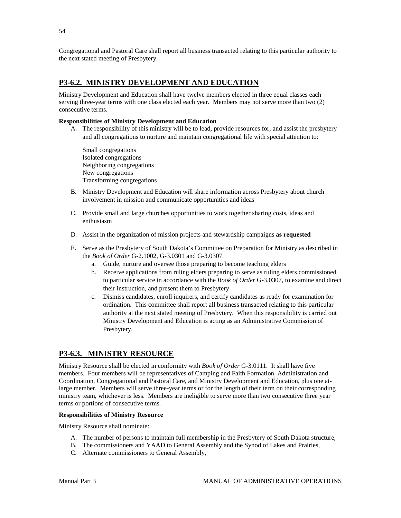Congregational and Pastoral Care shall report all business transacted relating to this particular authority to the next stated meeting of Presbytery.

## **P3-6.2. MINISTRY DEVELOPMENT AND EDUCATION**

Ministry Development and Education shall have twelve members elected in three equal classes each serving three-year terms with one class elected each year. Members may not serve more than two (2) consecutive terms.

#### **Responsibilities of Ministry Development and Education**

A. The responsibility of this ministry will be to lead, provide resources for, and assist the presbytery and all congregations to nurture and maintain congregational life with special attention to:

Small congregations Isolated congregations Neighboring congregations New congregations Transforming congregations

- B. Ministry Development and Education will share information across Presbytery about church involvement in mission and communicate opportunities and ideas
- C. Provide small and large churches opportunities to work together sharing costs, ideas and enthusiasm
- D. Assist in the organization of mission projects and stewardship campaigns **as requested**
- E. Serve as the Presbytery of South Dakota's Committee on Preparation for Ministry as described in the *Book of Order* G-2.1002, G-3.0301 and G-3.0307.
	- a. Guide, nurture and oversee those preparing to become teaching elders
	- b. Receive applications from ruling elders preparing to serve as ruling elders commissioned to particular service in accordance with the *Book of Order* G-3.0307, to examine and direct their instruction, and present them to Presbytery
	- c. Dismiss candidates, enroll inquirers, and certify candidates as ready for examination for ordination. This committee shall report all business transacted relating to this particular authority at the next stated meeting of Presbytery. When this responsibility is carried out Ministry Development and Education is acting as an Administrative Commission of Presbytery.

## **P3-6.3. MINISTRY RESOURCE**

Ministry Resource shall be elected in conformity with *Book of Order* G-3.0111. It shall have five members. Four members will be representatives of Camping and Faith Formation, Administration and Coordination, Congregational and Pastoral Care, and Ministry Development and Education, plus one atlarge member. Members will serve three-year terms or for the length of their term on their corresponding ministry team, whichever is less. Members are ineligible to serve more than two consecutive three year terms or portions of consecutive terms.

#### **Responsibilities of Ministry Resource**

Ministry Resource shall nominate:

- A. The number of persons to maintain full membership in the Presbytery of South Dakota structure,
- B. The commissioners and YAAD to General Assembly and the Synod of Lakes and Prairies,
- C. Alternate commissioners to General Assembly,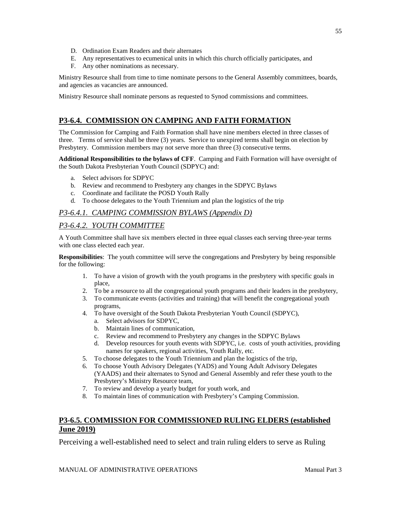- D. Ordination Exam Readers and their alternates
- E. Any representatives to ecumenical units in which this church officially participates, and
- F. Any other nominations as necessary.

Ministry Resource shall from time to time nominate persons to the General Assembly committees, boards, and agencies as vacancies are announced.

Ministry Resource shall nominate persons as requested to Synod commissions and committees.

# **P3-6.4. COMMISSION ON CAMPING AND FAITH FORMATION**

The Commission for Camping and Faith Formation shall have nine members elected in three classes of three. Terms of service shall be three (3) years. Service to unexpired terms shall begin on election by Presbytery. Commission members may not serve more than three (3) consecutive terms.

**Additional Responsibilities to the bylaws of CFF**. Camping and Faith Formation will have oversight of the South Dakota Presbyterian Youth Council (SDPYC) and:

- a. Select advisors for SDPYC
- b. Review and recommend to Presbytery any changes in the SDPYC Bylaws
- c. Coordinate and facilitate the POSD Youth Rally
- d. To choose delegates to the Youth Triennium and plan the logistics of the trip

## *P3-6.4.1. CAMPING COMMISSION BYLAWS (Appendix D)*

## *P3-6.4.2. YOUTH COMMITTEE*

A Youth Committee shall have six members elected in three equal classes each serving three-year terms with one class elected each year.

**Responsibilities**: The youth committee will serve the congregations and Presbytery by being responsible for the following:

- 1. To have a vision of growth with the youth programs in the presbytery with specific goals in place,
- 2. To be a resource to all the congregational youth programs and their leaders in the presbytery,
- 3. To communicate events (activities and training) that will benefit the congregational youth programs,
- 4. To have oversight of the South Dakota Presbyterian Youth Council (SDPYC),
	- a. Select advisors for SDPYC,
	- b. Maintain lines of communication,
	- c. Review and recommend to Presbytery any changes in the SDPYC Bylaws
	- d. Develop resources for youth events with SDPYC, i.e. costs of youth activities, providing names for speakers, regional activities, Youth Rally, etc.
- 5. To choose delegates to the Youth Triennium and plan the logistics of the trip,
- 6. To choose Youth Advisory Delegates (YADS) and Young Adult Advisory Delegates (YAADS) and their alternates to Synod and General Assembly and refer these youth to the Presbytery's Ministry Resource team,
- 7. To review and develop a yearly budget for youth work, and
- 8. To maintain lines of communication with Presbytery's Camping Commission.

# **P3-6.5. COMMISSION FOR COMMISSIONED RULING ELDERS (established June 2019)**

Perceiving a well-established need to select and train ruling elders to serve as Ruling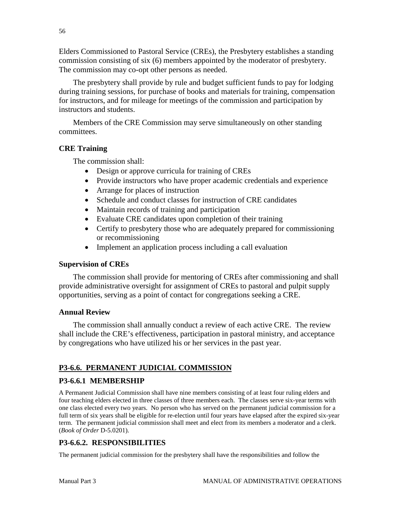Elders Commissioned to Pastoral Service (CREs), the Presbytery establishes a standing commission consisting of six (6) members appointed by the moderator of presbytery. The commission may co-opt other persons as needed.

The presbytery shall provide by rule and budget sufficient funds to pay for lodging during training sessions, for purchase of books and materials for training, compensation for instructors, and for mileage for meetings of the commission and participation by instructors and students.

Members of the CRE Commission may serve simultaneously on other standing committees.

# **CRE Training**

The commission shall:

- Design or approve curricula for training of CREs
- Provide instructors who have proper academic credentials and experience
- Arrange for places of instruction
- Schedule and conduct classes for instruction of CRE candidates
- Maintain records of training and participation
- Evaluate CRE candidates upon completion of their training
- Certify to presbytery those who are adequately prepared for commissioning or recommissioning
- Implement an application process including a call evaluation

# **Supervision of CREs**

The commission shall provide for mentoring of CREs after commissioning and shall provide administrative oversight for assignment of CREs to pastoral and pulpit supply opportunities, serving as a point of contact for congregations seeking a CRE.

# **Annual Review**

The commission shall annually conduct a review of each active CRE. The review shall include the CRE's effectiveness, participation in pastoral ministry, and acceptance by congregations who have utilized his or her services in the past year.

# **P3-6.6. PERMANENT JUDICIAL COMMISSION**

# **P3-6.6.1 MEMBERSHIP**

A Permanent Judicial Commission shall have nine members consisting of at least four ruling elders and four teaching elders elected in three classes of three members each. The classes serve six-year terms with one class elected every two years. No person who has served on the permanent judicial commission for a full term of six years shall be eligible for re-election until four years have elapsed after the expired six-year term. The permanent judicial commission shall meet and elect from its members a moderator and a clerk. (*Book of Order* D-5.0201).

# **P3-6.6.2. RESPONSIBILITIES**

The permanent judicial commission for the presbytery shall have the responsibilities and follow the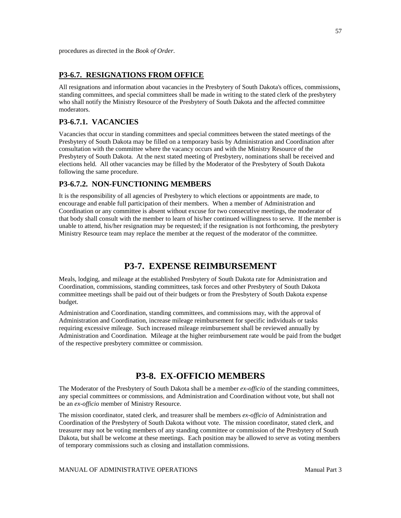procedures as directed in the *Book of Order*.

## **P3-6.7. RESIGNATIONS FROM OFFICE**

All resignations and information about vacancies in the Presbytery of South Dakota's offices, commissions, standing committees, and special committees shall be made in writing to the stated clerk of the presbytery who shall notify the Ministry Resource of the Presbytery of South Dakota and the affected committee moderators.

# **P3-6.7.1. VACANCIES**

Vacancies that occur in standing committees and special committees between the stated meetings of the Presbytery of South Dakota may be filled on a temporary basis by Administration and Coordination after consultation with the committee where the vacancy occurs and with the Ministry Resource of the Presbytery of South Dakota. At the next stated meeting of Presbytery, nominations shall be received and elections held. All other vacancies may be filled by the Moderator of the Presbytery of South Dakota following the same procedure.

## **P3-6.7.2. NON-FUNCTIONING MEMBERS**

It is the responsibility of all agencies of Presbytery to which elections or appointments are made, to encourage and enable full participation of their members. When a member of Administration and Coordination or any committee is absent without excuse for two consecutive meetings, the moderator of that body shall consult with the member to learn of his/her continued willingness to serve. If the member is unable to attend, his/her resignation may be requested; if the resignation is not forthcoming, the presbytery Ministry Resource team may replace the member at the request of the moderator of the committee.

# **P3-7. EXPENSE REIMBURSEMENT**

Meals, lodging, and mileage at the established Presbytery of South Dakota rate for Administration and Coordination, commissions, standing committees, task forces and other Presbytery of South Dakota committee meetings shall be paid out of their budgets or from the Presbytery of South Dakota expense budget.

Administration and Coordination, standing committees, and commissions may, with the approval of Administration and Coordination, increase mileage reimbursement for specific individuals or tasks requiring excessive mileage. Such increased mileage reimbursement shall be reviewed annually by Administration and Coordination. Mileage at the higher reimbursement rate would be paid from the budget of the respective presbytery committee or commission.

# **P3-8. EX-OFFICIO MEMBERS**

The Moderator of the Presbytery of South Dakota shall be a member *ex-officio* of the standing committees, any special committees or commissions, and Administration and Coordination without vote, but shall not be an *ex-officio* member of Ministry Resource.

The mission coordinator, stated clerk, and treasurer shall be members *ex-officio* of Administration and Coordination of the Presbytery of South Dakota without vote. The mission coordinator, stated clerk, and treasurer may not be voting members of any standing committee or commission of the Presbytery of South Dakota, but shall be welcome at these meetings. Each position may be allowed to serve as voting members of temporary commissions such as closing and installation commissions.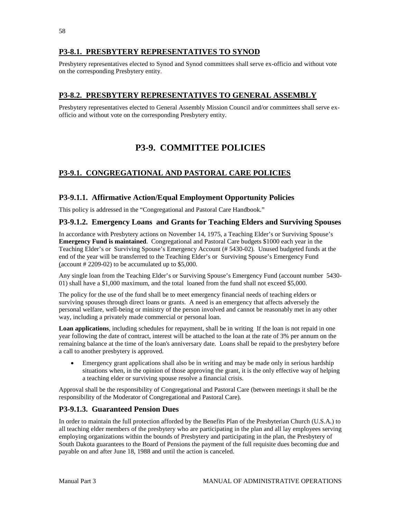# **P3-8.1. PRESBYTERY REPRESENTATIVES TO SYNOD**

Presbytery representatives elected to Synod and Synod committees shall serve ex-officio and without vote on the corresponding Presbytery entity.

# **P3-8.2. PRESBYTERY REPRESENTATIVES TO GENERAL ASSEMBLY**

Presbytery representatives elected to General Assembly Mission Council and/or committees shall serve exofficio and without vote on the corresponding Presbytery entity.

# **P3-9. COMMITTEE POLICIES**

# **P3-9.1. CONGREGATIONAL AND PASTORAL CARE POLICIES**

## **P3-9.1.1. Affirmative Action/Equal Employment Opportunity Policies**

This policy is addressed in the "Congregational and Pastoral Care Handbook."

## **P3-9.1.2. Emergency Loans and Grants for Teaching Elders and Surviving Spouses**

In accordance with Presbytery actions on November 14, 1975, a Teaching Elder's or Surviving Spouse's **Emergency Fund is maintained**. Congregational and Pastoral Care budgets \$1000 each year in the Teaching Elder's or Surviving Spouse's Emergency Account (# 5430-02). Unused budgeted funds at the end of the year will be transferred to the Teaching Elder's or Surviving Spouse's Emergency Fund (account  $\# 2209-02$ ) to be accumulated up to \$5,000.

Any single loan from the Teaching Elder's or Surviving Spouse's Emergency Fund (account number 5430- 01) shall have a \$1,000 maximum, and the total loaned from the fund shall not exceed \$5,000.

The policy for the use of the fund shall be to meet emergency financial needs of teaching elders or surviving spouses through direct loans or grants. A need is an emergency that affects adversely the personal welfare, well-being or ministry of the person involved and cannot be reasonably met in any other way, including a privately made commercial or personal loan.

**Loan applications**, including schedules for repayment, shall be in writing If the loan is not repaid in one year following the date of contract, interest will be attached to the loan at the rate of 3% per annum on the remaining balance at the time of the loan's anniversary date. Loans shall be repaid to the presbytery before a call to another presbytery is approved.

• Emergency grant applications shall also be in writing and may be made only in serious hardship situations when, in the opinion of those approving the grant, it is the only effective way of helping a teaching elder or surviving spouse resolve a financial crisis.

Approval shall be the responsibility of Congregational and Pastoral Care (between meetings it shall be the responsibility of the Moderator of Congregational and Pastoral Care).

## **P3-9.1.3. Guaranteed Pension Dues**

In order to maintain the full protection afforded by the Benefits Plan of the Presbyterian Church (U.S.A.) to all teaching elder members of the presbytery who are participating in the plan and all lay employees serving employing organizations within the bounds of Presbytery and participating in the plan, the Presbytery of South Dakota guarantees to the Board of Pensions the payment of the full requisite dues becoming due and payable on and after June 18, 1988 and until the action is canceled.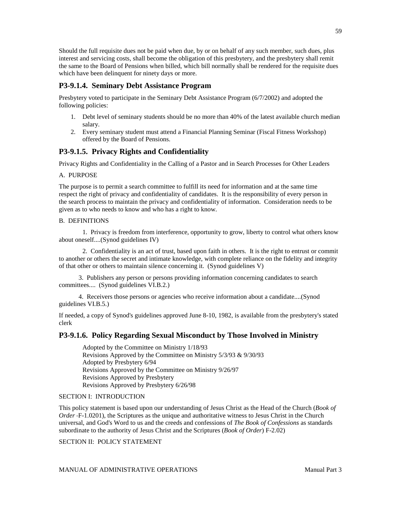Should the full requisite dues not be paid when due, by or on behalf of any such member, such dues, plus interest and servicing costs, shall become the obligation of this presbytery, and the presbytery shall remit the same to the Board of Pensions when billed, which bill normally shall be rendered for the requisite dues which have been delinquent for ninety days or more.

## **P3-9.1.4. Seminary Debt Assistance Program**

Presbytery voted to participate in the Seminary Debt Assistance Program (6/7/2002) and adopted the following policies:

- 1. Debt level of seminary students should be no more than 40% of the latest available church median salary.
- 2. Every seminary student must attend a Financial Planning Seminar (Fiscal Fitness Workshop) offered by the Board of Pensions.

## **P3-9.1.5. Privacy Rights and Confidentiality**

Privacy Rights and Confidentiality in the Calling of a Pastor and in Search Processes for Other Leaders

#### A. PURPOSE

The purpose is to permit a search committee to fulfill its need for information and at the same time respect the right of privacy and confidentiality of candidates. It is the responsibility of every person in the search process to maintain the privacy and confidentiality of information. Consideration needs to be given as to who needs to know and who has a right to know.

#### B. DEFINITIONS

1. Privacy is freedom from interference, opportunity to grow, liberty to control what others know about oneself....(Synod guidelines IV)

2. Confidentiality is an act of trust, based upon faith in others. It is the right to entrust or commit to another or others the secret and intimate knowledge, with complete reliance on the fidelity and integrity of that other or others to maintain silence concerning it. (Synod guidelines V)

 3. Publishers any person or persons providing information concerning candidates to search committees.... (Synod guidelines VI.B.2.)

 4. Receivers those persons or agencies who receive information about a candidate....(Synod guidelines VI.B.5.)

If needed, a copy of Synod's guidelines approved June 8-10, 1982, is available from the presbytery's stated clerk

### **P3-9.1.6. Policy Regarding Sexual Misconduct by Those Involved in Ministry**

Adopted by the Committee on Ministry 1/18/93 Revisions Approved by the Committee on Ministry 5/3/93 & 9/30/93 Adopted by Presbytery 6/94 Revisions Approved by the Committee on Ministry 9/26/97 Revisions Approved by Presbytery Revisions Approved by Presbytery 6/26/98

#### SECTION I: INTRODUCTION

This policy statement is based upon our understanding of Jesus Christ as the Head of the Church (*Book of Order* F-1.0201), the Scriptures as the unique and authoritative witness to Jesus Christ in the Church universal, and God's Word to us and the creeds and confessions of *The Book of Confessions* as standards subordinate to the authority of Jesus Christ and the Scriptures (*Book of Order*) F-2.02)

SECTION II: POLICY STATEMENT

MANUAL OF ADMINISTRATIVE OPERATIONS **Manual Part 3**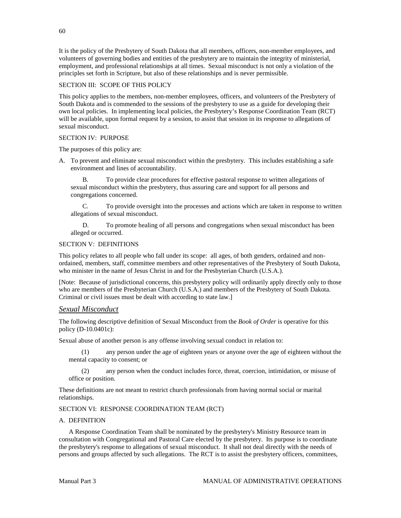It is the policy of the Presbytery of South Dakota that all members, officers, non-member employees, and volunteers of governing bodies and entities of the presbytery are to maintain the integrity of ministerial, employment, and professional relationships at all times. Sexual misconduct is not only a violation of the principles set forth in Scripture, but also of these relationships and is never permissible.

### SECTION III: SCOPE OF THIS POLICY

This policy applies to the members, non-member employees, officers, and volunteers of the Presbytery of South Dakota and is commended to the sessions of the presbytery to use as a guide for developing their own local policies. In implementing local policies, the Presbytery's Response Coordination Team (RCT) will be available, upon formal request by a session, to assist that session in its response to allegations of sexual misconduct.

#### SECTION IV: PURPOSE

The purposes of this policy are:

A. To prevent and eliminate sexual misconduct within the presbytery. This includes establishing a safe environment and lines of accountability.

B. To provide clear procedures for effective pastoral response to written allegations of sexual misconduct within the presbytery, thus assuring care and support for all persons and congregations concerned.

C. To provide oversight into the processes and actions which are taken in response to written allegations of sexual misconduct.

D. To promote healing of all persons and congregations when sexual misconduct has been alleged or occurred.

#### SECTION V: DEFINITIONS

This policy relates to all people who fall under its scope: all ages, of both genders, ordained and nonordained, members, staff, committee members and other representatives of the Presbytery of South Dakota, who minister in the name of Jesus Christ in and for the Presbyterian Church (U.S.A.).

[Note: Because of jurisdictional concerns, this presbytery policy will ordinarily apply directly only to those who are members of the Presbyterian Church (U.S.A.) and members of the Presbytery of South Dakota. Criminal or civil issues must be dealt with according to state law.]

### *Sexual Misconduct*

The following descriptive definition of Sexual Misconduct from the *Book of Order* is operative for this policy (D-10.0401c):

Sexual abuse of another person is any offense involving sexual conduct in relation to:

(1) any person under the age of eighteen years or anyone over the age of eighteen without the mental capacity to consent; or

(2) any person when the conduct includes force, threat, coercion, intimidation, or misuse of office or position.

These definitions are not meant to restrict church professionals from having normal social or marital relationships.

### SECTION VI: RESPONSE COORDINATION TEAM (RCT)

#### A. DEFINITION

 A Response Coordination Team shall be nominated by the presbytery's Ministry Resource team in consultation with Congregational and Pastoral Care elected by the presbytery. Its purpose is to coordinate the presbytery's response to allegations of sexual misconduct. It shall not deal directly with the needs of persons and groups affected by such allegations. The RCT is to assist the presbytery officers, committees,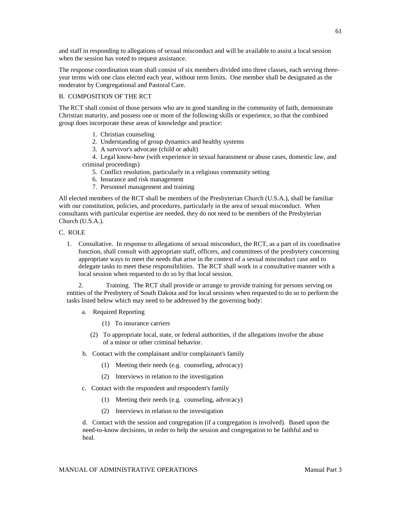and staff in responding to allegations of sexual misconduct and will be available to assist a local session when the session has voted to request assistance.

The response coordination team shall consist of six members divided into three classes, each serving threeyear terms with one class elected each year, without term limits. One member shall be designated as the moderator by Congregational and Pastoral Care.

#### B. COMPOSITION OF THE RCT

The RCT shall consist of those persons who are in good standing in the community of faith, demonstrate Christian maturity, and possess one or more of the following skills or experience, so that the combined group does incorporate these areas of knowledge and practice:

- 1. Christian counseling
- 2. Understanding of group dynamics and healthy systems
- 3. A survivor's advocate (child or adult)

 4. Legal know-how (with experience in sexual harassment or abuse cases, domestic law, and criminal proceedings)

- 5. Conflict resolution, particularly in a religious community setting
- 6. Insurance and risk management
- 7. Personnel management and training

All elected members of the RCT shall be members of the Presbyterian Church (U.S.A.), shall be familiar with our constitution, policies, and procedures, particularly in the area of sexual misconduct. When consultants with particular expertise are needed, they do not need to be members of the Presbyterian Church (U.S.A.).

- C. ROLE
	- 1. Consultative. In response to allegations of sexual misconduct, the RCT, as a part of its coordinative function, shall consult with appropriate staff, officers, and committees of the presbytery concerning appropriate ways to meet the needs that arise in the context of a sexual misconduct case and to delegate tasks to meet these responsibilities. The RCT shall work in a consultative manner with a local session when requested to do so by that local session.

2. Training. The RCT shall provide or arrange to provide training for persons serving on entities of the Presbytery of South Dakota and for local sessions when requested to do so to perform the tasks listed below which may need to be addressed by the governing body:

- a. Required Reporting
	- (1) To insurance carriers
	- (2) To appropriate local, state, or federal authorities, if the allegations involve the abuse of a minor or other criminal behavior.
- b. Contact with the complainant and/or complainant's family
	- (1) Meeting their needs (e.g. counseling, advocacy)
	- (2) Interviews in relation to the investigation
- c. Contact with the respondent and respondent's family
	- (1) Meeting their needs (e.g. counseling, advocacy)
	- (2) Interviews in relation to the investigation

d. Contact with the session and congregation (if a congregation is involved). Based upon the need-to-know decisions, in order to help the session and congregation to be faithful and to heal.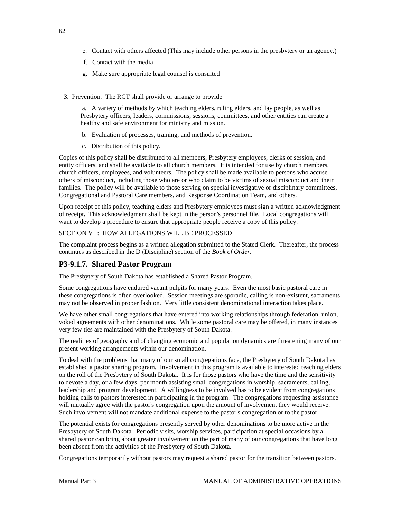- e. Contact with others affected (This may include other persons in the presbytery or an agency.)
- f. Contact with the media
- g. Make sure appropriate legal counsel is consulted
- 3. Prevention. The RCT shall provide or arrange to provide

a. A variety of methods by which teaching elders, ruling elders, and lay people, as well as Presbytery officers, leaders, commissions, sessions, committees, and other entities can create a healthy and safe environment for ministry and mission.

- b. Evaluation of processes, training, and methods of prevention.
- c. Distribution of this policy.

Copies of this policy shall be distributed to all members, Presbytery employees, clerks of session, and entity officers, and shall be available to all church members. It is intended for use by church members, church officers, employees, and volunteers. The policy shall be made available to persons who accuse others of misconduct, including those who are or who claim to be victims of sexual misconduct and their families. The policy will be available to those serving on special investigative or disciplinary committees, Congregational and Pastoral Care members, and Response Coordination Team, and others.

Upon receipt of this policy, teaching elders and Presbytery employees must sign a written acknowledgment of receipt. This acknowledgment shall be kept in the person's personnel file. Local congregations will want to develop a procedure to ensure that appropriate people receive a copy of this policy.

### SECTION VII: HOW ALLEGATIONS WILL BE PROCESSED

The complaint process begins as a written allegation submitted to the Stated Clerk. Thereafter, the process continues as described in the D (Discipline) section of the *Book of Order*.

## **P3-9.1.7. Shared Pastor Program**

The Presbytery of South Dakota has established a Shared Pastor Program.

Some congregations have endured vacant pulpits for many years. Even the most basic pastoral care in these congregations is often overlooked. Session meetings are sporadic, calling is non-existent, sacraments may not be observed in proper fashion. Very little consistent denominational interaction takes place.

We have other small congregations that have entered into working relationships through federation, union, yoked agreements with other denominations. While some pastoral care may be offered, in many instances very few ties are maintained with the Presbytery of South Dakota.

The realities of geography and of changing economic and population dynamics are threatening many of our present working arrangements within our denomination.

To deal with the problems that many of our small congregations face, the Presbytery of South Dakota has established a pastor sharing program. Involvement in this program is available to interested teaching elders on the roll of the Presbytery of South Dakota. It is for those pastors who have the time and the sensitivity to devote a day, or a few days, per month assisting small congregations in worship, sacraments, calling, leadership and program development. A willingness to be involved has to be evident from congregations holding calls to pastors interested in participating in the program. The congregations requesting assistance will mutually agree with the pastor's congregation upon the amount of involvement they would receive. Such involvement will not mandate additional expense to the pastor's congregation or to the pastor.

The potential exists for congregations presently served by other denominations to be more active in the Presbytery of South Dakota. Periodic visits, worship services, participation at special occasions by a shared pastor can bring about greater involvement on the part of many of our congregations that have long been absent from the activities of the Presbytery of South Dakota.

Congregations temporarily without pastors may request a shared pastor for the transition between pastors.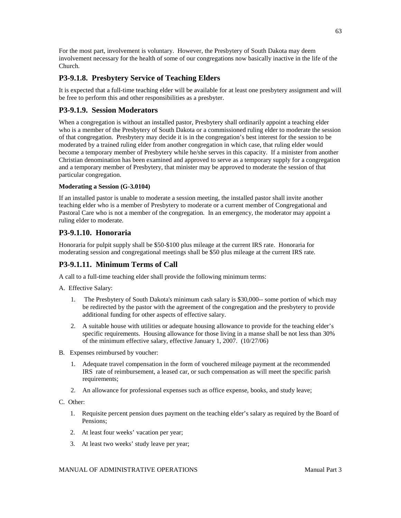For the most part, involvement is voluntary. However, the Presbytery of South Dakota may deem involvement necessary for the health of some of our congregations now basically inactive in the life of the Church.

# **P3-9.1.8. Presbytery Service of Teaching Elders**

It is expected that a full-time teaching elder will be available for at least one presbytery assignment and will be free to perform this and other responsibilities as a presbyter.

# **P3-9.1.9. Session Moderators**

When a congregation is without an installed pastor, Presbytery shall ordinarily appoint a teaching elder who is a member of the Presbytery of South Dakota or a commissioned ruling elder to moderate the session of that congregation. Presbytery may decide it is in the congregation's best interest for the session to be moderated by a trained ruling elder from another congregation in which case, that ruling elder would become a temporary member of Presbytery while he/she serves in this capacity. If a minister from another Christian denomination has been examined and approved to serve as a temporary supply for a congregation and a temporary member of Presbytery, that minister may be approved to moderate the session of that particular congregation.

## **Moderating a Session (G-3.0104)**

If an installed pastor is unable to moderate a session meeting, the installed pastor shall invite another teaching elder who is a member of Presbytery to moderate or a current member of Congregational and Pastoral Care who is not a member of the congregation. In an emergency, the moderator may appoint a ruling elder to moderate.

# **P3-9.1.10. Honoraria**

Honoraria for pulpit supply shall be \$50-\$100 plus mileage at the current IRS rate. Honoraria for moderating session and congregational meetings shall be \$50 plus mileage at the current IRS rate.

# **P3-9.1.11. Minimum Terms of Call**

A call to a full-time teaching elder shall provide the following minimum terms:

A. Effective Salary:

- 1. The Presbytery of South Dakota's minimum cash salary is \$30,000-- some portion of which may be redirected by the pastor with the agreement of the congregation and the presbytery to provide additional funding for other aspects of effective salary.
- 2. A suitable house with utilities or adequate housing allowance to provide for the teaching elder's specific requirements. Housing allowance for those living in a manse shall be not less than 30% of the minimum effective salary, effective January 1, 2007. (10/27/06)
- B. Expenses reimbursed by voucher:
	- 1. Adequate travel compensation in the form of vouchered mileage payment at the recommended IRS rate of reimbursement, a leased car, or such compensation as will meet the specific parish requirements;
	- 2. An allowance for professional expenses such as office expense, books, and study leave;

### C. Other:

- 1. Requisite percent pension dues payment on the teaching elder's salary as required by the Board of Pensions;
- 2. At least four weeks' vacation per year;
- 3. At least two weeks' study leave per year;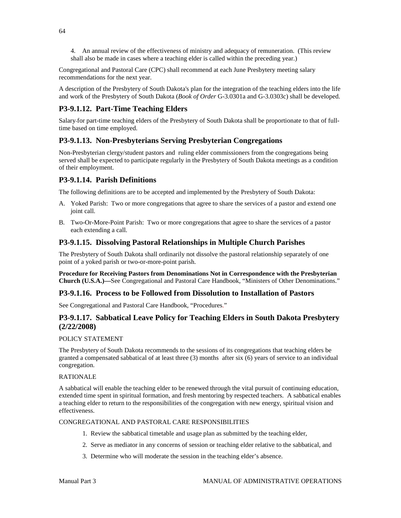4. An annual review of the effectiveness of ministry and adequacy of remuneration. (This review shall also be made in cases where a teaching elder is called within the preceding year.)

Congregational and Pastoral Care (CPC) shall recommend at each June Presbytery meeting salary recommendations for the next year.

A description of the Presbytery of South Dakota's plan for the integration of the teaching elders into the life and work of the Presbytery of South Dakota (*Book of Order* G-3.0301a and G-3.0303c) shall be developed.

## **P3-9.1.12. Part-Time Teaching Elders**

Salary for part-time teaching elders of the Presbytery of South Dakota shall be proportionate to that of fulltime based on time employed.

## **P3-9.1.13. Non-Presbyterians Serving Presbyterian Congregations**

Non-Presbyterian clergy/student pastors and ruling elder commissioners from the congregations being served shall be expected to participate regularly in the Presbytery of South Dakota meetings as a condition of their employment.

## **P3-9.1.14. Parish Definitions**

The following definitions are to be accepted and implemented by the Presbytery of South Dakota:

- A. Yoked Parish: Two or more congregations that agree to share the services of a pastor and extend one joint call.
- B. Two-Or-More-Point Parish: Two or more congregations that agree to share the services of a pastor each extending a call.

## **P3-9.1.15. Dissolving Pastoral Relationships in Multiple Church Parishes**

The Presbytery of South Dakota shall ordinarily not dissolve the pastoral relationship separately of one point of a yoked parish or two-or-more-point parish.

**Procedure for Receiving Pastors from Denominations Not in Correspondence with the Presbyterian Church (U.S.A.)—**See Congregational and Pastoral Care Handbook, "Ministers of Other Denominations."

### **P3-9.1.16. Process to be Followed from Dissolution to Installation of Pastors**

See Congregational and Pastoral Care Handbook, "Procedures."

## **P3-9.1.17. Sabbatical Leave Policy for Teaching Elders in South Dakota Presbytery (2/22/2008)**

### POLICY STATEMENT

The Presbytery of South Dakota recommends to the sessions of its congregations that teaching elders be granted a compensated sabbatical of at least three (3) months after six (6) years of service to an individual congregation.

#### RATIONALE

A sabbatical will enable the teaching elder to be renewed through the vital pursuit of continuing education, extended time spent in spiritual formation, and fresh mentoring by respected teachers. A sabbatical enables a teaching elder to return to the responsibilities of the congregation with new energy, spiritual vision and effectiveness.

#### CONGREGATIONAL AND PASTORAL CARE RESPONSIBILITIES

- 1. Review the sabbatical timetable and usage plan as submitted by the teaching elder,
- 2. Serve as mediator in any concerns of session or teaching elder relative to the sabbatical, and
- 3. Determine who will moderate the session in the teaching elder's absence.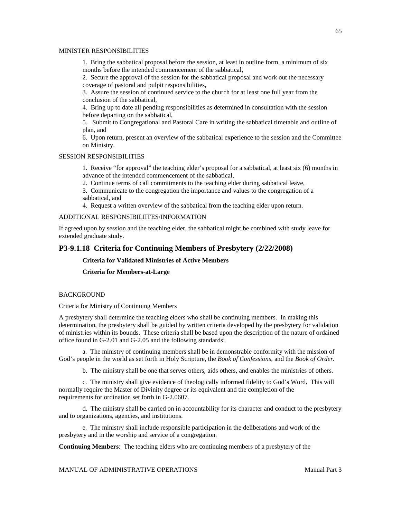#### MINISTER RESPONSIBILITIES

1. Bring the sabbatical proposal before the session, at least in outline form, a minimum of six months before the intended commencement of the sabbatical,

2. Secure the approval of the session for the sabbatical proposal and work out the necessary coverage of pastoral and pulpit responsibilities,

3. Assure the session of continued service to the church for at least one full year from the conclusion of the sabbatical,

4. Bring up to date all pending responsibilities as determined in consultation with the session before departing on the sabbatical,

5. Submit to Congregational and Pastoral Care in writing the sabbatical timetable and outline of plan, and

6. Upon return, present an overview of the sabbatical experience to the session and the Committee on Ministry.

#### SESSION RESPONSIBILITIES

1. Receive "for approval" the teaching elder's proposal for a sabbatical, at least six (6) months in advance of the intended commencement of the sabbatical,

2. Continue terms of call commitments to the teaching elder during sabbatical leave,

3. Communicate to the congregation the importance and values to the congregation of a sabbatical, and

4. Request a written overview of the sabbatical from the teaching elder upon return.

#### ADDITIONAL RESPONSIBILIITES/INFORMATION

If agreed upon by session and the teaching elder, the sabbatical might be combined with study leave for extended graduate study.

### **P3-9.1.18 Criteria for Continuing Members of Presbytery (2/22/2008)**

**Criteria for Validated Ministries of Active Members**

**Criteria for Members-at-Large**

### **BACKGROUND**

Criteria for Ministry of Continuing Members

A presbytery shall determine the teaching elders who shall be continuing members. In making this determination, the presbytery shall be guided by written criteria developed by the presbytery for validation of ministries within its bounds. These criteria shall be based upon the description of the nature of ordained office found in G-2.01 and G-2.05 and the following standards:

a. The ministry of continuing members shall be in demonstrable conformity with the mission of God's people in the world as set forth in Holy Scripture, the *Book of Confessions,* and the *Book of Order.*

b. The ministry shall be one that serves others, aids others, and enables the ministries of others.

c. The ministry shall give evidence of theologically informed fidelity to God's Word. This will normally require the Master of Divinity degree or its equivalent and the completion of the requirements for ordination set forth in G-2.0607.

d. The ministry shall be carried on in accountability for its character and conduct to the presbytery and to organizations, agencies, and institutions.

e. The ministry shall include responsible participation in the deliberations and work of the presbytery and in the worship and service of a congregation.

**Continuing Members**: The teaching elders who are continuing members of a presbytery of the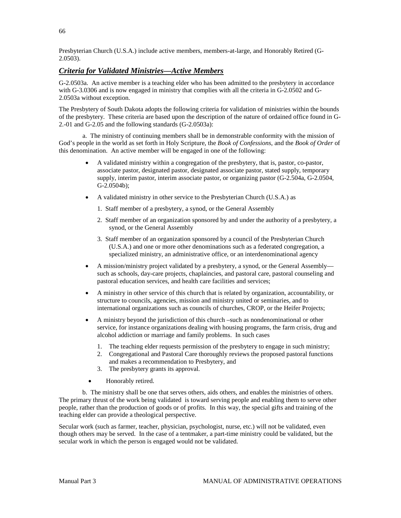Presbyterian Church (U.S.A.) include active members, members-at-large, and Honorably Retired (G-2.0503).

## *Criteria for Validated Ministries—Active Members*

G-2.0503a. An active member is a teaching elder who has been admitted to the presbytery in accordance with G-3.0306 and is now engaged in ministry that complies with all the criteria in G-2.0502 and G-2.0503a without exception.

The Presbytery of South Dakota adopts the following criteria for validation of ministries within the bounds of the presbytery. These criteria are based upon the description of the nature of ordained office found in G-2.-01 and G-2.05 and the following standards (G-2.0503a):

a. The ministry of continuing members shall be in demonstrable conformity with the mission of God's people in the world as set forth in Holy Scripture, the *Book of Confessions*, and the *Book of Order* of this denomination. An active member will be engaged in one of the following:

- A validated ministry within a congregation of the presbytery, that is, pastor, co-pastor, associate pastor, designated pastor, designated associate pastor, stated supply, temporary supply, interim pastor, interim associate pastor, or organizing pastor (G-2.504a, G-2.0504, G-2.0504b);
- A validated ministry in other service to the Presbyterian Church (U.S.A.) as
	- 1. Staff member of a presbytery, a synod, or the General Assembly
	- 2. Staff member of an organization sponsored by and under the authority of a presbytery, a synod, or the General Assembly
	- 3. Staff member of an organization sponsored by a council of the Presbyterian Church (U.S.A.) and one or more other denominations such as a federated congregation, a specialized ministry, an administrative office, or an interdenominational agency
- A mission/ministry project validated by a presbytery, a synod, or the General Assembly such as schools, day-care projects, chaplaincies, and pastoral care, pastoral counseling and pastoral education services, and health care facilities and services;
- A ministry in other service of this church that is related by organization, accountability, or structure to councils, agencies, mission and ministry united or seminaries, and to international organizations such as councils of churches, CROP, or the Heifer Projects;
- A ministry beyond the jurisdiction of this church –such as nondenominational or other service, for instance organizations dealing with housing programs, the farm crisis, drug and alcohol addiction or marriage and family problems. In such cases
	- 1. The teaching elder requests permission of the presbytery to engage in such ministry;
	- 2. Congregational and Pastoral Care thoroughly reviews the proposed pastoral functions and makes a recommendation to Presbytery, and
	- 3. The presbytery grants its approval.
	- Honorably retired.

b. The ministry shall be one that serves others, aids others, and enables the ministries of others. The primary thrust of the work being validated is toward serving people and enabling them to serve other people, rather than the production of goods or of profits. In this way, the special gifts and training of the teaching elder can provide a theological perspective.

Secular work (such as farmer, teacher, physician, psychologist, nurse, etc.) will not be validated, even though others may be served. In the case of a tentmaker, a part-time ministry could be validated, but the secular work in which the person is engaged would not be validated.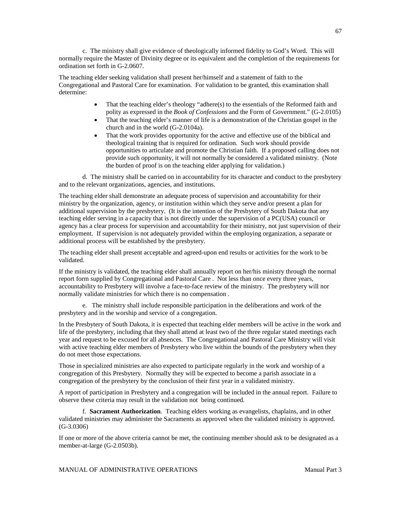c. The ministry shall give evidence of theologically informed fidelity to God's Word. This will normally require the Master of Divinity degree or its equivalent and the completion of the requirements for ordination set forth in G-2.0607.

The teaching elder seeking validation shall present her/himself and a statement of faith to the Congregational and Pastoral Care for examination. For validation to be granted, this examination shall determine:

- That the teaching elder's theology "adhere(s) to the essentials of the Reformed faith and polity as expressed in the *Book of Confessions* and the Form of Government." (G-2.0105)
- That the teaching elder's manner of life is a demonstration of the Christian gospel in the church and in the world (G-2.0104a).
- That the work provides opportunity for the active and effective use of the biblical and theological training that is required for ordination. Such work should provide opportunities to articulate and promote the Christian faith. If a proposed calling does not provide such opportunity, it will not normally be considered a validated ministry. (Note the burden of proof is on the teaching elder applying for validation.)

d. The ministry shall be carried on in accountability for its character and conduct to the presbytery and to the relevant organizations, agencies, and institutions.

The teaching elder shall demonstrate an adequate process of supervision and accountability for their ministry by the organization, agency, or institution within which they serve and/or present a plan for additional supervision by the presbytery. (It is the intention of the Presbytery of South Dakota that any teaching elder serving in a capacity that is not directly under the supervision of a PC(USA) council or agency has a clear process for supervision and accountability for their ministry, not just supervision of their employment. If supervision is not adequately provided within the employing organization, a separate or additional process will be established by the presbytery.

The teaching elder shall present acceptable and agreed-upon end results or activities for the work to be validated.

If the ministry is validated, the teaching elder shall annually report on her/his ministry through the normal report form supplied by Congregational and Pastoral Care . Not less than once every three years, accountability to Presbytery will involve a face-to-face review of the ministry. The presbytery will nor normally validate ministries for which there is no compensation .

e. The ministry shall include responsible participation in the deliberations and work of the presbytery and in the worship and service of a congregation.

In the Presbytery of South Dakota, it is expected that teaching elder members will be active in the work and life of the presbytery, including that they shall attend at least two of the three regular stated meetings each year and request to be excused for all absences. The Congregational and Pastoral Care Ministry will visit with active teaching elder members of Presbytery who live within the bounds of the presbytery when they do not meet those expectations.

Those in specialized ministries are also expected to participate regularly in the work and worship of a congregation of this Presbytery. Normally they will be expected to become a parish associate in a congregation of the presbytery by the conclusion of their first year in a validated ministry.

A report of participation in Presbytery and a congregation will be included in the annual report. Failure to observe these criteria may result in the validation not being continued.

f. **Sacrament Authorization**. Teaching elders working as evangelists, chaplains, and in other validated ministries may administer the Sacraments as approved when the validated ministry is approved. (G-3.0306)

If one or more of the above criteria cannot be met, the continuing member should ask to be designated as a member-at-large (G-2.0503b).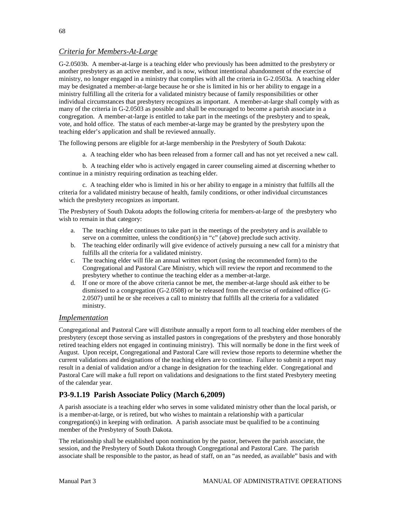# *Criteria for Members-At-Large*

G-2.0503b. A member-at-large is a teaching elder who previously has been admitted to the presbytery or another presbytery as an active member, and is now, without intentional abandonment of the exercise of ministry, no longer engaged in a ministry that complies with all the criteria in G-2.0503a. A teaching elder may be designated a member-at-large because he or she is limited in his or her ability to engage in a ministry fulfilling all the criteria for a validated ministry because of family responsibilities or other individual circumstances that presbytery recognizes as important. A member-at-large shall comply with as many of the criteria in G-2.0503 as possible and shall be encouraged to become a parish associate in a congregation. A member-at-large is entitled to take part in the meetings of the presbytery and to speak, vote, and hold office. The status of each member-at-large may be granted by the presbytery upon the teaching elder's application and shall be reviewed annually.

The following persons are eligible for at-large membership in the Presbytery of South Dakota:

a. A teaching elder who has been released from a former call and has not yet received a new call.

b. A teaching elder who is actively engaged in career counseling aimed at discerning whether to continue in a ministry requiring ordination as teaching elder.

c. A teaching elder who is limited in his or her ability to engage in a ministry that fulfills all the criteria for a validated ministry because of health, family conditions, or other individual circumstances which the presbytery recognizes as important.

The Presbytery of South Dakota adopts the following criteria for members-at-large of the presbytery who wish to remain in that category:

- a. The teaching elder continues to take part in the meetings of the presbytery and is available to serve on a committee, unless the condition(s) in "c" (above) preclude such activity.
- b. The teaching elder ordinarily will give evidence of actively pursuing a new call for a ministry that fulfills all the criteria for a validated ministry.
- c. The teaching elder will file an annual written report (using the recommended form) to the Congregational and Pastoral Care Ministry, which will review the report and recommend to the presbytery whether to continue the teaching elder as a member-at-large.
- d. If one or more of the above criteria cannot be met, the member-at-large should ask either to be dismissed to a congregation (G-2.0508) or be released from the exercise of ordained office (G-2.0507) until he or she receives a call to ministry that fulfills all the criteria for a validated ministry.

### *Implementation*

Congregational and Pastoral Care will distribute annually a report form to all teaching elder members of the presbytery (except those serving as installed pastors in congregations of the presbytery and those honorably retired teaching elders not engaged in continuing ministry). This will normally be done in the first week of August. Upon receipt, Congregational and Pastoral Care will review those reports to determine whether the current validations and designations of the teaching elders are to continue. Failure to submit a report may result in a denial of validation and/or a change in designation for the teaching elder. Congregational and Pastoral Care will make a full report on validations and designations to the first stated Presbytery meeting of the calendar year.

# **P3-9.1.19 Parish Associate Policy (March 6,2009)**

A parish associate is a teaching elder who serves in some validated ministry other than the local parish, or is a member-at-large, or is retired, but who wishes to maintain a relationship with a particular congregation(s) in keeping with ordination. A parish associate must be qualified to be a continuing member of the Presbytery of South Dakota.

The relationship shall be established upon nomination by the pastor, between the parish associate, the session, and the Presbytery of South Dakota through Congregational and Pastoral Care. The parish associate shall be responsible to the pastor, as head of staff, on an "as needed, as available" basis and with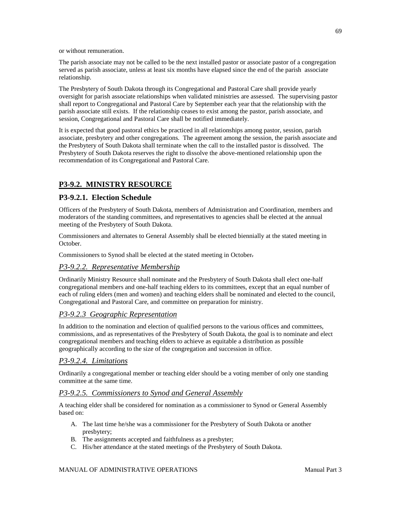or without remuneration.

The parish associate may not be called to be the next installed pastor or associate pastor of a congregation served as parish associate, unless at least six months have elapsed since the end of the parish associate relationship.

The Presbytery of South Dakota through its Congregational and Pastoral Care shall provide yearly oversight for parish associate relationships when validated ministries are assessed. The supervising pastor shall report to Congregational and Pastoral Care by September each year that the relationship with the parish associate still exists. If the relationship ceases to exist among the pastor, parish associate, and session, Congregational and Pastoral Care shall be notified immediately.

It is expected that good pastoral ethics be practiced in all relationships among pastor, session, parish associate, presbytery and other congregations. The agreement among the session, the parish associate and the Presbytery of South Dakota shall terminate when the call to the installed pastor is dissolved. The Presbytery of South Dakota reserves the right to dissolve the above-mentioned relationship upon the recommendation of its Congregational and Pastoral Care.

# **P3-9.2. MINISTRY RESOURCE**

# **P3-9.2.1. Election Schedule**

Officers of the Presbytery of South Dakota, members of Administration and Coordination, members and moderators of the standing committees, and representatives to agencies shall be elected at the annual meeting of the Presbytery of South Dakota.

Commissioners and alternates to General Assembly shall be elected biennially at the stated meeting in October.

Commissioners to Synod shall be elected at the stated meeting in October.

# *P3-9.2.2. Representative Membership*

Ordinarily Ministry Resource shall nominate and the Presbytery of South Dakota shall elect one-half congregational members and one-half teaching elders to its committees, except that an equal number of each of ruling elders (men and women) and teaching elders shall be nominated and elected to the council, Congregational and Pastoral Care, and committee on preparation for ministry.

## *P3-9.2.3 Geographic Representation*

In addition to the nomination and election of qualified persons to the various offices and committees, commissions, and as representatives of the Presbytery of South Dakota, the goal is to nominate and elect congregational members and teaching elders to achieve as equitable a distribution as possible geographically according to the size of the congregation and succession in office.

## *P3-9.2.4. Limitations*

Ordinarily a congregational member or teaching elder should be a voting member of only one standing committee at the same time.

## *P3-9.2.5. Commissioners to Synod and General Assembly*

A teaching elder shall be considered for nomination as a commissioner to Synod or General Assembly based on:

- A. The last time he/she was a commissioner for the Presbytery of South Dakota or another presbytery;
- B. The assignments accepted and faithfulness as a presbyter;
- C. His/her attendance at the stated meetings of the Presbytery of South Dakota.

# MANUAL OF ADMINISTRATIVE OPERATIONS **Manual Part 3**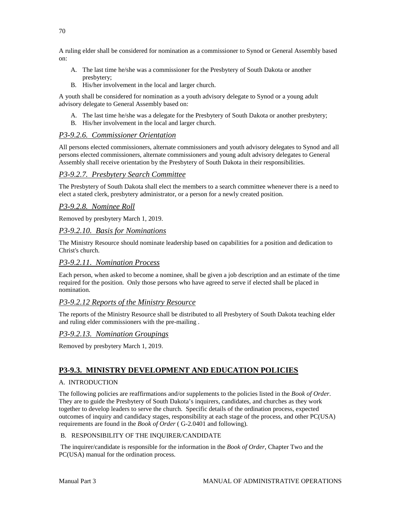A ruling elder shall be considered for nomination as a commissioner to Synod or General Assembly based on:

- A. The last time he/she was a commissioner for the Presbytery of South Dakota or another presbytery;
- B. His/her involvement in the local and larger church.

A youth shall be considered for nomination as a youth advisory delegate to Synod or a young adult advisory delegate to General Assembly based on:

- A. The last time he/she was a delegate for the Presbytery of South Dakota or another presbytery;
- B. His/her involvement in the local and larger church.

## *P3-9.2.6. Commissioner Orientation*

All persons elected commissioners, alternate commissioners and youth advisory delegates to Synod and all persons elected commissioners, alternate commissioners and young adult advisory delegates to General Assembly shall receive orientation by the Presbytery of South Dakota in their responsibilities.

## *P3-9.2.7. Presbytery Search Committee*

The Presbytery of South Dakota shall elect the members to a search committee whenever there is a need to elect a stated clerk, presbytery administrator, or a person for a newly created position.

## *P3-9.2.8. Nominee Roll*

Removed by presbytery March 1, 2019.

## *P3-9.2.10. Basis for Nominations*

The Ministry Resource should nominate leadership based on capabilities for a position and dedication to Christ's church.

### *P3-9.2.11. Nomination Process*

Each person, when asked to become a nominee, shall be given a job description and an estimate of the time required for the position. Only those persons who have agreed to serve if elected shall be placed in nomination.

## *P3-9.2.12 Reports of the Ministry Resource*

The reports of the Ministry Resource shall be distributed to all Presbytery of South Dakota teaching elder and ruling elder commissioners with the pre-mailing .

## *P3-9.2.13. Nomination Groupings*

Removed by presbytery March 1, 2019.

# **P3-9.3. MINISTRY DEVELOPMENT AND EDUCATION POLICIES**

### A. INTRODUCTION

The following policies are reaffirmations and/or supplements to the policies listed in the *Book of Order*. They are to guide the Presbytery of South Dakota's inquirers, candidates, and churches as they work together to develop leaders to serve the church. Specific details of the ordination process, expected outcomes of inquiry and candidacy stages, responsibility at each stage of the process, and other PC(USA) requirements are found in the *Book of Order* ( G-2.0401 and following).

### B. RESPONSIBILITY OF THE INQUIRER/CANDIDATE

The inquirer/candidate is responsible for the information in the *Book of Order*, Chapter Two and the PC(USA) manual for the ordination process.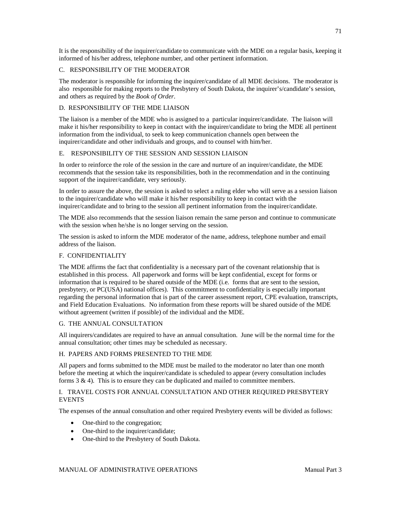It is the responsibility of the inquirer/candidate to communicate with the MDE on a regular basis, keeping it informed of his/her address, telephone number, and other pertinent information.

### C. RESPONSIBILITY OF THE MODERATOR

The moderator is responsible for informing the inquirer/candidate of all MDE decisions. The moderator is also responsible for making reports to the Presbytery of South Dakota, the inquirer's/candidate's session, and others as required by the *Book of Order*.

### D. RESPONSIBILITY OF THE MDE LIAISON

The liaison is a member of the MDE who is assigned to a particular inquirer/candidate. The liaison will make it his/her responsibility to keep in contact with the inquirer/candidate to bring the MDE all pertinent information from the individual, to seek to keep communication channels open between the inquirer/candidate and other individuals and groups, and to counsel with him/her.

### E. RESPONSIBILITY OF THE SESSION AND SESSION LIAISON

In order to reinforce the role of the session in the care and nurture of an inquirer/candidate, the MDE recommends that the session take its responsibilities, both in the recommendation and in the continuing support of the inquirer/candidate, very seriously.

In order to assure the above, the session is asked to select a ruling elder who will serve as a session liaison to the inquirer/candidate who will make it his/her responsibility to keep in contact with the inquirer/candidate and to bring to the session all pertinent information from the inquirer/candidate.

The MDE also recommends that the session liaison remain the same person and continue to communicate with the session when he/she is no longer serving on the session.

The session is asked to inform the MDE moderator of the name, address, telephone number and email address of the liaison.

### F. CONFIDENTIALITY

The MDE affirms the fact that confidentiality is a necessary part of the covenant relationship that is established in this process. All paperwork and forms will be kept confidential, except for forms or information that is required to be shared outside of the MDE (i.e. forms that are sent to the session, presbytery, or PC(USA) national offices). This commitment to confidentiality is especially important regarding the personal information that is part of the career assessment report, CPE evaluation, transcripts, and Field Education Evaluations. No information from these reports will be shared outside of the MDE without agreement (written if possible) of the individual and the MDE.

#### G. THE ANNUAL CONSULTATION

All inquirers/candidates are required to have an annual consultation. June will be the normal time for the annual consultation; other times may be scheduled as necessary.

#### H. PAPERS AND FORMS PRESENTED TO THE MDE

All papers and forms submitted to the MDE must be mailed to the moderator no later than one month before the meeting at which the inquirer/candidate is scheduled to appear (every consultation includes forms  $3 \& 4$ ). This is to ensure they can be duplicated and mailed to committee members.

### I. TRAVEL COSTS FOR ANNUAL CONSULTATION AND OTHER REQUIRED PRESBYTERY EVENTS

The expenses of the annual consultation and other required Presbytery events will be divided as follows:

- One-third to the congregation;
- One-third to the inquirer/candidate;
- One-third to the Presbytery of South Dakota.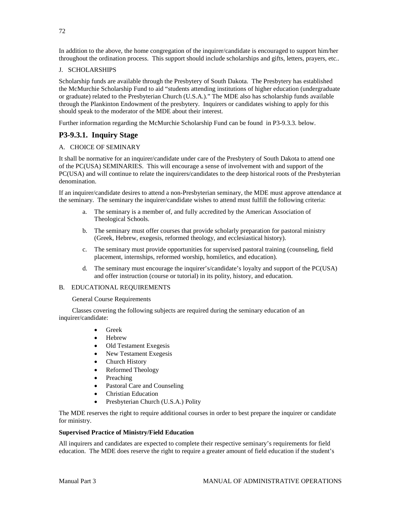In addition to the above, the home congregation of the inquirer/candidate is encouraged to support him/her throughout the ordination process. This support should include scholarships and gifts, letters, prayers, etc..

### J. SCHOLARSHIPS

Scholarship funds are available through the Presbytery of South Dakota. The Presbytery has established the McMurchie Scholarship Fund to aid "students attending institutions of higher education (undergraduate or graduate) related to the Presbyterian Church (U.S.A.)." The MDE also has scholarship funds available through the Plankinton Endowment of the presbytery. Inquirers or candidates wishing to apply for this should speak to the moderator of the MDE about their interest.

Further information regarding the McMurchie Scholarship Fund can be found in P3-9.3.3. below.

# **P3-9.3.1. Inquiry Stage**

### A. CHOICE OF SEMINARY

It shall be normative for an inquirer/candidate under care of the Presbytery of South Dakota to attend one of the PC(USA) SEMINARIES. This will encourage a sense of involvement with and support of the PC(USA) and will continue to relate the inquirers/candidates to the deep historical roots of the Presbyterian denomination.

If an inquirer/candidate desires to attend a non-Presbyterian seminary, the MDE must approve attendance at the seminary. The seminary the inquirer/candidate wishes to attend must fulfill the following criteria:

- a. The seminary is a member of, and fully accredited by the American Association of Theological Schools.
- b. The seminary must offer courses that provide scholarly preparation for pastoral ministry (Greek, Hebrew, exegesis, reformed theology, and ecclesiastical history).
- c. The seminary must provide opportunities for supervised pastoral training (counseling, field placement, internships, reformed worship, homiletics, and education).
- d. The seminary must encourage the inquirer's/candidate's loyalty and support of the PC(USA) and offer instruction (course or tutorial) in its polity, history, and education.

#### B. EDUCATIONAL REQUIREMENTS

General Course Requirements

 Classes covering the following subjects are required during the seminary education of an inquirer/candidate:

- Greek
- Hebrew
- Old Testament Exegesis
- New Testament Exegesis
- Church History
- Reformed Theology
- **Preaching**
- Pastoral Care and Counseling
- Christian Education
- Presbyterian Church (U.S.A.) Polity

The MDE reserves the right to require additional courses in order to best prepare the inquirer or candidate for ministry.

#### **Supervised Practice of Ministry/Field Education**

All inquirers and candidates are expected to complete their respective seminary's requirements for field education. The MDE does reserve the right to require a greater amount of field education if the student's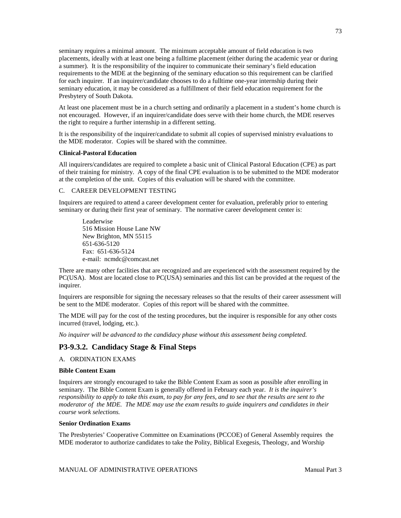seminary requires a minimal amount. The minimum acceptable amount of field education is two placements, ideally with at least one being a fulltime placement (either during the academic year or during a summer). It is the responsibility of the inquirer to communicate their seminary's field education requirements to the MDE at the beginning of the seminary education so this requirement can be clarified for each inquirer. If an inquirer/candidate chooses to do a fulltime one-year internship during their seminary education, it may be considered as a fulfillment of their field education requirement for the Presbytery of South Dakota.

At least one placement must be in a church setting and ordinarily a placement in a student's home church is not encouraged. However, if an inquirer/candidate does serve with their home church, the MDE reserves the right to require a further internship in a different setting.

It is the responsibility of the inquirer/candidate to submit all copies of supervised ministry evaluations to the MDE moderator. Copies will be shared with the committee.

#### **Clinical-Pastoral Education**

All inquirers/candidates are required to complete a basic unit of Clinical Pastoral Education (CPE) as part of their training for ministry. A copy of the final CPE evaluation is to be submitted to the MDE moderator at the completion of the unit. Copies of this evaluation will be shared with the committee.

### C. CAREER DEVELOPMENT TESTING

Inquirers are required to attend a career development center for evaluation, preferably prior to entering seminary or during their first year of seminary. The normative career development center is:

Leaderwise 516 Mission House Lane NW New Brighton, MN 55115 651-636-5120 Fax: 651-636-5124 e-mail: [ncmdc@comcast.net](mailto:ncmdc@comcast.net)

There are many other facilities that are recognized and are experienced with the assessment required by the PC(USA). Most are located close to PC(USA) seminaries and this list can be provided at the request of the inquirer.

Inquirers are responsible for signing the necessary releases so that the results of their career assessment will be sent to the MDE moderator. Copies of this report will be shared with the committee.

The MDE will pay for the cost of the testing procedures, but the inquirer is responsible for any other costs incurred (travel, lodging, etc.).

*No inquirer will be advanced to the candidacy phase without this assessment being completed.*

### **P3-9.3.2. Candidacy Stage & Final Steps**

A. ORDINATION EXAMS

#### **Bible Content Exam**

Inquirers are strongly encouraged to take the Bible Content Exam as soon as possible after enrolling in seminary. The Bible Content Exam is generally offered in February each year. *It is the inquirer's responsibility to apply to take this exam, to pay for any fees, and to see that the results are sent to the moderator of the MDE. The MDE may use the exam results to guide inquirers and candidates in their course work selections.* 

#### **Senior Ordination Exams**

The Presbyteries' Cooperative Committee on Examinations (PCCOE) of General Assembly requires the MDE moderator to authorize candidates to take the Polity, Biblical Exegesis, Theology, and Worship

73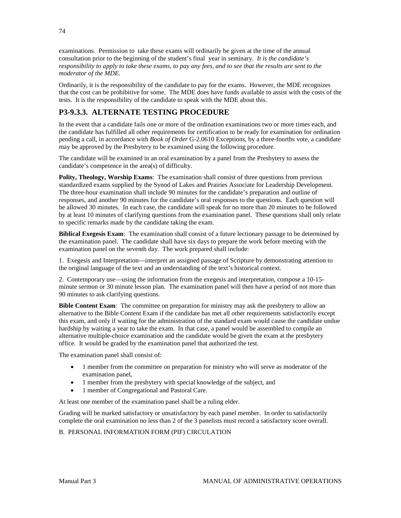examinations. Permission to take these exams will ordinarily be given at the time of the annual consultation prior to the beginning of the student's final year in seminary. *It is the candidate's responsibility to apply to take these exams, to pay any fees, and to see that the results are sent to the moderator of the MDE.*

Ordinarily, it is the responsibility of the candidate to pay for the exams. However, the MDE recognizes that the cost can be prohibitive for some. The MDE does have funds available to assist with the costs of the tests. It is the responsibility of the candidate to speak with the MDE about this.

## **P3-9.3.3. ALTERNATE TESTING PROCEDURE**

In the event that a candidate fails one or more of the ordination examinations two or more times each, and the candidate has fulfilled all other requirements for certification to be ready for examination for ordination pending a call, in accordance with *Book of Order* G-2.0610 Exceptions, by a three-fourths vote, a candidate may be approved by the Presbytery to be examined using the following procedure.

The candidate will be examined in an oral examination by a panel from the Presbytery to assess the candidate's competence in the area(s) of difficulty.

**Polity, Theology, Worship Exams**: The examination shall consist of three questions from previous standardized exams supplied by the Synod of Lakes and Prairies Associate for Leadership Development. The three-hour examination shall include 90 minutes for the candidate's preparation and outline of responses, and another 90 minutes for the candidate's oral responses to the questions. Each question will be allowed 30 minutes. In each case, the candidate will speak for no more than 20 minutes to be followed by at least 10 minutes of clarifying questions from the examination panel. These questions shall only relate to specific remarks made by the candidate taking the exam.

**Biblical Exegesis Exam**: The examination shall consist of a future lectionary passage to be determined by the examination panel. The candidate shall have six days to prepare the work before meeting with the examination panel on the seventh day. The work prepared shall include:

1. Exegesis and Interpretation—interpret an assigned passage of Scripture by demonstrating attention to the original language of the text and an understanding of the text's historical context.

2. Contemporary use—using the information from the exegesis and interpretation, compose a 10-15 minute sermon or 30 minute lesson plan. The examination panel will then have a period of not more than 90 minutes to ask clarifying questions.

**Bible Content Exam**: The committee on preparation for ministry may ask the presbytery to allow an alternative to the Bible Content Exam if the candidate has met all other requirements satisfactorily except this exam, and only if waiting for the administration of the standard exam would cause the candidate undue hardship by waiting a year to take the exam. In that case, a panel would be assembled to compile an alternative multiple-choice examination and the candidate would be given the exam at the presbytery office. It would be graded by the examination panel that authorized the test.

The examination panel shall consist of:

- 1 member from the committee on preparation for ministry who will serve as moderator of the examination panel,
- 1 member from the presbytery with special knowledge of the subject, and
- 1 member of Congregational and Pastoral Care.

At least one member of the examination panel shall be a ruling elder.

Grading will be marked satisfactory or unsatisfactory by each panel member. In order to satisfactorily complete the oral examination no less than 2 of the 3 panelists must record a satisfactory score overall.

### B. PERSONAL INFORMATION FORM (PIF) CIRCULATION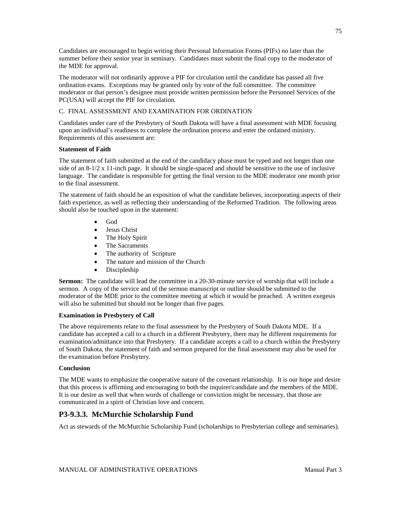Candidates are encouraged to begin writing their Personal Information Forms (PIFs) no later than the summer before their senior year in seminary. Candidates must submit the final copy to the moderator of the MDE for approval.

The moderator will not ordinarily approve a PIF for circulation until the candidate has passed all five ordination exams. Exceptions may be granted only by vote of the full committee. The committee moderator or that person's designee must provide written permission before the Personnel Services of the PC(USA) will accept the PIF for circulation.

### C. FINAL ASSESSMENT AND EXAMINATION FOR ORDINATION

Candidates under care of the Presbytery of South Dakota will have a final assessment with MDE focusing upon an individual's readiness to complete the ordination process and enter the ordained ministry. Requirements of this assessment are:

### **Statement of Faith**

The statement of faith submitted at the end of the candidacy phase must be typed and not longer than one side of an 8-1/2 x 11-inch page. It should be single-spaced and should be sensitive to the use of inclusive language. The candidate is responsible for getting the final version to the MDE moderator one month prior to the final assessment.

The statement of faith should be an exposition of what the candidate believes, incorporating aspects of their faith experience, as well as reflecting their understanding of the Reformed Tradition. The following areas should also be touched upon in the statement:

- God
- Jesus Christ
- The Holy Spirit
- The Sacraments
- The authority of Scripture
- The nature and mission of the Church
- Discipleship

**Sermon:** The candidate will lead the committee in a 20-30-minute service of worship that will include a sermon. A copy of the service and of the sermon manuscript or outline should be submitted to the moderator of the MDE prior to the committee meeting at which it would be preached. A written exegesis will also be submitted but should not be longer than five pages.

### **Examination in Presbytery of Call**

The above requirements relate to the final assessment by the Presbytery of South Dakota MDE. If a candidate has accepted a call to a church in a different Presbytery, there may be different requirements for examination/admittance into that Presbytery. If a candidate accepts a call to a church within the Presbytery of South Dakota, the statement of faith and sermon prepared for the final assessment may also be used for the examination before Presbytery.

### **Conclusion**

The MDE wants to emphasize the cooperative nature of the covenant relationship. It is our hope and desire that this process is affirming and encouraging to both the inquirer/candidate and the members of the MDE. It is our desire as well that when words of challenge or conviction might be necessary, that those are communicated in a spirit of Christian love and concern.

### **P3-9.3.3. McMurchie Scholarship Fund**

Act as stewards of the McMurchie Scholarship Fund (scholarships to Presbyterian college and seminaries).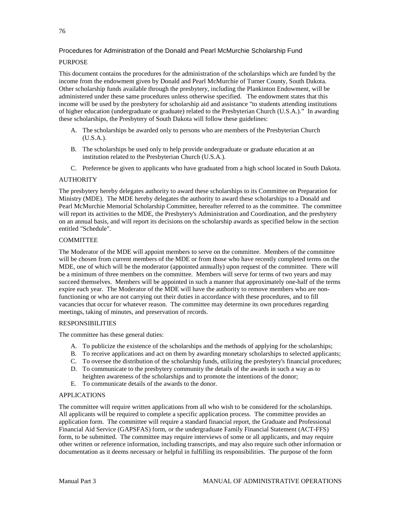### Procedures for Administration of the Donald and Pearl McMurchie Scholarship Fund

### PURPOSE

This document contains the procedures for the administration of the scholarships which are funded by the income from the endowment given by Donald and Pearl McMurchie of Turner County, South Dakota. Other scholarship funds available through the presbytery, including the Plankinton Endowment, will be administered under these same procedures unless otherwise specified. The endowment states that this income will be used by the presbytery for scholarship aid and assistance "to students attending institutions of higher education (undergraduate or graduate) related to the Presbyterian Church (U.S.A.)." In awarding these scholarships, the Presbytery of South Dakota will follow these guidelines:

- A. The scholarships be awarded only to persons who are members of the Presbyterian Church (U.S.A.).
- B. The scholarships be used only to help provide undergraduate or graduate education at an institution related to the Presbyterian Church (U.S.A.).
- C. Preference be given to applicants who have graduated from a high school located in South Dakota.

### **AUTHORITY**

The presbytery hereby delegates authority to award these scholarships to its Committee on Preparation for Ministry (MDE). The MDE hereby delegates the authority to award these scholarships to a Donald and Pearl McMurchie Memorial Scholarship Committee, hereafter referred to as the committee. The committee will report its activities to the MDE, the Presbytery's Administration and Coordination, and the presbytery on an annual basis, and will report its decisions on the scholarship awards as specified below in the section entitled "Schedule".

#### **COMMITTEE**

The Moderator of the MDE will appoint members to serve on the committee. Members of the committee will be chosen from current members of the MDE or from those who have recently completed terms on the MDE, one of which will be the moderator (appointed annually) upon request of the committee. There will be a minimum of three members on the committee. Members will serve for terms of two years and may succeed themselves. Members will be appointed in such a manner that approximately one-half of the terms expire each year. The Moderator of the MDE will have the authority to remove members who are nonfunctioning or who are not carrying out their duties in accordance with these procedures, and to fill vacancies that occur for whatever reason. The committee may determine its own procedures regarding meetings, taking of minutes, and preservation of records.

### RESPONSIBILITIES

The committee has these general duties:

- A. To publicize the existence of the scholarships and the methods of applying for the scholarships;
- B. To receive applications and act on them by awarding monetary scholarships to selected applicants;
- C. To oversee the distribution of the scholarship funds, utilizing the presbytery's financial procedures;
- D. To communicate to the presbytery community the details of the awards in such a way as to heighten awareness of the scholarships and to promote the intentions of the donor;
- E. To communicate details of the awards to the donor.

### APPLICATIONS

The committee will require written applications from all who wish to be considered for the scholarships. All applicants will be required to complete a specific application process. The committee provides an application form. The committee will require a standard financial report, the Graduate and Professional Financial Aid Service (GAPSFAS) form, or the undergraduate Family Financial Statement (ACT-FFS) form, to be submitted. The committee may require interviews of some or all applicants, and may require other written or reference information, including transcripts, and may also require such other information or documentation as it deems necessary or helpful in fulfilling its responsibilities. The purpose of the form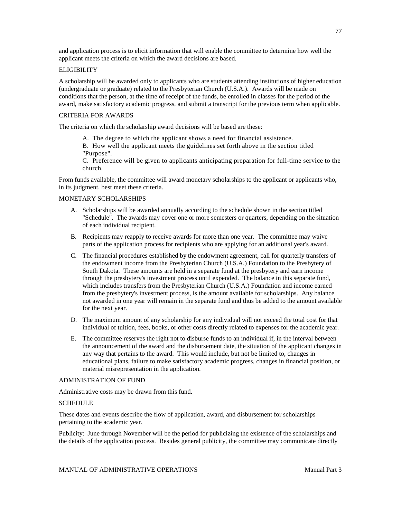and application process is to elicit information that will enable the committee to determine how well the applicant meets the criteria on which the award decisions are based.

#### ELIGIBILITY

A scholarship will be awarded only to applicants who are students attending institutions of higher education (undergraduate or graduate) related to the Presbyterian Church (U.S.A.). Awards will be made on conditions that the person, at the time of receipt of the funds, be enrolled in classes for the period of the award, make satisfactory academic progress, and submit a transcript for the previous term when applicable.

#### CRITERIA FOR AWARDS

The criteria on which the scholarship award decisions will be based are these:

- A. The degree to which the applicant shows a need for financial assistance.
- B. How well the applicant meets the guidelines set forth above in the section titled "Purpose".

C. Preference will be given to applicants anticipating preparation for full-time service to the church.

From funds available, the committee will award monetary scholarships to the applicant or applicants who, in its judgment, best meet these criteria.

### MONETARY SCHOLARSHIPS

- A. Scholarships will be awarded annually according to the schedule shown in the section titled "Schedule". The awards may cover one or more semesters or quarters, depending on the situation of each individual recipient.
- B. Recipients may reapply to receive awards for more than one year. The committee may waive parts of the application process for recipients who are applying for an additional year's award.
- C. The financial procedures established by the endowment agreement, call for quarterly transfers of the endowment income from the Presbyterian Church (U.S.A.) Foundation to the Presbytery of South Dakota. These amounts are held in a separate fund at the presbytery and earn income through the presbytery's investment process until expended. The balance in this separate fund, which includes transfers from the Presbyterian Church (U.S.A.) Foundation and income earned from the presbytery's investment process, is the amount available for scholarships. Any balance not awarded in one year will remain in the separate fund and thus be added to the amount available for the next year.
- D. The maximum amount of any scholarship for any individual will not exceed the total cost for that individual of tuition, fees, books, or other costs directly related to expenses for the academic year.
- E. The committee reserves the right not to disburse funds to an individual if, in the interval between the announcement of the award and the disbursement date, the situation of the applicant changes in any way that pertains to the award. This would include, but not be limited to, changes in educational plans, failure to make satisfactory academic progress, changes in financial position, or material misrepresentation in the application.

#### ADMINISTRATION OF FUND

Administrative costs may be drawn from this fund.

### **SCHEDULE**

These dates and events describe the flow of application, award, and disbursement for scholarships pertaining to the academic year.

Publicity: June through November will be the period for publicizing the existence of the scholarships and the details of the application process. Besides general publicity, the committee may communicate directly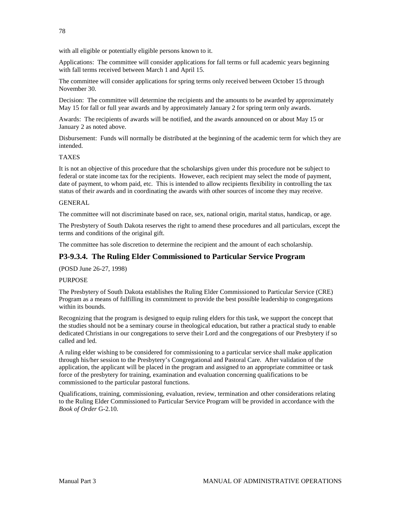78

with all eligible or potentially eligible persons known to it.

Applications: The committee will consider applications for fall terms or full academic years beginning with fall terms received between March 1 and April 15.

The committee will consider applications for spring terms only received between October 15 through November 30.

Decision: The committee will determine the recipients and the amounts to be awarded by approximately May 15 for fall or full year awards and by approximately January 2 for spring term only awards.

Awards: The recipients of awards will be notified, and the awards announced on or about May 15 or January 2 as noted above.

Disbursement: Funds will normally be distributed at the beginning of the academic term for which they are intended.

#### TAXES

It is not an objective of this procedure that the scholarships given under this procedure not be subject to federal or state income tax for the recipients. However, each recipient may select the mode of payment, date of payment, to whom paid, etc. This is intended to allow recipients flexibility in controlling the tax status of their awards and in coordinating the awards with other sources of income they may receive.

#### **GENERAL**

The committee will not discriminate based on race, sex, national origin, marital status, handicap, or age.

The Presbytery of South Dakota reserves the right to amend these procedures and all particulars, except the terms and conditions of the original gift.

The committee has sole discretion to determine the recipient and the amount of each scholarship.

### **P3-9.3.4. The Ruling Elder Commissioned to Particular Service Program**

(POSD June 26-27, 1998)

#### **PURPOSE**

The Presbytery of South Dakota establishes the Ruling Elder Commissioned to Particular Service (CRE) Program as a means of fulfilling its commitment to provide the best possible leadership to congregations within its bounds.

Recognizing that the program is designed to equip ruling elders for this task, we support the concept that the studies should not be a seminary course in theological education, but rather a practical study to enable dedicated Christians in our congregations to serve their Lord and the congregations of our Presbytery if so called and led.

A ruling elder wishing to be considered for commissioning to a particular service shall make application through his/her session to the Presbytery's Congregational and Pastoral Care. After validation of the application, the applicant will be placed in the program and assigned to an appropriate committee or task force of the presbytery for training, examination and evaluation concerning qualifications to be commissioned to the particular pastoral functions.

Qualifications, training, commissioning, evaluation, review, termination and other considerations relating to the Ruling Elder Commissioned to Particular Service Program will be provided in accordance with the *Book of Order* G-2.10.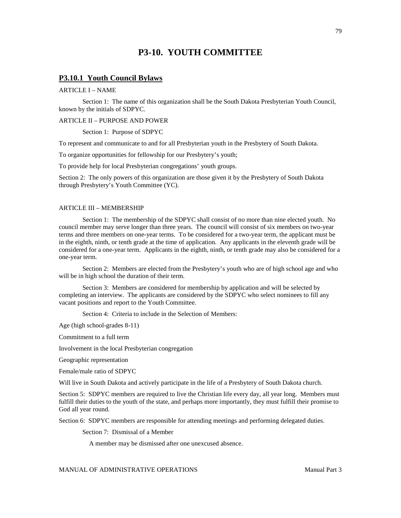## **P3-10. YOUTH COMMITTEE**

### **P3.10.1 Youth Council Bylaws**

### ARTICLE I – NAME

Section 1: The name of this organization shall be the South Dakota Presbyterian Youth Council, known by the initials of SDPYC.

#### ARTICLE II – PURPOSE AND POWER

Section 1: Purpose of SDPYC

To represent and communicate to and for all Presbyterian youth in the Presbytery of South Dakota.

To organize opportunities for fellowship for our Presbytery's youth;

To provide help for local Presbyterian congregations' youth groups.

Section 2: The only powers of this organization are those given it by the Presbytery of South Dakota through Presbytery's Youth Committee (YC).

#### ARTICLE III – MEMBERSHIP

Section 1: The membership of the SDPYC shall consist of no more than nine elected youth. No council member may serve longer than three years. The council will consist of six members on two-year terms and three members on one-year terms. To be considered for a two-year term, the applicant must be in the eighth, ninth, or tenth grade at the time of application. Any applicants in the eleventh grade will be considered for a one-year term. Applicants in the eighth, ninth, or tenth grade may also be considered for a one-year term.

Section 2: Members are elected from the Presbytery's youth who are of high school age and who will be in high school the duration of their term.

Section 3: Members are considered for membership by application and will be selected by completing an interview. The applicants are considered by the SDPYC who select nominees to fill any vacant positions and report to the Youth Committee.

Section 4: Criteria to include in the Selection of Members:

Age (high school-grades 8-11)

Commitment to a full term

Involvement in the local Presbyterian congregation

Geographic representation

Female/male ratio of SDPYC

Will live in South Dakota and actively participate in the life of a Presbytery of South Dakota church.

Section 5: SDPYC members are required to live the Christian life every day, all year long. Members must fulfill their duties to the youth of the state, and perhaps more importantly, they must fulfill their promise to God all year round.

Section 6: SDPYC members are responsible for attending meetings and performing delegated duties.

Section 7: Dismissal of a Member

A member may be dismissed after one unexcused absence.

MANUAL OF ADMINISTRATIVE OPERATIONS **Manual Part 3**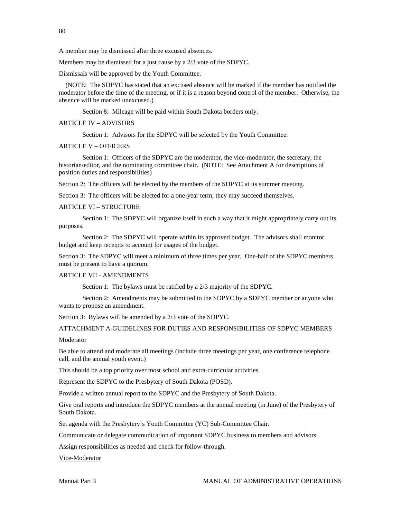80

A member may be dismissed after three excused absences.

Members may be dismissed for a just cause by a 2/3 vote of the SDPYC.

Dismissals will be approved by the Youth Committee.

 (NOTE: The SDPYC has stated that an excused absence will be marked if the member has notified the moderator before the time of the meeting, or if it is a reason beyond control of the member. Otherwise, the absence will be marked unexcused.)

Section 8: Mileage will be paid within South Dakota borders only.

#### ARTICLE IV – ADVISORS

Section 1: Advisors for the SDPYC will be selected by the Youth Committee.

#### ARTICLE V – OFFICERS

Section 1: Officers of the SDPYC are the moderator, the vice-moderator, the secretary, the historian/editor, and the nominating committee chair. (NOTE: See Attachment A for descriptions of position duties and responsibilities)

Section 2: The officers will be elected by the members of the SDPYC at its summer meeting.

Section 3: The officers will be elected for a one-year term; they may succeed themselves.

#### ARTICLE VI – STRUCTURE

Section 1: The SDPYC will organize itself in such a way that it might appropriately carry out its purposes.

Section 2: The SDPYC will operate within its approved budget. The advisors shall monitor budget and keep receipts to account for usages of the budget.

Section 3: The SDPYC will meet a minimum of three times per year. One-half of the SDPYC members must be present to have a quorum.

#### ARTICLE VII - AMENDMENTS

Section 1: The bylaws must be ratified by a 2/3 majority of the SDPYC.

Section 2: Amendments may be submitted to the SDPYC by a SDPYC member or anyone who wants to propose an amendment.

Section 3: Bylaws will be amended by a 2/3 vote of the SDPYC.

#### ATTACHMENT A-GUIDELINES FOR DUTIES AND RESPONSIBILITIES OF SDPYC MEMBERS

#### Moderator

Be able to attend and moderate all meetings (include three meetings per year, one conference telephone call, and the annual youth event.)

This should be a top priority over most school and extra-curricular activities.

Represent the SDPYC to the Presbytery of South Dakota (POSD).

Provide a written annual report to the SDPYC and the Presbytery of South Dakota.

Give oral reports and introduce the SDPYC members at the annual meeting (in June) of the Presbytery of South Dakota.

Set agenda with the Presbytery's Youth Committee (YC) Sub-Committee Chair.

Communicate or delegate communication of important SDPYC business to members and advisors.

Assign responsibilities as needed and check for follow-through.

Vice-Moderator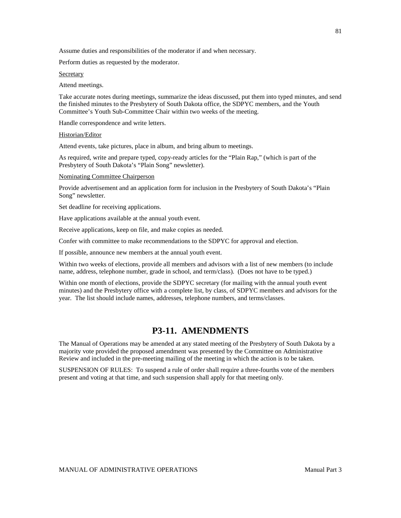Assume duties and responsibilities of the moderator if and when necessary.

Perform duties as requested by the moderator.

**Secretary** 

Attend meetings.

Take accurate notes during meetings, summarize the ideas discussed, put them into typed minutes, and send the finished minutes to the Presbytery of South Dakota office, the SDPYC members, and the Youth Committee's Youth Sub-Committee Chair within two weeks of the meeting.

Handle correspondence and write letters.

Historian/Editor

Attend events, take pictures, place in album, and bring album to meetings.

As required, write and prepare typed, copy-ready articles for the "Plain Rap," (which is part of the Presbytery of South Dakota's "Plain Song" newsletter).

#### Nominating Committee Chairperson

Provide advertisement and an application form for inclusion in the Presbytery of South Dakota's "Plain Song" newsletter.

Set deadline for receiving applications.

Have applications available at the annual youth event.

Receive applications, keep on file, and make copies as needed.

Confer with committee to make recommendations to the SDPYC for approval and election.

If possible, announce new members at the annual youth event.

Within two weeks of elections, provide all members and advisors with a list of new members (to include name, address, telephone number, grade in school, and term/class). (Does not have to be typed.)

Within one month of elections, provide the SDPYC secretary (for mailing with the annual youth event minutes) and the Presbytery office with a complete list, by class, of SDPYC members and advisors for the year. The list should include names, addresses, telephone numbers, and terms/classes.

### **P3-11. AMENDMENTS**

The Manual of Operations may be amended at any stated meeting of the Presbytery of South Dakota by a majority vote provided the proposed amendment was presented by the Committee on Administrative Review and included in the pre-meeting mailing of the meeting in which the action is to be taken.

SUSPENSION OF RULES: To suspend a rule of order shall require a three-fourths vote of the members present and voting at that time, and such suspension shall apply for that meeting only.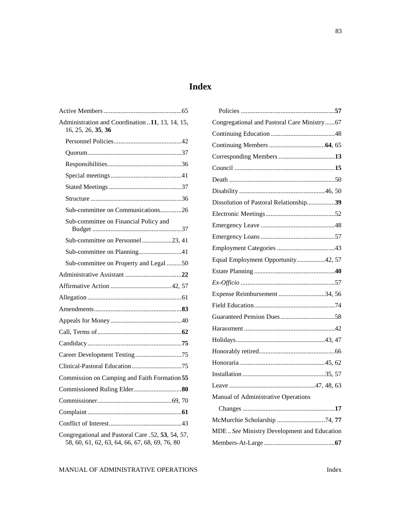## **Index**

| Administration and Coordination  11, 13, 14, 15,<br>16, 25, 26, 35, 36                              |
|-----------------------------------------------------------------------------------------------------|
|                                                                                                     |
|                                                                                                     |
|                                                                                                     |
|                                                                                                     |
|                                                                                                     |
|                                                                                                     |
| Sub-committee on Communications26                                                                   |
| Sub-committee on Financial Policy and                                                               |
| Sub-committee on Personnel23, 41                                                                    |
|                                                                                                     |
| Sub-committee on Property and Legal 50                                                              |
|                                                                                                     |
|                                                                                                     |
|                                                                                                     |
|                                                                                                     |
|                                                                                                     |
|                                                                                                     |
|                                                                                                     |
|                                                                                                     |
|                                                                                                     |
| Commission on Camping and Faith Formation 55                                                        |
|                                                                                                     |
|                                                                                                     |
|                                                                                                     |
|                                                                                                     |
| Congregational and Pastoral Care .52, 53, 54, 57,<br>58, 60, 61, 62, 63, 64, 66, 67, 68, 69, 76, 80 |

| Congregational and Pastoral Care Ministry67 |  |
|---------------------------------------------|--|
|                                             |  |
|                                             |  |
| Corresponding Members 13                    |  |
|                                             |  |
|                                             |  |
|                                             |  |
| Dissolution of Pastoral Relationship39      |  |
|                                             |  |
|                                             |  |
|                                             |  |
|                                             |  |
| Equal Employment Opportunity42, 57          |  |
|                                             |  |
|                                             |  |
| Expense Reimbursement 34, 56                |  |
|                                             |  |
|                                             |  |
|                                             |  |
|                                             |  |
|                                             |  |
|                                             |  |
|                                             |  |
|                                             |  |
| Manual of Administrative Operations         |  |
|                                             |  |
| McMurchie Scholarship 74,77                 |  |
| MDE See Ministry Development and Education  |  |
|                                             |  |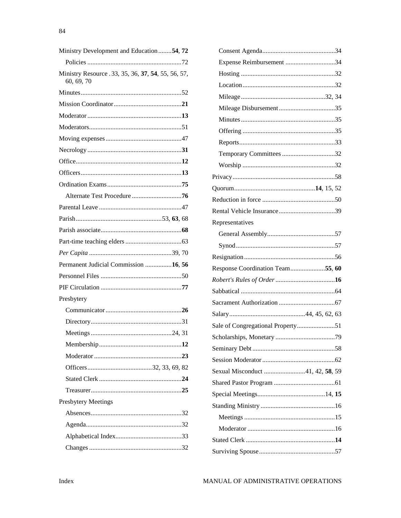| Ministry Development and Education 54, 72                         |
|-------------------------------------------------------------------|
|                                                                   |
| Ministry Resource . 33, 35, 36, 37, 54, 55, 56, 57,<br>60, 69, 70 |
|                                                                   |
|                                                                   |
|                                                                   |
|                                                                   |
|                                                                   |
|                                                                   |
|                                                                   |
|                                                                   |
|                                                                   |
|                                                                   |
|                                                                   |
|                                                                   |
|                                                                   |
|                                                                   |
|                                                                   |
| Permanent Judicial Commission 16, 56                              |
|                                                                   |
|                                                                   |
| Presbytery                                                        |
|                                                                   |
|                                                                   |
|                                                                   |
|                                                                   |
|                                                                   |
|                                                                   |
|                                                                   |
|                                                                   |
| <b>Presbytery Meetings</b>                                        |
|                                                                   |
|                                                                   |
|                                                                   |
|                                                                   |

| Expense Reimbursement 34         |  |
|----------------------------------|--|
|                                  |  |
|                                  |  |
|                                  |  |
|                                  |  |
|                                  |  |
|                                  |  |
|                                  |  |
| Temporary Committees 32          |  |
|                                  |  |
|                                  |  |
|                                  |  |
|                                  |  |
|                                  |  |
| Representatives                  |  |
|                                  |  |
|                                  |  |
|                                  |  |
| Response Coordination Team55, 60 |  |
|                                  |  |
|                                  |  |
|                                  |  |
|                                  |  |
|                                  |  |
|                                  |  |
|                                  |  |
|                                  |  |
| Sexual Misconduct 41, 42, 58, 59 |  |
|                                  |  |
|                                  |  |
|                                  |  |
|                                  |  |
|                                  |  |
|                                  |  |
|                                  |  |
|                                  |  |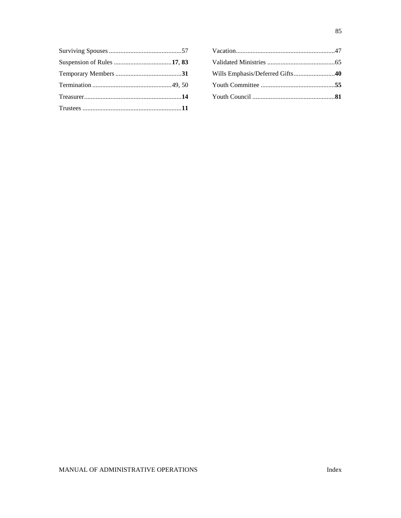| Wills Emphasis/Deferred Gifts40 |  |
|---------------------------------|--|
|                                 |  |
|                                 |  |
|                                 |  |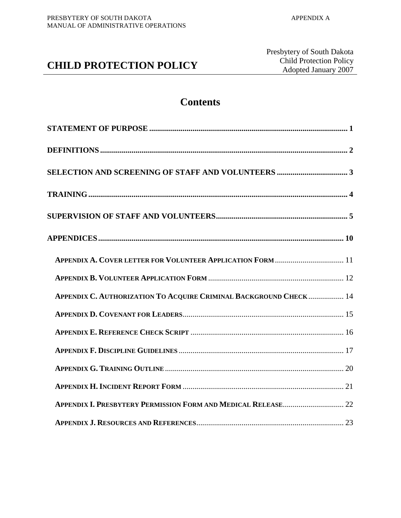# **CHILD PROTECTION POLICY**

## **Contents**

| APPENDIX A. COVER LETTER FOR VOLUNTEER APPLICATION FORM  11        |
|--------------------------------------------------------------------|
|                                                                    |
| APPENDIX C. AUTHORIZATION TO ACQUIRE CRIMINAL BACKGROUND CHECK  14 |
|                                                                    |
|                                                                    |
|                                                                    |
|                                                                    |
|                                                                    |
|                                                                    |
|                                                                    |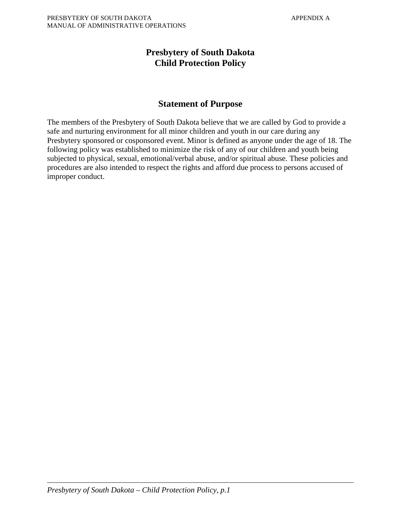## **Presbytery of South Dakota Child Protection Policy**

## **Statement of Purpose**

The members of the Presbytery of South Dakota believe that we are called by God to provide a safe and nurturing environment for all minor children and youth in our care during any Presbytery sponsored or cosponsored event. Minor is defined as anyone under the age of 18. The following policy was established to minimize the risk of any of our children and youth being subjected to physical, sexual, emotional/verbal abuse, and/or spiritual abuse. These policies and procedures are also intended to respect the rights and afford due process to persons accused of improper conduct.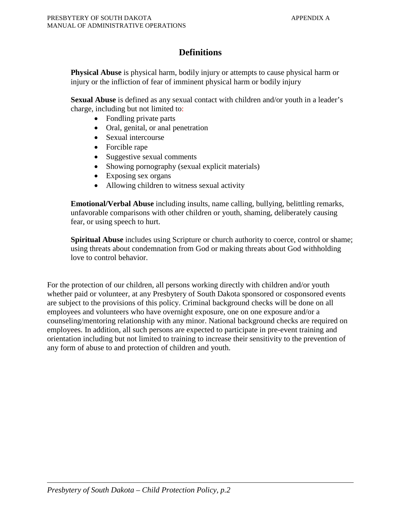## **Definitions**

**Physical Abuse** is physical harm, bodily injury or attempts to cause physical harm or injury or the infliction of fear of imminent physical harm or bodily injury

**Sexual Abuse** is defined as any sexual contact with children and/or youth in a leader's charge, including but not limited to:

- Fondling private parts
- Oral, genital, or anal penetration
- Sexual intercourse
- Forcible rape
- Suggestive sexual comments
- Showing pornography (sexual explicit materials)
- Exposing sex organs
- Allowing children to witness sexual activity

**Emotional/Verbal Abuse** including insults, name calling, bullying, belittling remarks, unfavorable comparisons with other children or youth, shaming, deliberately causing fear, or using speech to hurt.

**Spiritual Abuse** includes using Scripture or church authority to coerce, control or shame; using threats about condemnation from God or making threats about God withholding love to control behavior.

For the protection of our children, all persons working directly with children and/or youth whether paid or volunteer, at any Presbytery of South Dakota sponsored or cosponsored events are subject to the provisions of this policy. Criminal background checks will be done on all employees and volunteers who have overnight exposure, one on one exposure and/or a counseling/mentoring relationship with any minor. National background checks are required on employees. In addition, all such persons are expected to participate in pre-event training and orientation including but not limited to training to increase their sensitivity to the prevention of any form of abuse to and protection of children and youth.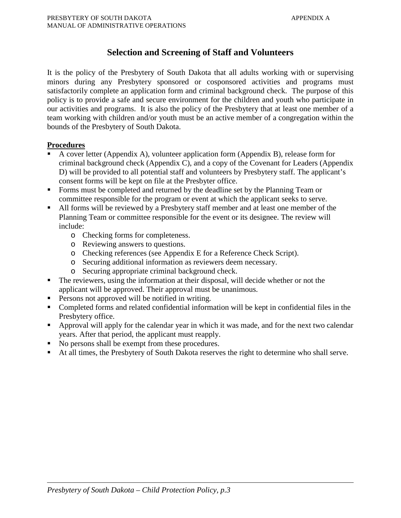## **Selection and Screening of Staff and Volunteers**

It is the policy of the Presbytery of South Dakota that all adults working with or supervising minors during any Presbytery sponsored or cosponsored activities and programs must satisfactorily complete an application form and criminal background check. The purpose of this policy is to provide a safe and secure environment for the children and youth who participate in our activities and programs. It is also the policy of the Presbytery that at least one member of a team working with children and/or youth must be an active member of a congregation within the bounds of the Presbytery of South Dakota.

### **Procedures**

- A cover letter (Appendix A), volunteer application form (Appendix B), release form for criminal background check (Appendix C), and a copy of the Covenant for Leaders (Appendix D) will be provided to all potential staff and volunteers by Presbytery staff. The applicant's consent forms will be kept on file at the Presbyter office.
- Forms must be completed and returned by the deadline set by the Planning Team or committee responsible for the program or event at which the applicant seeks to serve.
- All forms will be reviewed by a Presbytery staff member and at least one member of the Planning Team or committee responsible for the event or its designee. The review will include:
	- o Checking forms for completeness.
	- o Reviewing answers to questions.
	- o Checking references (see Appendix E for a Reference Check Script).
	- o Securing additional information as reviewers deem necessary.
	- o Securing appropriate criminal background check.
- The reviewers, using the information at their disposal, will decide whether or not the applicant will be approved. Their approval must be unanimous.
- Persons not approved will be notified in writing.
- Completed forms and related confidential information will be kept in confidential files in the Presbytery office.
- Approval will apply for the calendar year in which it was made, and for the next two calendar years. After that period, the applicant must reapply.
- No persons shall be exempt from these procedures.
- At all times, the Presbytery of South Dakota reserves the right to determine who shall serve.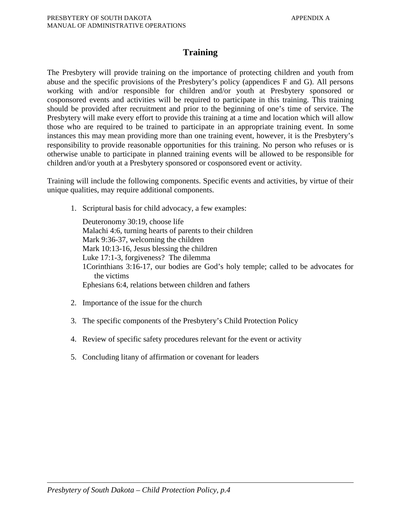## **Training**

The Presbytery will provide training on the importance of protecting children and youth from abuse and the specific provisions of the Presbytery's policy (appendices F and G). All persons working with and/or responsible for children and/or youth at Presbytery sponsored or cosponsored events and activities will be required to participate in this training. This training should be provided after recruitment and prior to the beginning of one's time of service. The Presbytery will make every effort to provide this training at a time and location which will allow those who are required to be trained to participate in an appropriate training event. In some instances this may mean providing more than one training event, however, it is the Presbytery's responsibility to provide reasonable opportunities for this training. No person who refuses or is otherwise unable to participate in planned training events will be allowed to be responsible for children and/or youth at a Presbytery sponsored or cosponsored event or activity.

Training will include the following components. Specific events and activities, by virtue of their unique qualities, may require additional components.

1. Scriptural basis for child advocacy, a few examples:

Deuteronomy 30:19, choose life Malachi 4:6, turning hearts of parents to their children Mark 9:36-37, welcoming the children Mark 10:13-16, Jesus blessing the children Luke 17:1-3, forgiveness? The dilemma 1Corinthians 3:16-17, our bodies are God's holy temple; called to be advocates for the victims Ephesians 6:4, relations between children and fathers

- 2. Importance of the issue for the church
- 3. The specific components of the Presbytery's Child Protection Policy
- 4. Review of specific safety procedures relevant for the event or activity
- 5. Concluding litany of affirmation or covenant for leaders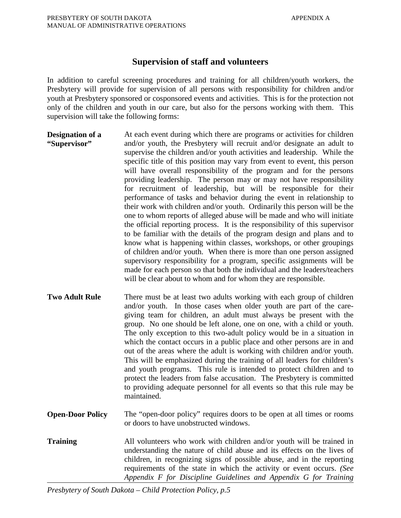## **Supervision of staff and volunteers**

In addition to careful screening procedures and training for all children/youth workers, the Presbytery will provide for supervision of all persons with responsibility for children and/or youth at Presbytery sponsored or cosponsored events and activities. This is for the protection not only of the children and youth in our care, but also for the persons working with them. This supervision will take the following forms:

- **Designation of a "Supervisor"** At each event during which there are programs or activities for children and/or youth, the Presbytery will recruit and/or designate an adult to supervise the children and/or youth activities and leadership. While the specific title of this position may vary from event to event, this person will have overall responsibility of the program and for the persons providing leadership. The person may or may not have responsibility for recruitment of leadership, but will be responsible for their performance of tasks and behavior during the event in relationship to their work with children and/or youth. Ordinarily this person will be the one to whom reports of alleged abuse will be made and who will initiate the official reporting process. It is the responsibility of this supervisor to be familiar with the details of the program design and plans and to know what is happening within classes, workshops, or other groupings of children and/or youth. When there is more than one person assigned supervisory responsibility for a program, specific assignments will be made for each person so that both the individual and the leaders/teachers will be clear about to whom and for whom they are responsible.
- **Two Adult Rule** There must be at least two adults working with each group of children and/or youth. In those cases when older youth are part of the caregiving team for children, an adult must always be present with the group. No one should be left alone, one on one, with a child or youth. The only exception to this two-adult policy would be in a situation in which the contact occurs in a public place and other persons are in and out of the areas where the adult is working with children and/or youth. This will be emphasized during the training of all leaders for children's and youth programs. This rule is intended to protect children and to protect the leaders from false accusation. The Presbytery is committed to providing adequate personnel for all events so that this rule may be maintained.
- **Open-Door Policy** The "open-door policy" requires doors to be open at all times or rooms or doors to have unobstructed windows.
- **Training** All volunteers who work with children and/or youth will be trained in understanding the nature of child abuse and its effects on the lives of children, in recognizing signs of possible abuse, and in the reporting requirements of the state in which the activity or event occurs. *(See Appendix F for Discipline Guidelines and Appendix G for Training*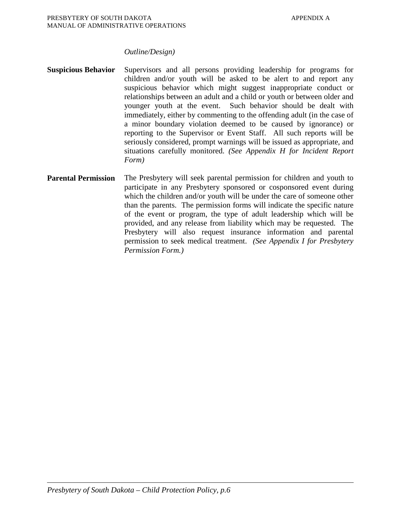### *Outline/Design)*

- **Suspicious Behavior** Supervisors and all persons providing leadership for programs for children and/or youth will be asked to be alert to and report any suspicious behavior which might suggest inappropriate conduct or relationships between an adult and a child or youth or between older and younger youth at the event. Such behavior should be dealt with immediately, either by commenting to the offending adult (in the case of a minor boundary violation deemed to be caused by ignorance) or reporting to the Supervisor or Event Staff. All such reports will be seriously considered, prompt warnings will be issued as appropriate, and situations carefully monitored. *(See Appendix H for Incident Report Form)*
- **Parental Permission** The Presbytery will seek parental permission for children and youth to participate in any Presbytery sponsored or cosponsored event during which the children and/or youth will be under the care of someone other than the parents. The permission forms will indicate the specific nature of the event or program, the type of adult leadership which will be provided, and any release from liability which may be requested. The Presbytery will also request insurance information and parental permission to seek medical treatment. *(See Appendix I for Presbytery Permission Form.)*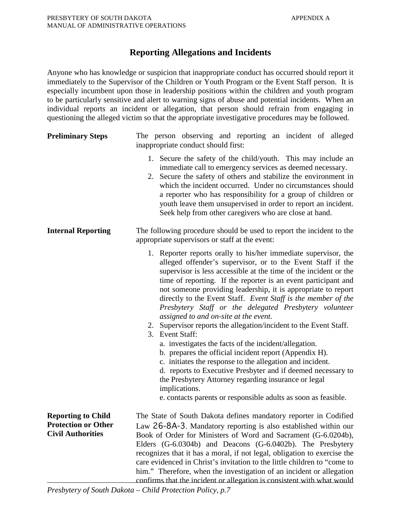## **Reporting Allegations and Incidents**

Anyone who has knowledge or suspicion that inappropriate conduct has occurred should report it immediately to the Supervisor of the Children or Youth Program or the Event Staff person. It is especially incumbent upon those in leadership positions within the children and youth program to be particularly sensitive and alert to warning signs of abuse and potential incidents. When an individual reports an incident or allegation, that person should refrain from engaging in questioning the alleged victim so that the appropriate investigative procedures may be followed.

| <b>Preliminary Steps</b>                                                            | The person observing and reporting an incident of alleged<br>inappropriate conduct should first:                                                                                                                                                                                                                                                                                                                                                                                                                                                                                                                                                                                                                                                                                                                                                                                                                                                                                             |  |  |  |
|-------------------------------------------------------------------------------------|----------------------------------------------------------------------------------------------------------------------------------------------------------------------------------------------------------------------------------------------------------------------------------------------------------------------------------------------------------------------------------------------------------------------------------------------------------------------------------------------------------------------------------------------------------------------------------------------------------------------------------------------------------------------------------------------------------------------------------------------------------------------------------------------------------------------------------------------------------------------------------------------------------------------------------------------------------------------------------------------|--|--|--|
|                                                                                     | 1. Secure the safety of the child/youth. This may include an<br>immediate call to emergency services as deemed necessary.<br>2. Secure the safety of others and stabilize the environment in<br>which the incident occurred. Under no circumstances should<br>a reporter who has responsibility for a group of children or<br>youth leave them unsupervised in order to report an incident.<br>Seek help from other caregivers who are close at hand.                                                                                                                                                                                                                                                                                                                                                                                                                                                                                                                                        |  |  |  |
| <b>Internal Reporting</b>                                                           | The following procedure should be used to report the incident to the<br>appropriate supervisors or staff at the event:                                                                                                                                                                                                                                                                                                                                                                                                                                                                                                                                                                                                                                                                                                                                                                                                                                                                       |  |  |  |
|                                                                                     | 1. Reporter reports orally to his/her immediate supervisor, the<br>alleged offender's supervisor, or to the Event Staff if the<br>supervisor is less accessible at the time of the incident or the<br>time of reporting. If the reporter is an event participant and<br>not someone providing leadership, it is appropriate to report<br>directly to the Event Staff. Event Staff is the member of the<br>Presbytery Staff or the delegated Presbytery volunteer<br>assigned to and on-site at the event.<br>2. Supervisor reports the allegation/incident to the Event Staff.<br>3. Event Staff:<br>a. investigates the facts of the incident/allegation.<br>b. prepares the official incident report (Appendix H).<br>c. initiates the response to the allegation and incident.<br>d. reports to Executive Presbyter and if deemed necessary to<br>the Presbytery Attorney regarding insurance or legal<br>implications.<br>e. contacts parents or responsible adults as soon as feasible. |  |  |  |
| <b>Reporting to Child</b><br><b>Protection or Other</b><br><b>Civil Authorities</b> | The State of South Dakota defines mandatory reporter in Codified<br>Law 26-8A-3. Mandatory reporting is also established within our<br>Book of Order for Ministers of Word and Sacrament (G-6.0204b),<br>Elders (G-6.0304b) and Deacons (G-6.0402b). The Presbytery<br>recognizes that it has a moral, if not legal, obligation to exercise the                                                                                                                                                                                                                                                                                                                                                                                                                                                                                                                                                                                                                                              |  |  |  |
|                                                                                     | care evidenced in Christ's invitation to the little children to "come to<br>him." Therefore, when the investigation of an incident or allegation<br>confirms that the incident or allegation is consistent with what would                                                                                                                                                                                                                                                                                                                                                                                                                                                                                                                                                                                                                                                                                                                                                                   |  |  |  |

*Presbytery of South Dakota – Child Protection Policy, p.7*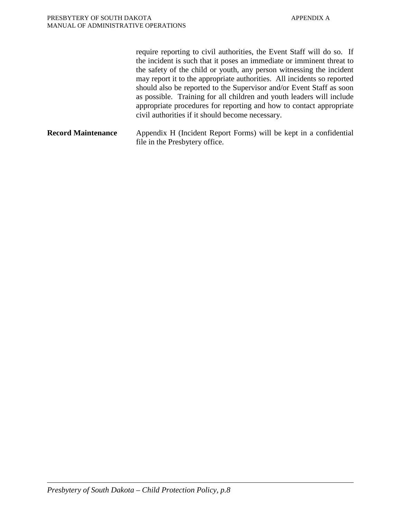require reporting to civil authorities, the Event Staff will do so. If the incident is such that it poses an immediate or imminent threat to the safety of the child or youth, any person witnessing the incident may report it to the appropriate authorities. All incidents so reported should also be reported to the Supervisor and/or Event Staff as soon as possible. Training for all children and youth leaders will include appropriate procedures for reporting and how to contact appropriate civil authorities if it should become necessary. **Record Maintenance** Appendix H (Incident Report Forms) will be kept in a confidential file in the Presbytery office.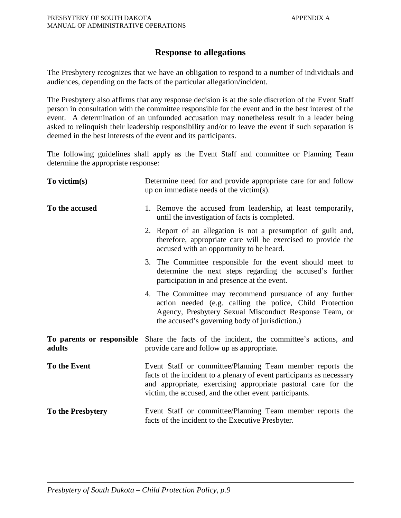## **Response to allegations**

The Presbytery recognizes that we have an obligation to respond to a number of individuals and audiences, depending on the facts of the particular allegation/incident.

The Presbytery also affirms that any response decision is at the sole discretion of the Event Staff person in consultation with the committee responsible for the event and in the best interest of the event. A determination of an unfounded accusation may nonetheless result in a leader being asked to relinquish their leadership responsibility and/or to leave the event if such separation is deemed in the best interests of the event and its participants.

The following guidelines shall apply as the Event Staff and committee or Planning Team determine the appropriate response:

| To victim(s)                        | Determine need for and provide appropriate care for and follow<br>up on immediate needs of the victim(s).                                                                                                                                                     |  |
|-------------------------------------|---------------------------------------------------------------------------------------------------------------------------------------------------------------------------------------------------------------------------------------------------------------|--|
| To the accused                      | 1. Remove the accused from leadership, at least temporarily,<br>until the investigation of facts is completed.                                                                                                                                                |  |
|                                     | 2. Report of an allegation is not a presumption of guilt and,<br>therefore, appropriate care will be exercised to provide the<br>accused with an opportunity to be heard.                                                                                     |  |
|                                     | 3. The Committee responsible for the event should meet to<br>determine the next steps regarding the accused's further<br>participation in and presence at the event.                                                                                          |  |
|                                     | 4. The Committee may recommend pursuance of any further<br>action needed (e.g. calling the police, Child Protection<br>Agency, Presbytery Sexual Misconduct Response Team, or<br>the accused's governing body of jurisdiction.)                               |  |
| To parents or responsible<br>adults | Share the facts of the incident, the committee's actions, and<br>provide care and follow up as appropriate.                                                                                                                                                   |  |
| To the Event                        | Event Staff or committee/Planning Team member reports the<br>facts of the incident to a plenary of event participants as necessary<br>and appropriate, exercising appropriate pastoral care for the<br>victim, the accused, and the other event participants. |  |
| To the Presbytery                   | Event Staff or committee/Planning Team member reports the<br>facts of the incident to the Executive Presbyter.                                                                                                                                                |  |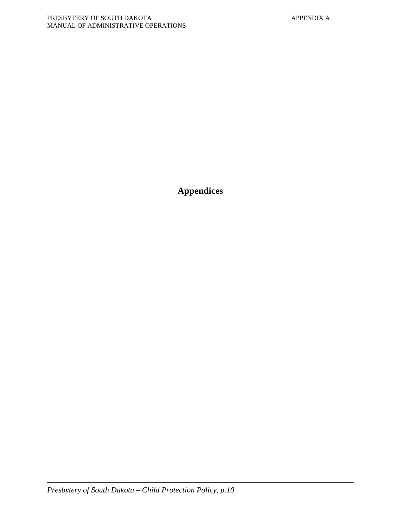**Appendices**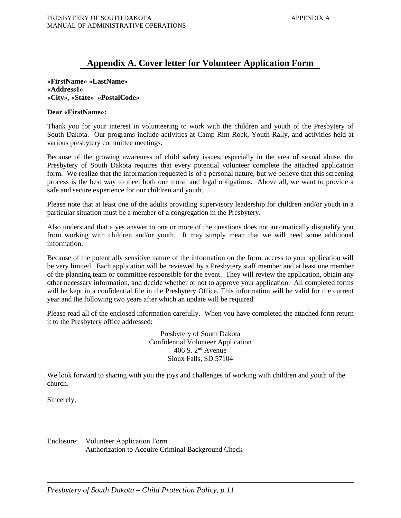## **Appendix A. Cover letter for Volunteer Application Form**

**«FirstName» «LastName» «Address1» «City», «State» «PostalCode»**

### **Dear «FirstName»:**

Thank you for your interest in volunteering to work with the children and youth of the Presbytery of South Dakota. Our programs include activities at Camp Rim Rock, Youth Rally, and activities held at various presbytery committee meetings.

Because of the growing awareness of child safety issues, especially in the area of sexual abuse, the Presbytery of South Dakota requires that every potential volunteer complete the attached application form. We realize that the information requested is of a personal nature, but we believe that this screening process is the best way to meet both our moral and legal obligations. Above all, we want to provide a safe and secure experience for our children and youth.

Please note that at least one of the adults providing supervisory leadership for children and/or youth in a particular situation must be a member of a congregation in the Presbytery.

Also understand that a yes answer to one or more of the questions does not automatically disqualify you from working with children and/or youth. It may simply mean that we will need some additional information.

Because of the potentially sensitive nature of the information on the form, access to your application will be very limited. Each application will be reviewed by a Presbytery staff member and at least one member of the planning team or committee responsible for the event. They will review the application, obtain any other necessary information, and decide whether or not to approve your application. All completed forms will be kept in a confidential file in the Presbytery Office. This information will be valid for the current year and the following two years after which an update will be required.

Please read all of the enclosed information carefully. When you have completed the attached form return it to the Presbytery office addressed:

> Presbytery of South Dakota Confidential Volunteer Application  $406$  S.  $2<sup>nd</sup>$  Avenue Sioux Falls, SD 57104

We look forward to sharing with you the joys and challenges of working with children and youth of the church.

Sincerely,

Enclosure: Volunteer Application Form Authorization to Acquire Criminal Background Check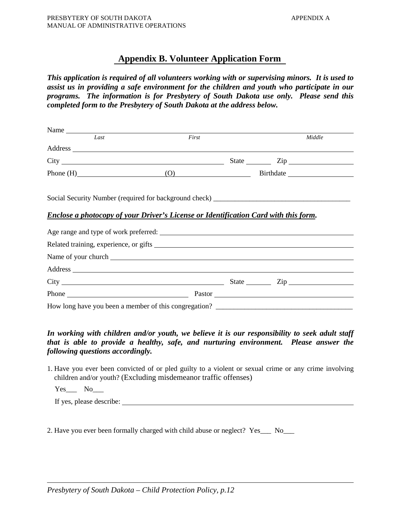## **Appendix B. Volunteer Application Form**

*This application is required of all volunteers working with or supervising minors. It is used to assist us in providing a safe environment for the children and youth who participate in our programs. The information is for Presbytery of South Dakota use only. Please send this completed form to the Presbytery of South Dakota at the address below.* 

| Name |                                                                                                                                                                                                                                |                                                                                   |
|------|--------------------------------------------------------------------------------------------------------------------------------------------------------------------------------------------------------------------------------|-----------------------------------------------------------------------------------|
| Last | First                                                                                                                                                                                                                          | Middle                                                                            |
|      |                                                                                                                                                                                                                                |                                                                                   |
|      |                                                                                                                                                                                                                                |                                                                                   |
|      |                                                                                                                                                                                                                                | Phone (H) (O) Birthdate                                                           |
|      |                                                                                                                                                                                                                                |                                                                                   |
|      |                                                                                                                                                                                                                                | Social Security Number (required for background check) __________________________ |
|      | <b>Enclose a photocopy of your Driver's License or Identification Card with this form.</b>                                                                                                                                     |                                                                                   |
|      |                                                                                                                                                                                                                                |                                                                                   |
|      |                                                                                                                                                                                                                                |                                                                                   |
|      |                                                                                                                                                                                                                                |                                                                                   |
|      |                                                                                                                                                                                                                                |                                                                                   |
|      | Address and the contract of the contract of the contract of the contract of the contract of the contract of the contract of the contract of the contract of the contract of the contract of the contract of the contract of th |                                                                                   |
|      |                                                                                                                                                                                                                                |                                                                                   |
|      |                                                                                                                                                                                                                                |                                                                                   |
|      |                                                                                                                                                                                                                                |                                                                                   |

## *In working with children and/or youth, we believe it is our responsibility to seek adult staff that is able to provide a healthy, safe, and nurturing environment. Please answer the following questions accordingly.*

1. Have you ever been convicted of or pled guilty to a violent or sexual crime or any crime involving children and/or youth? (Excluding misdemeanor traffic offenses)

 $Yes$  No\_\_\_\_\_\_

If yes, please describe:

2. Have you ever been formally charged with child abuse or neglect? Yes\_\_\_ No\_\_\_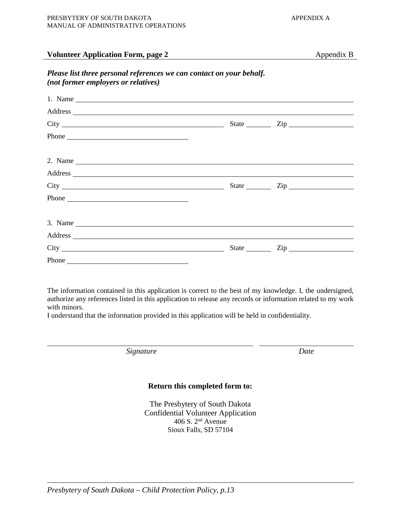### **Volunteer Application Form, page 2** Appendix B

## *Please list three personal references we can contact on your behalf. (not former employers or relatives)*

| 1. Name $\overline{\phantom{a}}$                                                                                                                                                                                               |                         |                      |  |
|--------------------------------------------------------------------------------------------------------------------------------------------------------------------------------------------------------------------------------|-------------------------|----------------------|--|
| Address and the contract of the contract of the contract of the contract of the contract of the contract of the contract of the contract of the contract of the contract of the contract of the contract of the contract of th |                         |                      |  |
|                                                                                                                                                                                                                                |                         | State <u>Cip</u> Cip |  |
|                                                                                                                                                                                                                                |                         |                      |  |
| 2. Name $\overline{\phantom{a}}$                                                                                                                                                                                               |                         |                      |  |
|                                                                                                                                                                                                                                |                         |                      |  |
|                                                                                                                                                                                                                                |                         | State <u>Cip</u> Cip |  |
| Phone                                                                                                                                                                                                                          |                         |                      |  |
| 3. Name $\overline{\phantom{a}}$                                                                                                                                                                                               |                         |                      |  |
| Address and the contract of the contract of the contract of the contract of the contract of the contract of the contract of the contract of the contract of the contract of the contract of the contract of the contract of th |                         |                      |  |
|                                                                                                                                                                                                                                | State $\_\_\_\_\_\_\_\$ |                      |  |
|                                                                                                                                                                                                                                |                         |                      |  |

The information contained in this application is correct to the best of my knowledge. I, the undersigned, authorize any references listed in this application to release any records or information related to my work with minors.

I understand that the information provided in this application will be held in confidentiality.

*Signature Date*

### **Return this completed form to:**

The Presbytery of South Dakota Confidential Volunteer Application 406 S. 2nd Avenue Sioux Falls, SD 57104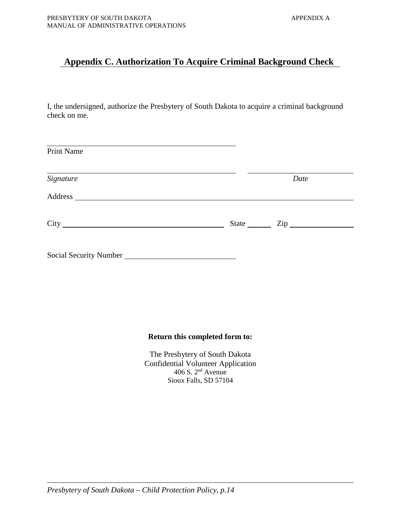## **Appendix C. Authorization To Acquire Criminal Background Check**

I, the undersigned, authorize the Presbytery of South Dakota to acquire a criminal background check on me.

| <b>Print Name</b>      |       |                  |
|------------------------|-------|------------------|
| Signature              | Date  |                  |
|                        |       |                  |
|                        | State | $\mathsf{Zip}\_$ |
| Social Security Number |       |                  |

## **Return this completed form to:**

The Presbytery of South Dakota Confidential Volunteer Application  $406$  S.  $2<sup>nd</sup>$  Avenue Sioux Falls, SD 57104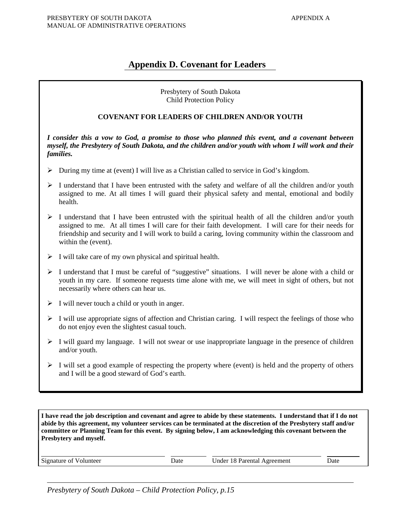## **Appendix D. Covenant for Leaders**

### Presbytery of South Dakota Child Protection Policy

### **COVENANT FOR LEADERS OF CHILDREN AND/OR YOUTH**

*I consider this a vow to God, a promise to those who planned this event, and a covenant between myself, the Presbytery of South Dakota, and the children and/or youth with whom I will work and their families.*

- During my time at (event) I will live as a Christian called to service in God's kingdom.
- $\triangleright$  I understand that I have been entrusted with the safety and welfare of all the children and/or youth assigned to me. At all times I will guard their physical safety and mental, emotional and bodily health.
- $\triangleright$  I understand that I have been entrusted with the spiritual health of all the children and/or youth assigned to me. At all times I will care for their faith development. I will care for their needs for friendship and security and I will work to build a caring, loving community within the classroom and within the (event).
- $\triangleright$  I will take care of my own physical and spiritual health.
- $\triangleright$  I understand that I must be careful of "suggestive" situations. I will never be alone with a child or youth in my care. If someone requests time alone with me, we will meet in sight of others, but not necessarily where others can hear us.
- $\triangleright$  I will never touch a child or youth in anger.
- $\triangleright$  I will use appropriate signs of affection and Christian caring. I will respect the feelings of those who do not enjoy even the slightest casual touch.
- $\triangleright$  I will guard my language. I will not swear or use inappropriate language in the presence of children and/or youth.
- $\triangleright$  I will set a good example of respecting the property where (event) is held and the property of others and I will be a good steward of God's earth.

**I have read the job description and covenant and agree to abide by these statements. I understand that if I do not abide by this agreement, my volunteer services can be terminated at the discretion of the Presbytery staff and/or committee or Planning Team for this event. By signing below, I am acknowledging this covenant between the Presbytery and myself.**

| Signature of Volunteer | Date | Under 18 Parental Agreement | Date |
|------------------------|------|-----------------------------|------|
|                        |      |                             |      |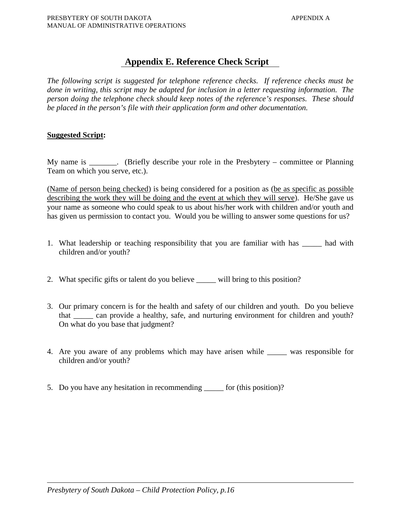## **Appendix E. Reference Check Script**

*The following script is suggested for telephone reference checks. If reference checks must be done in writing, this script may be adapted for inclusion in a letter requesting information. The person doing the telephone check should keep notes of the reference's responses. These should be placed in the person's file with their application form and other documentation.*

### **Suggested Script:**

My name is \_\_\_\_\_\_\_. (Briefly describe your role in the Presbytery – committee or Planning Team on which you serve, etc.).

(Name of person being checked) is being considered for a position as (be as specific as possible describing the work they will be doing and the event at which they will serve). He/She gave us your name as someone who could speak to us about his/her work with children and/or youth and has given us permission to contact you. Would you be willing to answer some questions for us?

- 1. What leadership or teaching responsibility that you are familiar with has \_\_\_\_\_ had with children and/or youth?
- 2. What specific gifts or talent do you believe \_\_\_\_\_ will bring to this position?
- 3. Our primary concern is for the health and safety of our children and youth. Do you believe that \_\_\_\_\_ can provide a healthy, safe, and nurturing environment for children and youth? On what do you base that judgment?
- 4. Are you aware of any problems which may have arisen while \_\_\_\_\_ was responsible for children and/or youth?
- 5. Do you have any hesitation in recommending \_\_\_\_\_ for (this position)?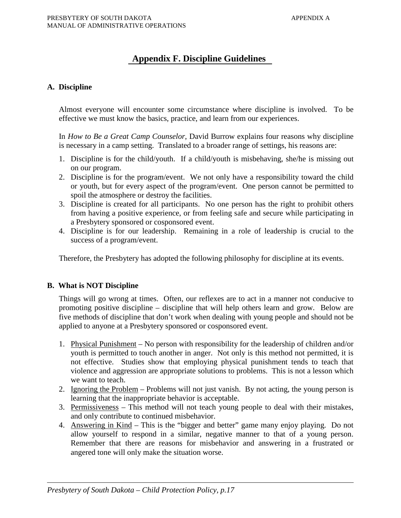## **Appendix F. Discipline Guidelines**

### **A. Discipline**

Almost everyone will encounter some circumstance where discipline is involved. To be effective we must know the basics, practice, and learn from our experiences.

In *How to Be a Great Camp Counselor*, David Burrow explains four reasons why discipline is necessary in a camp setting. Translated to a broader range of settings, his reasons are:

- 1. Discipline is for the child/youth. If a child/youth is misbehaving, she/he is missing out on our program.
- 2. Discipline is for the program/event. We not only have a responsibility toward the child or youth, but for every aspect of the program/event. One person cannot be permitted to spoil the atmosphere or destroy the facilities.
- 3. Discipline is created for all participants. No one person has the right to prohibit others from having a positive experience, or from feeling safe and secure while participating in a Presbytery sponsored or cosponsored event.
- 4. Discipline is for our leadership. Remaining in a role of leadership is crucial to the success of a program/event.

Therefore, the Presbytery has adopted the following philosophy for discipline at its events.

### **B. What is NOT Discipline**

Things will go wrong at times. Often, our reflexes are to act in a manner not conducive to promoting positive discipline – discipline that will help others learn and grow. Below are five methods of discipline that don't work when dealing with young people and should not be applied to anyone at a Presbytery sponsored or cosponsored event.

- 1. Physical Punishment No person with responsibility for the leadership of children and/or youth is permitted to touch another in anger. Not only is this method not permitted, it is not effective. Studies show that employing physical punishment tends to teach that violence and aggression are appropriate solutions to problems. This is not a lesson which we want to teach.
- 2. Ignoring the Problem Problems will not just vanish. By not acting, the young person is learning that the inappropriate behavior is acceptable.
- 3. Permissiveness This method will not teach young people to deal with their mistakes, and only contribute to continued misbehavior.
- 4. Answering in Kind This is the "bigger and better" game many enjoy playing. Do not allow yourself to respond in a similar, negative manner to that of a young person. Remember that there are reasons for misbehavior and answering in a frustrated or angered tone will only make the situation worse.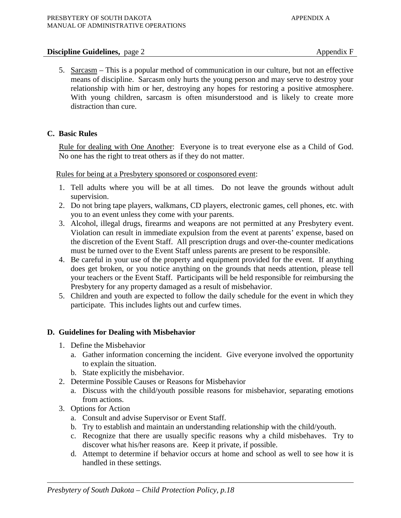### **Discipline Guidelines,** page 2 Appendix F

5. Sarcasm – This is a popular method of communication in our culture, but not an effective means of discipline. Sarcasm only hurts the young person and may serve to destroy your relationship with him or her, destroying any hopes for restoring a positive atmosphere. With young children, sarcasm is often misunderstood and is likely to create more distraction than cure.

## **C. Basic Rules**

Rule for dealing with One Another: Everyone is to treat everyone else as a Child of God. No one has the right to treat others as if they do not matter.

Rules for being at a Presbytery sponsored or cosponsored event:

- 1. Tell adults where you will be at all times. Do not leave the grounds without adult supervision.
- 2. Do not bring tape players, walkmans, CD players, electronic games, cell phones, etc. with you to an event unless they come with your parents.
- 3. Alcohol, illegal drugs, firearms and weapons are not permitted at any Presbytery event. Violation can result in immediate expulsion from the event at parents' expense, based on the discretion of the Event Staff. All prescription drugs and over-the-counter medications must be turned over to the Event Staff unless parents are present to be responsible.
- 4. Be careful in your use of the property and equipment provided for the event. If anything does get broken, or you notice anything on the grounds that needs attention, please tell your teachers or the Event Staff. Participants will be held responsible for reimbursing the Presbytery for any property damaged as a result of misbehavior.
- 5. Children and youth are expected to follow the daily schedule for the event in which they participate. This includes lights out and curfew times.

### **D. Guidelines for Dealing with Misbehavior**

- 1. Define the Misbehavior
	- a. Gather information concerning the incident. Give everyone involved the opportunity to explain the situation.
	- b. State explicitly the misbehavior.
- 2. Determine Possible Causes or Reasons for Misbehavior
	- a. Discuss with the child/youth possible reasons for misbehavior, separating emotions from actions.
- 3. Options for Action
	- a. Consult and advise Supervisor or Event Staff.
	- b. Try to establish and maintain an understanding relationship with the child/youth.
	- c. Recognize that there are usually specific reasons why a child misbehaves. Try to discover what his/her reasons are. Keep it private, if possible.
	- d. Attempt to determine if behavior occurs at home and school as well to see how it is handled in these settings.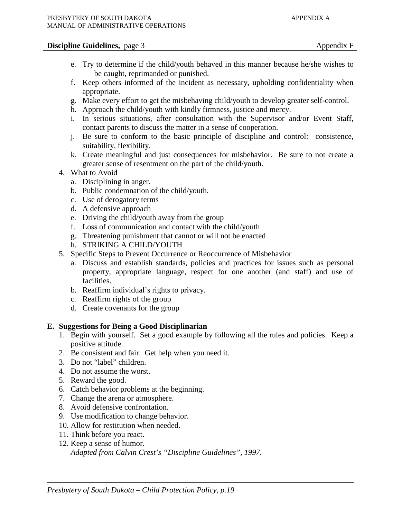- e. Try to determine if the child/youth behaved in this manner because he/she wishes to be caught, reprimanded or punished.
- f. Keep others informed of the incident as necessary, upholding confidentiality when appropriate.
- g. Make every effort to get the misbehaving child/youth to develop greater self-control.
- h. Approach the child/youth with kindly firmness, justice and mercy.
- i. In serious situations, after consultation with the Supervisor and/or Event Staff, contact parents to discuss the matter in a sense of cooperation.
- j. Be sure to conform to the basic principle of discipline and control: consistence, suitability, flexibility.
- k. Create meaningful and just consequences for misbehavior. Be sure to not create a greater sense of resentment on the part of the child/youth.
- 4. What to Avoid
	- a. Disciplining in anger.
	- b. Public condemnation of the child/youth.
	- c. Use of derogatory terms
	- d. A defensive approach
	- e. Driving the child/youth away from the group
	- f. Loss of communication and contact with the child/youth
	- g. Threatening punishment that cannot or will not be enacted
	- h. STRIKING A CHILD/YOUTH
- 5. Specific Steps to Prevent Occurrence or Reoccurrence of Misbehavior
	- a. Discuss and establish standards, policies and practices for issues such as personal property, appropriate language, respect for one another (and staff) and use of facilities.
	- b. Reaffirm individual's rights to privacy.
	- c. Reaffirm rights of the group
	- d. Create covenants for the group

### **E. Suggestions for Being a Good Disciplinarian**

- 1. Begin with yourself. Set a good example by following all the rules and policies. Keep a positive attitude.
- 2. Be consistent and fair. Get help when you need it.
- 3. Do not "label" children.
- 4. Do not assume the worst.
- 5. Reward the good.
- 6. Catch behavior problems at the beginning.
- 7. Change the arena or atmosphere.
- 8. Avoid defensive confrontation.
- 9. Use modification to change behavior.
- 10. Allow for restitution when needed.
- 11. Think before you react.
- 12. Keep a sense of humor.

*Adapted from Calvin Crest's "Discipline Guidelines", 1997.*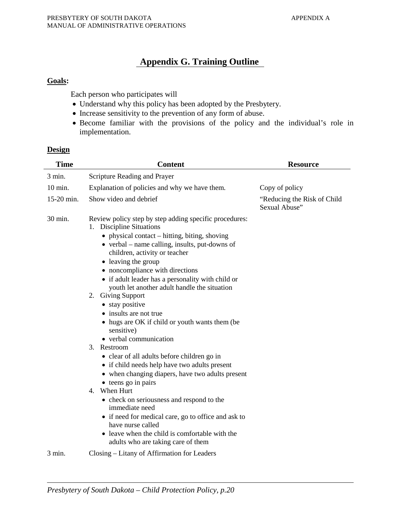## **Appendix G. Training Outline**

## **Goals:**

Each person who participates will

- Understand why this policy has been adopted by the Presbytery.
- Increase sensitivity to the prevention of any form of abuse.
- Become familiar with the provisions of the policy and the individual's role in implementation.

### **Design**

| <b>Time</b>      | <b>Content</b>                                                                                                                                                                                                                                                                                                                                                                                                                                                                                                                                                                                                                                                                                                                                                                                                                                                                                                                                                                                          | <b>Resource</b>                               |
|------------------|---------------------------------------------------------------------------------------------------------------------------------------------------------------------------------------------------------------------------------------------------------------------------------------------------------------------------------------------------------------------------------------------------------------------------------------------------------------------------------------------------------------------------------------------------------------------------------------------------------------------------------------------------------------------------------------------------------------------------------------------------------------------------------------------------------------------------------------------------------------------------------------------------------------------------------------------------------------------------------------------------------|-----------------------------------------------|
| 3 min.           | Scripture Reading and Prayer                                                                                                                                                                                                                                                                                                                                                                                                                                                                                                                                                                                                                                                                                                                                                                                                                                                                                                                                                                            |                                               |
| 10 min.          | Explanation of policies and why we have them.                                                                                                                                                                                                                                                                                                                                                                                                                                                                                                                                                                                                                                                                                                                                                                                                                                                                                                                                                           | Copy of policy                                |
| 15-20 min.       | Show video and debrief                                                                                                                                                                                                                                                                                                                                                                                                                                                                                                                                                                                                                                                                                                                                                                                                                                                                                                                                                                                  | "Reducing the Risk of Child"<br>Sexual Abuse" |
| 30 min.          | Review policy step by step adding specific procedures:<br>1. Discipline Situations<br>• physical contact – hitting, biting, shoving<br>$\bullet$ verbal – name calling, insults, put-downs of<br>children, activity or teacher<br>• leaving the group<br>• noncompliance with directions<br>• if adult leader has a personality with child or<br>youth let another adult handle the situation<br>2. Giving Support<br>• stay positive<br>• insults are not true<br>• hugs are OK if child or youth wants them (be)<br>sensitive)<br>• verbal communication<br>3. Restroom<br>• clear of all adults before children go in<br>• if child needs help have two adults present<br>• when changing diapers, have two adults present<br>• teens go in pairs<br>4. When Hurt<br>• check on seriousness and respond to the<br>immediate need<br>• if need for medical care, go to office and ask to<br>have nurse called<br>• leave when the child is comfortable with the<br>adults who are taking care of them |                                               |
| $3 \text{ min.}$ | Closing – Litany of Affirmation for Leaders                                                                                                                                                                                                                                                                                                                                                                                                                                                                                                                                                                                                                                                                                                                                                                                                                                                                                                                                                             |                                               |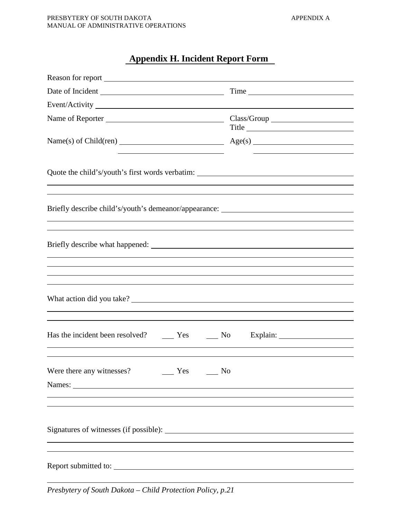# **Appendix H. Incident Report Form**

| Reason for report                                                                                                                                                     |                                                                                          |  |
|-----------------------------------------------------------------------------------------------------------------------------------------------------------------------|------------------------------------------------------------------------------------------|--|
|                                                                                                                                                                       | Time                                                                                     |  |
|                                                                                                                                                                       |                                                                                          |  |
|                                                                                                                                                                       |                                                                                          |  |
| the contract of the contract of the contract of the contract of the contract of the contract of the contract of                                                       | Title<br>the contract of the contract of the contract of the contract of the contract of |  |
|                                                                                                                                                                       |                                                                                          |  |
| Briefly describe child's/youth's demeanor/appearance: ___________________________<br>,我们也不会有什么。""我们的人,我们也不会有什么?""我们的人,我们也不会有什么?""我们的人,我们也不会有什么?""我们的人,我们也不会有什么?""我们的人 |                                                                                          |  |
| ,我们也不会有什么?""我们的人,我们也不会有什么?""我们的人,我们也不会有什么?""我们的人,我们也不会有什么?""我们的人,我们也不会有什么?""我们的人                                                                                      |                                                                                          |  |
| What action did you take?                                                                                                                                             |                                                                                          |  |
|                                                                                                                                                                       |                                                                                          |  |
| Were there any witnesses?<br>Yes<br>No                                                                                                                                |                                                                                          |  |
|                                                                                                                                                                       |                                                                                          |  |
| Report submitted to:                                                                                                                                                  |                                                                                          |  |

*Presbytery of South Dakota – Child Protection Policy, p.21*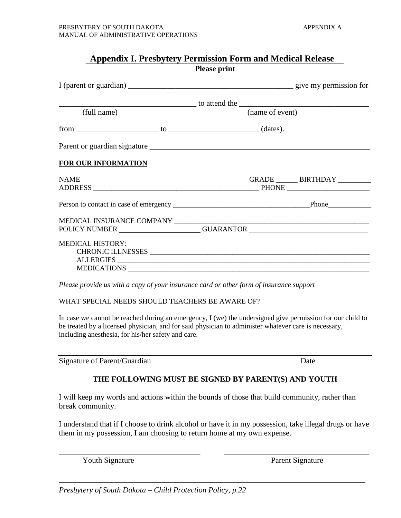| <b>Appendix I. Presbytery Permission Form and Medical Release</b><br><b>Please print</b> |                                                                                  |  |
|------------------------------------------------------------------------------------------|----------------------------------------------------------------------------------|--|
|                                                                                          |                                                                                  |  |
|                                                                                          |                                                                                  |  |
| (full name)                                                                              | (name of event)                                                                  |  |
|                                                                                          |                                                                                  |  |
|                                                                                          |                                                                                  |  |
| <b>FOR OUR INFORMATION</b>                                                               |                                                                                  |  |
|                                                                                          |                                                                                  |  |
|                                                                                          |                                                                                  |  |
|                                                                                          | POLICY NUMBER ______________________GUARANTOR __________________________________ |  |
| <b>MEDICAL HISTORY:</b>                                                                  | ALLERGIES<br>MEDICATIONS                                                         |  |

*Please provide us with a copy of your insurance card or other form of insurance support*

WHAT SPECIAL NEEDS SHOULD TEACHERS BE AWARE OF?

In case we cannot be reached during an emergency, I (we) the undersigned give permission for our child to be treated by a licensed physician, and for said physician to administer whatever care is necessary, including anesthesia, for his/her safety and care.

Signature of Parent/Guardian Date

## **THE FOLLOWING MUST BE SIGNED BY PARENT(S) AND YOUTH**

I will keep my words and actions within the bounds of those that build community, rather than break community.

I understand that if I choose to drink alcohol or have it in my possession, take illegal drugs or have them in my possession, I am choosing to return home at my own expense.

\_\_\_\_\_\_\_\_\_\_\_\_\_\_\_\_\_\_\_\_\_\_\_\_\_\_\_\_\_\_\_\_\_\_\_\_ \_\_\_\_\_\_\_\_\_\_\_\_\_\_\_\_\_\_\_\_\_\_\_\_\_\_\_\_\_\_\_\_\_\_\_\_\_

Youth Signature Parent Signature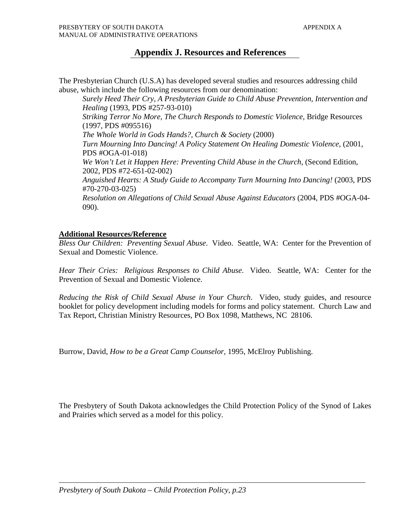# **Appendix J. Resources and References**

The Presbyterian Church (U.S.A) has developed several studies and resources addressing child abuse, which include the following resources from our denomination:

*Surely Heed Their Cry, A Presbyterian Guide to Child Abuse Prevention, Intervention and Healing* (1993, PDS #257-93-010) *Striking Terror No More, The Church Responds to Domestic Violence*, Bridge Resources (1997, PDS #095516) *The Whole World in Gods Hands?, Church & Society* (2000) *Turn Mourning Into Dancing! A Policy Statement On Healing Domestic Violence*, (2001, PDS #OGA-01-018) *We Won't Let it Happen Here: Preventing Child Abuse in the Church*, (Second Edition, 2002, PDS #72-651-02-002) *Anguished Hearts: A Study Guide to Accompany Turn Mourning Into Dancing!* (2003, PDS #70-270-03-025) *Resolution on Allegations of Child Sexual Abuse Against Educators* (2004, PDS #OGA-04- 090).

# **Additional Resources/Reference**

*Bless Our Children: Preventing Sexual Abuse*. Video. Seattle, WA: Center for the Prevention of Sexual and Domestic Violence.

*Hear Their Cries: Religious Responses to Child Abuse*. Video. Seattle, WA: Center for the Prevention of Sexual and Domestic Violence.

*Reducing the Risk of Child Sexual Abuse in Your Church*. Video, study guides, and resource booklet for policy development including models for forms and policy statement. Church Law and Tax Report, Christian Ministry Resources, PO Box 1098, Matthews, NC 28106.

Burrow, David, *How to be a Great Camp Counselor,* 1995, McElroy Publishing.

The Presbytery of South Dakota acknowledges the Child Protection Policy of the Synod of Lakes and Prairies which served as a model for this policy.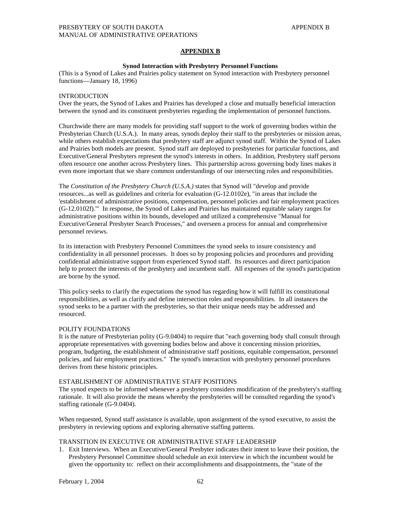#### **APPENDIX B**

#### **Synod Interaction with Presbytery Personnel Functions**

(This is a Synod of Lakes and Prairies policy statement on Synod interaction with Presbytery personnel functions—January 18, 1996)

#### INTRODUCTION

Over the years, the Synod of Lakes and Prairies has developed a close and mutually beneficial interaction between the synod and its constituent presbyteries regarding the implementation of personnel functions.

Churchwide there are many models for providing staff support to the work of governing bodies within the Presbyterian Church (U.S.A.). In many areas, synods deploy their staff to the presbyteries or mission areas, while others establish expectations that presbytery staff are adjunct synod staff. Within the Synod of Lakes and Prairies both models are present. Synod staff are deployed to presbyteries for particular functions, and Executive/General Presbyters represent the synod's interests in others. In addition, Presbytery staff persons often resource one another across Presbytery lines. This partnership across governing body lines makes it even more important that we share common understandings of our intersecting roles and responsibilities.

The *Constitution of the Presbytery Church (U.S.A.)* states that Synod will "develop and provide resources...as well as guidelines and criteria for evaluation (G-12.0102e), "in areas that include the 'establishment of administrative positions, compensation, personnel policies and fair employment practices (G-12.0102f).'" In response, the Synod of Lakes and Prairies has maintained equitable salary ranges for administrative positions within its bounds, developed and utilized a comprehensive "Manual for Executive/General Presbyter Search Processes," and overseen a process for annual and comprehensive personnel reviews.

In its interaction with Presbytery Personnel Committees the synod seeks to insure consistency and confidentiality in all personnel processes. It does so by proposing policies and procedures and providing confidential administrative support from experienced Synod staff. Its resources and direct participation help to protect the interests of the presbytery and incumbent staff. All expenses of the synod's participation are borne by the synod.

This policy seeks to clarify the expectations the synod has regarding how it will fulfill its constitutional responsibilities, as well as clarify and define intersection roles and responsibilities. In all instances the synod seeks to be a partner with the presbyteries, so that their unique needs may be addressed and resourced.

#### POLITY FOUNDATIONS

It is the nature of Presbyterian polity (G-9.0404) to require that "each governing body shall consult through appropriate representatives with governing bodies below and above it concerning mission priorities, program, budgeting, the establishment of administrative staff positions, equitable compensation, personnel policies, and fair employment practices." The synod's interaction with presbytery personnel procedures derives from these historic principles.

#### ESTABLISHMENT OF ADMINISTRATIVE STAFF POSITIONS

The synod expects to be informed whenever a presbytery considers modification of the presbytery's staffing rationale. It will also provide the means whereby the presbyteries will be consulted regarding the synod's staffing rationale (G-9.0404).

When requested, Synod staff assistance is available, upon assignment of the synod executive, to assist the presbytery in reviewing options and exploring alternative staffing patterns.

#### TRANSITION IN EXECUTIVE OR ADMINISTRATIVE STAFF LEADERSHIP

1. Exit Interviews. When an Executive/General Presbyter indicates their intent to leave their position, the Presbytery Personnel Committee should schedule an exit interview in which the incumbent would be given the opportunity to: reflect on their accomplishments and disappointments, the "state of the

February 1, 2004 62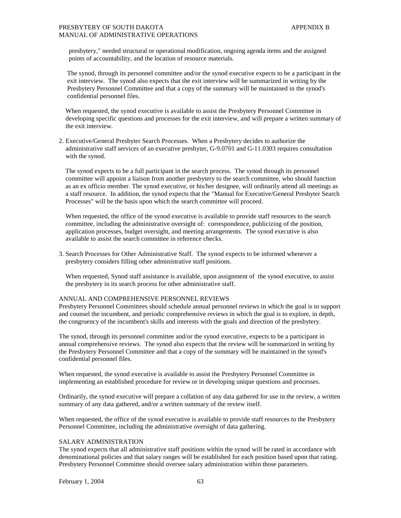### PRESBYTERY OF SOUTH DAKOTA APPENDIX B MANUAL OF ADMINISTRATIVE OPERATIONS

 presbytery," needed structural or operational modification, ongoing agenda items and the assigned points of accountability, and the location of resource materials.

 The synod, through its personnel committee and/or the synod executive expects to be a participant in the exit interview. The synod also expects that the exit interview will be summarized in writing by the Presbytery Personnel Committee and that a copy of the summary will be maintained in the synod's confidential personnel files.

 When requested, the synod executive is available to assist the Presbytery Personnel Committee in developing specific questions and processes for the exit interview, and will prepare a written summary of the exit interview.

2. Executive/General Presbyter Search Processes. When a Presbytery decides to authorize the administrative staff services of an executive presbyter, G-9.0701 and G-11.0303 requires consultation with the synod.

 The synod expects to be a full participant in the search process. The synod through its personnel committee will appoint a liaison from another presbytery to the search committee, who should function as an ex officio member. The synod executive, or his/her designee, will ordinarily attend all meetings as a staff resource. In addition, the synod expects that the "Manual for Executive/General Presbyter Search Processes" will be the basis upon which the search committee will proceed.

 When requested, the office of the synod executive is available to provide staff resources to the search committee, including the administrative oversight of: correspondence, publicizing of the position, application processes, budget oversight, and meeting arrangements. The synod executive is also available to assist the search committee in reference checks.

3. Search Processes for Other Administrative Staff. The synod expects to be informed whenever a presbytery considers filling other administrative staff positions.

 When requested, Synod staff assistance is available, upon assignment of the synod executive, to assist the presbytery in its search process for other administrative staff.

#### ANNUAL AND COMPREHENSIVE PERSONNEL REVIEWS

Presbytery Personnel Committees should schedule annual personnel reviews in which the goal is to support and counsel the incumbent, and periodic comprehensive reviews in which the goal is to explore, in depth, the congruency of the incumbent's skills and interests with the goals and direction of the presbytery.

The synod, through its personnel committee and/or the synod executive, expects to be a participant in annual comprehensive reviews. The synod also expects that the review will be summarized in writing by the Presbytery Personnel Committee and that a copy of the summary will be maintained in the synod's confidential personnel files.

When requested, the synod executive is available to assist the Presbytery Personnel Committee in implementing an established procedure for review or in developing unique questions and processes.

Ordinarily, the synod executive will prepare a collation of any data gathered for use in the review, a written summary of any data gathered, and/or a written summary of the review itself.

When requested, the office of the synod executive is available to provide staff resources to the Presbytery Personnel Committee, including the administrative oversight of data gathering.

#### SALARY ADMINISTRATION

The synod expects that all administrative staff positions within the synod will be rated in accordance with denominational policies and that salary ranges will be established for each position based upon that rating. Presbytery Personnel Committee should oversee salary administration within those parameters.

February 1, 2004 63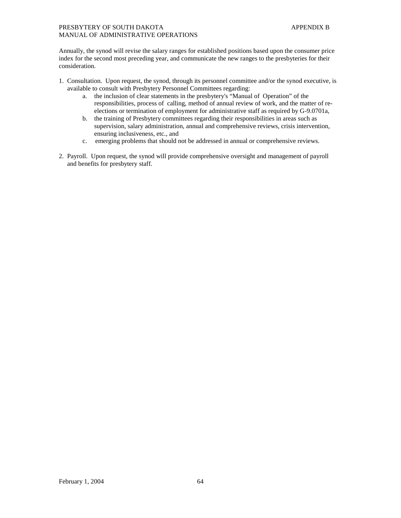Annually, the synod will revise the salary ranges for established positions based upon the consumer price index for the second most preceding year, and communicate the new ranges to the presbyteries for their consideration.

- 1. Consultation. Upon request, the synod, through its personnel committee and/or the synod executive, is available to consult with Presbytery Personnel Committees regarding:
	- a. the inclusion of clear statements in the presbytery's "Manual of Operation" of the responsibilities, process of calling, method of annual review of work, and the matter of reelections or termination of employment for administrative staff as required by G-9.0701a,
	- b. the training of Presbytery committees regarding their responsibilities in areas such as supervision, salary administration, annual and comprehensive reviews, crisis intervention, ensuring inclusiveness, etc., and
	- c. emerging problems that should not be addressed in annual or comprehensive reviews.
- 2. Payroll. Upon request, the synod will provide comprehensive oversight and management of payroll and benefits for presbytery staff.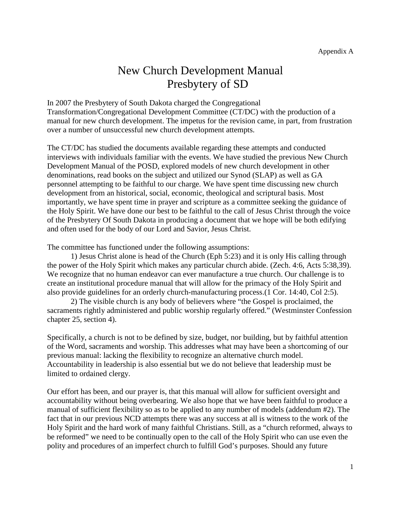# New Church Development Manual Presbytery of SD

In 2007 the Presbytery of South Dakota charged the Congregational Transformation/Congregational Development Committee (CT/DC) with the production of a manual for new church development. The impetus for the revision came, in part, from frustration over a number of unsuccessful new church development attempts.

The CT/DC has studied the documents available regarding these attempts and conducted interviews with individuals familiar with the events. We have studied the previous New Church Development Manual of the POSD, explored models of new church development in other denominations, read books on the subject and utilized our Synod (SLAP) as well as GA personnel attempting to be faithful to our charge. We have spent time discussing new church development from an historical, social, economic, theological and scriptural basis. Most importantly, we have spent time in prayer and scripture as a committee seeking the guidance of the Holy Spirit. We have done our best to be faithful to the call of Jesus Christ through the voice of the Presbytery Of South Dakota in producing a document that we hope will be both edifying and often used for the body of our Lord and Savior, Jesus Christ.

The committee has functioned under the following assumptions:

1) Jesus Christ alone is head of the Church (Eph 5:23) and it is only His calling through the power of the Holy Spirit which makes any particular church abide. (Zech. 4:6, Acts 5:38,39). We recognize that no human endeavor can ever manufacture a true church. Our challenge is to create an institutional procedure manual that will allow for the primacy of the Holy Spirit and also provide guidelines for an orderly church-manufacturing process.(1 Cor. 14:40, Col 2:5).

2) The visible church is any body of believers where "the Gospel is proclaimed, the sacraments rightly administered and public worship regularly offered." (Westminster Confession chapter 25, section 4).

Specifically, a church is not to be defined by size, budget, nor building, but by faithful attention of the Word, sacraments and worship. This addresses what may have been a shortcoming of our previous manual: lacking the flexibility to recognize an alternative church model. Accountability in leadership is also essential but we do not believe that leadership must be limited to ordained clergy.

Our effort has been, and our prayer is, that this manual will allow for sufficient oversight and accountability without being overbearing. We also hope that we have been faithful to produce a manual of sufficient flexibility so as to be applied to any number of models (addendum #2). The fact that in our previous NCD attempts there was any success at all is witness to the work of the Holy Spirit and the hard work of many faithful Christians. Still, as a "church reformed, always to be reformed" we need to be continually open to the call of the Holy Spirit who can use even the polity and procedures of an imperfect church to fulfill God's purposes. Should any future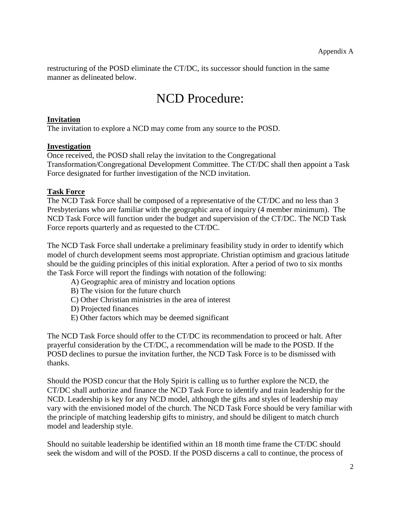restructuring of the POSD eliminate the CT/DC, its successor should function in the same manner as delineated below.

# NCD Procedure:

# **Invitation**

The invitation to explore a NCD may come from any source to the POSD.

# **Investigation**

Once received, the POSD shall relay the invitation to the Congregational Transformation/Congregational Development Committee. The CT/DC shall then appoint a Task Force designated for further investigation of the NCD invitation.

# **Task Force**

The NCD Task Force shall be composed of a representative of the CT/DC and no less than 3 Presbyterians who are familiar with the geographic area of inquiry (4 member minimum). The NCD Task Force will function under the budget and supervision of the CT/DC. The NCD Task Force reports quarterly and as requested to the CT/DC.

The NCD Task Force shall undertake a preliminary feasibility study in order to identify which model of church development seems most appropriate. Christian optimism and gracious latitude should be the guiding principles of this initial exploration. After a period of two to six months the Task Force will report the findings with notation of the following:

- A) Geographic area of ministry and location options
- B) The vision for the future church
- C) Other Christian ministries in the area of interest
- D) Projected finances
- E) Other factors which may be deemed significant

The NCD Task Force should offer to the CT/DC its recommendation to proceed or halt. After prayerful consideration by the CT/DC, a recommendation will be made to the POSD. If the POSD declines to pursue the invitation further, the NCD Task Force is to be dismissed with thanks.

Should the POSD concur that the Holy Spirit is calling us to further explore the NCD, the CT/DC shall authorize and finance the NCD Task Force to identify and train leadership for the NCD. Leadership is key for any NCD model, although the gifts and styles of leadership may vary with the envisioned model of the church. The NCD Task Force should be very familiar with the principle of matching leadership gifts to ministry, and should be diligent to match church model and leadership style.

Should no suitable leadership be identified within an 18 month time frame the CT/DC should seek the wisdom and will of the POSD. If the POSD discerns a call to continue, the process of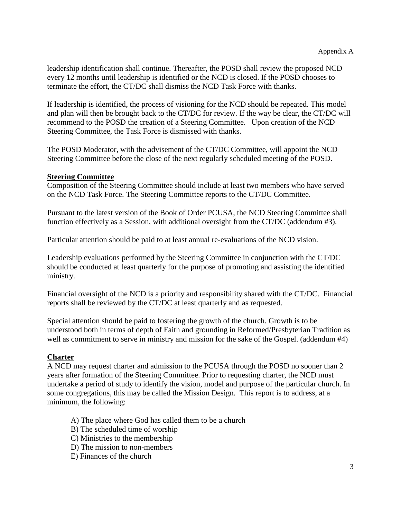leadership identification shall continue. Thereafter, the POSD shall review the proposed NCD every 12 months until leadership is identified or the NCD is closed. If the POSD chooses to terminate the effort, the CT/DC shall dismiss the NCD Task Force with thanks.

If leadership is identified, the process of visioning for the NCD should be repeated. This model and plan will then be brought back to the CT/DC for review. If the way be clear, the CT/DC will recommend to the POSD the creation of a Steering Committee. Upon creation of the NCD Steering Committee, the Task Force is dismissed with thanks.

The POSD Moderator, with the advisement of the CT/DC Committee, will appoint the NCD Steering Committee before the close of the next regularly scheduled meeting of the POSD.

# **Steering Committee**

Composition of the Steering Committee should include at least two members who have served on the NCD Task Force. The Steering Committee reports to the CT/DC Committee.

Pursuant to the latest version of the Book of Order PCUSA, the NCD Steering Committee shall function effectively as a Session, with additional oversight from the CT/DC (addendum #3).

Particular attention should be paid to at least annual re-evaluations of the NCD vision.

Leadership evaluations performed by the Steering Committee in conjunction with the CT/DC should be conducted at least quarterly for the purpose of promoting and assisting the identified ministry.

Financial oversight of the NCD is a priority and responsibility shared with the CT/DC. Financial reports shall be reviewed by the CT/DC at least quarterly and as requested.

Special attention should be paid to fostering the growth of the church. Growth is to be understood both in terms of depth of Faith and grounding in Reformed/Presbyterian Tradition as well as commitment to serve in ministry and mission for the sake of the Gospel. (addendum #4)

# **Charter**

A NCD may request charter and admission to the PCUSA through the POSD no sooner than 2 years after formation of the Steering Committee. Prior to requesting charter, the NCD must undertake a period of study to identify the vision, model and purpose of the particular church. In some congregations, this may be called the Mission Design. This report is to address, at a minimum, the following:

- A) The place where God has called them to be a church
- B) The scheduled time of worship
- C) Ministries to the membership
- D) The mission to non-members
- E) Finances of the church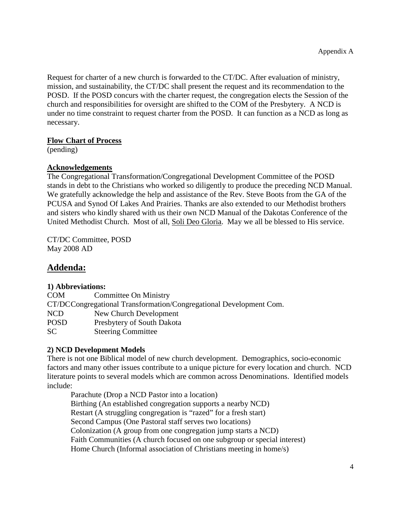Request for charter of a new church is forwarded to the CT/DC. After evaluation of ministry, mission, and sustainability, the CT/DC shall present the request and its recommendation to the POSD. If the POSD concurs with the charter request, the congregation elects the Session of the church and responsibilities for oversight are shifted to the COM of the Presbytery. A NCD is under no time constraint to request charter from the POSD. It can function as a NCD as long as necessary.

# **Flow Chart of Process**

(pending)

# **Acknowledgements**

The Congregational Transformation/Congregational Development Committee of the POSD stands in debt to the Christians who worked so diligently to produce the preceding NCD Manual. We gratefully acknowledge the help and assistance of the Rev. Steve Boots from the GA of the PCUSA and Synod Of Lakes And Prairies. Thanks are also extended to our Methodist brothers and sisters who kindly shared with us their own NCD Manual of the Dakotas Conference of the United Methodist Church. Most of all, Soli Deo Gloria. May we all be blessed to His service.

CT/DC Committee, POSD May 2008 AD

# **Addenda:**

# **1) Abbreviations:**

| <b>COM</b>                                                         | Committee On Ministry      |
|--------------------------------------------------------------------|----------------------------|
| CT/DCCongregational Transformation/Congregational Development Com. |                            |
| <b>NCD</b>                                                         | New Church Development     |
| <b>POSD</b>                                                        | Presbytery of South Dakota |
| SC.                                                                | <b>Steering Committee</b>  |
|                                                                    |                            |

# **2) NCD Development Models**

There is not one Biblical model of new church development. Demographics, socio-economic factors and many other issues contribute to a unique picture for every location and church. NCD literature points to several models which are common across Denominations. Identified models include:

Parachute (Drop a NCD Pastor into a location) Birthing (An established congregation supports a nearby NCD) Restart (A struggling congregation is "razed" for a fresh start) Second Campus (One Pastoral staff serves two locations) Colonization (A group from one congregation jump starts a NCD) Faith Communities (A church focused on one subgroup or special interest) Home Church (Informal association of Christians meeting in home/s)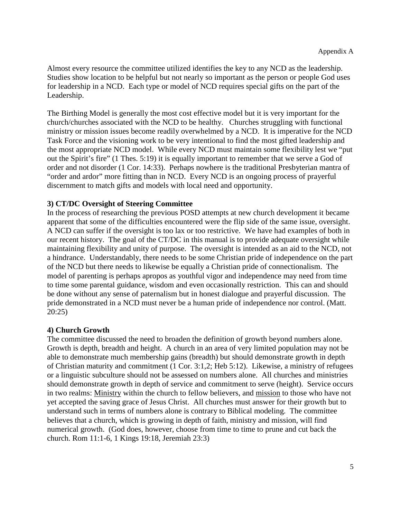Almost every resource the committee utilized identifies the key to any NCD as the leadership. Studies show location to be helpful but not nearly so important as the person or people God uses for leadership in a NCD. Each type or model of NCD requires special gifts on the part of the Leadership.

The Birthing Model is generally the most cost effective model but it is very important for the church/churches associated with the NCD to be healthy. Churches struggling with functional ministry or mission issues become readily overwhelmed by a NCD. It is imperative for the NCD Task Force and the visioning work to be very intentional to find the most gifted leadership and the most appropriate NCD model. While every NCD must maintain some flexibility lest we "put out the Spirit's fire" (1 Thes. 5:19) it is equally important to remember that we serve a God of order and not disorder (1 Cor. 14:33). Perhaps nowhere is the traditional Presbyterian mantra of "order and ardor" more fitting than in NCD. Every NCD is an ongoing process of prayerful discernment to match gifts and models with local need and opportunity.

# **3) CT/DC Oversight of Steering Committee**

In the process of researching the previous POSD attempts at new church development it became apparent that some of the difficulties encountered were the flip side of the same issue, oversight. A NCD can suffer if the oversight is too lax or too restrictive. We have had examples of both in our recent history. The goal of the CT/DC in this manual is to provide adequate oversight while maintaining flexibility and unity of purpose. The oversight is intended as an aid to the NCD, not a hindrance. Understandably, there needs to be some Christian pride of independence on the part of the NCD but there needs to likewise be equally a Christian pride of connectionalism. The model of parenting is perhaps apropos as youthful vigor and independence may need from time to time some parental guidance, wisdom and even occasionally restriction. This can and should be done without any sense of paternalism but in honest dialogue and prayerful discussion. The pride demonstrated in a NCD must never be a human pride of independence nor control. (Matt. 20:25)

# **4) Church Growth**

The committee discussed the need to broaden the definition of growth beyond numbers alone. Growth is depth, breadth and height. A church in an area of very limited population may not be able to demonstrate much membership gains (breadth) but should demonstrate growth in depth of Christian maturity and commitment (1 Cor. 3:1,2; Heb 5:12). Likewise, a ministry of refugees or a linguistic subculture should not be assessed on numbers alone. All churches and ministries should demonstrate growth in depth of service and commitment to serve (height). Service occurs in two realms: Ministry within the church to fellow believers, and mission to those who have not yet accepted the saving grace of Jesus Christ. All churches must answer for their growth but to understand such in terms of numbers alone is contrary to Biblical modeling. The committee believes that a church, which is growing in depth of faith, ministry and mission, will find numerical growth. (God does, however, choose from time to time to prune and cut back the church. Rom 11:1-6, 1 Kings 19:18, Jeremiah 23:3)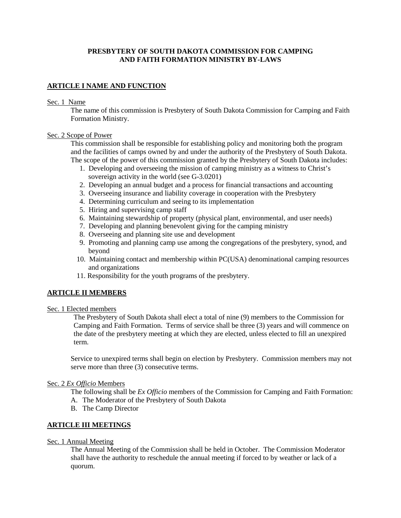# **PRESBYTERY OF SOUTH DAKOTA COMMISSION FOR CAMPING AND FAITH FORMATION MINISTRY BY-LAWS**

# **ARTICLE I NAME AND FUNCTION**

#### Sec. 1 Name

The name of this commission is Presbytery of South Dakota Commission for Camping and Faith Formation Ministry.

### Sec. 2 Scope of Power

This commission shall be responsible for establishing policy and monitoring both the program and the facilities of camps owned by and under the authority of the Presbytery of South Dakota. The scope of the power of this commission granted by the Presbytery of South Dakota includes:

- 1. Developing and overseeing the mission of camping ministry as a witness to Christ's sovereign activity in the world (see G-3.0201)
- 2. Developing an annual budget and a process for financial transactions and accounting
- 3. Overseeing insurance and liability coverage in cooperation with the Presbytery
- 4. Determining curriculum and seeing to its implementation
- 5. Hiring and supervising camp staff
- 6. Maintaining stewardship of property (physical plant, environmental, and user needs)
- 7. Developing and planning benevolent giving for the camping ministry
- 8. Overseeing and planning site use and development
- 9. Promoting and planning camp use among the congregations of the presbytery, synod, and beyond
- 10. Maintaining contact and membership within PC(USA) denominational camping resources and organizations
- 11. Responsibility for the youth programs of the presbytery.

## **ARTICLE II MEMBERS**

# Sec. 1 Elected members

The Presbytery of South Dakota shall elect a total of nine (9) members to the Commission for Camping and Faith Formation. Terms of service shall be three (3) years and will commence on the date of the presbytery meeting at which they are elected, unless elected to fill an unexpired term.

Service to unexpired terms shall begin on election by Presbytery. Commission members may not serve more than three (3) consecutive terms.

### Sec. 2 *Ex Officio* Members

The following shall be *Ex Officio* members of the Commission for Camping and Faith Formation:

- A. The Moderator of the Presbytery of South Dakota
- B. The Camp Director

## **ARTICLE III MEETINGS**

### Sec. 1 Annual Meeting

The Annual Meeting of the Commission shall be held in October. The Commission Moderator shall have the authority to reschedule the annual meeting if forced to by weather or lack of a quorum.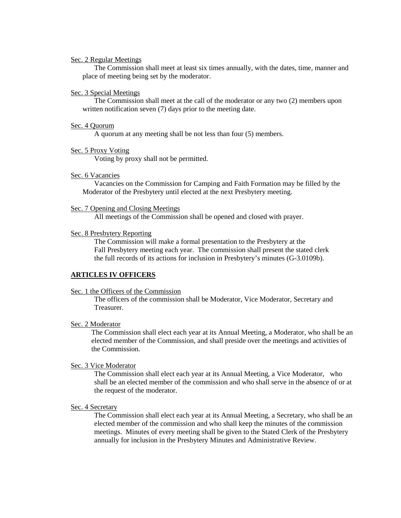#### Sec. 2 Regular Meetings

The Commission shall meet at least six times annually, with the dates, time, manner and place of meeting being set by the moderator.

### Sec. 3 Special Meetings

The Commission shall meet at the call of the moderator or any two (2) members upon written notification seven (7) days prior to the meeting date.

#### Sec. 4 Quorum

A quorum at any meeting shall be not less than four (5) members.

### Sec. 5 Proxy Voting

Voting by proxy shall not be permitted.

#### Sec. 6 Vacancies

Vacancies on the Commission for Camping and Faith Formation may be filled by the Moderator of the Presbytery until elected at the next Presbytery meeting.

#### Sec. 7 Opening and Closing Meetings

All meetings of the Commission shall be opened and closed with prayer.

#### Sec. 8 Presbytery Reporting

The Commission will make a formal presentation to the Presbytery at the Fall Presbytery meeting each year. The commission shall present the stated clerk the full records of its actions for inclusion in Presbytery's minutes (G-3.0109b).

### **ARTICLES IV OFFICERS**

#### Sec. 1 the Officers of the Commission

The officers of the commission shall be Moderator, Vice Moderator, Secretary and Treasurer.

### Sec. 2 Moderator

The Commission shall elect each year at its Annual Meeting, a Moderator, who shall be an elected member of the Commission, and shall preside over the meetings and activities of the Commission.

#### Sec. 3 Vice Moderator

The Commission shall elect each year at its Annual Meeting, a Vice Moderator, who shall be an elected member of the commission and who shall serve in the absence of or at the request of the moderator.

### Sec. 4 Secretary

The Commission shall elect each year at its Annual Meeting, a Secretary, who shall be an elected member of the commission and who shall keep the minutes of the commission meetings. Minutes of every meeting shall be given to the Stated Clerk of the Presbytery annually for inclusion in the Presbytery Minutes and Administrative Review.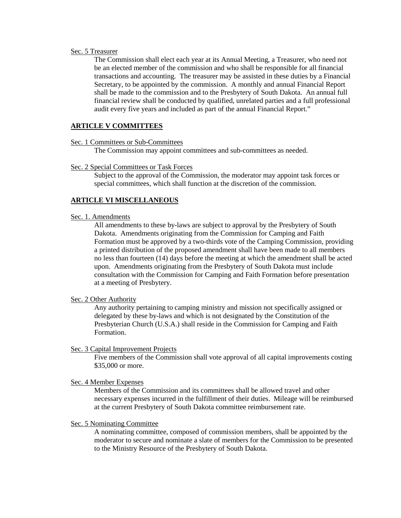### Sec. 5 Treasurer

The Commission shall elect each year at its Annual Meeting, a Treasurer, who need not be an elected member of the commission and who shall be responsible for all financial transactions and accounting. The treasurer may be assisted in these duties by a Financial Secretary, to be appointed by the commission. A monthly and annual Financial Report shall be made to the commission and to the Presbytery of South Dakota. An annual full financial review shall be conducted by qualified, unrelated parties and a full professional audit every five years and included as part of the annual Financial Report."

### **ARTICLE V COMMITTEES**

Sec. 1 Committees or Sub-Committees

The Commission may appoint committees and sub-committees as needed.

#### Sec. 2 Special Committees or Task Forces

Subject to the approval of the Commission, the moderator may appoint task forces or special committees, which shall function at the discretion of the commission.

### **ARTICLE VI MISCELLANEOUS**

#### Sec. 1. Amendments

All amendments to these by-laws are subject to approval by the Presbytery of South Dakota. Amendments originating from the Commission for Camping and Faith Formation must be approved by a two-thirds vote of the Camping Commission, providing a printed distribution of the proposed amendment shall have been made to all members no less than fourteen (14) days before the meeting at which the amendment shall be acted upon. Amendments originating from the Presbytery of South Dakota must include consultation with the Commission for Camping and Faith Formation before presentation at a meeting of Presbytery.

### Sec. 2 Other Authority

Any authority pertaining to camping ministry and mission not specifically assigned or delegated by these by-laws and which is not designated by the Constitution of the Presbyterian Church (U.S.A.) shall reside in the Commission for Camping and Faith Formation.

### Sec. 3 Capital Improvement Projects

Five members of the Commission shall vote approval of all capital improvements costing \$35,000 or more.

## Sec. 4 Member Expenses

Members of the Commission and its committees shall be allowed travel and other necessary expenses incurred in the fulfillment of their duties. Mileage will be reimbursed at the current Presbytery of South Dakota committee reimbursement rate.

#### Sec. 5 Nominating Committee

A nominating committee, composed of commission members, shall be appointed by the moderator to secure and nominate a slate of members for the Commission to be presented to the Ministry Resource of the Presbytery of South Dakota.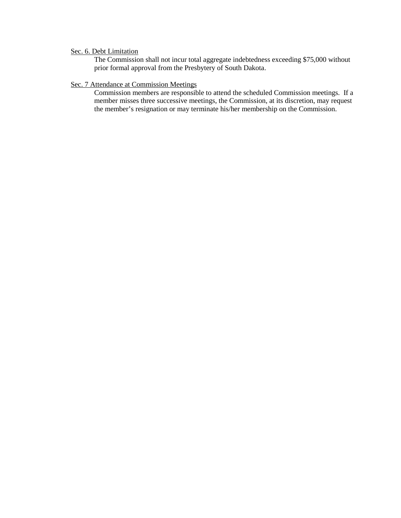# Sec. 6. Debt Limitation

The Commission shall not incur total aggregate indebtedness exceeding \$75,000 without prior formal approval from the Presbytery of South Dakota.

### Sec. 7 Attendance at Commission Meetings

Commission members are responsible to attend the scheduled Commission meetings. If a member misses three successive meetings, the Commission, at its discretion, may request the member's resignation or may terminate his/her membership on the Commission.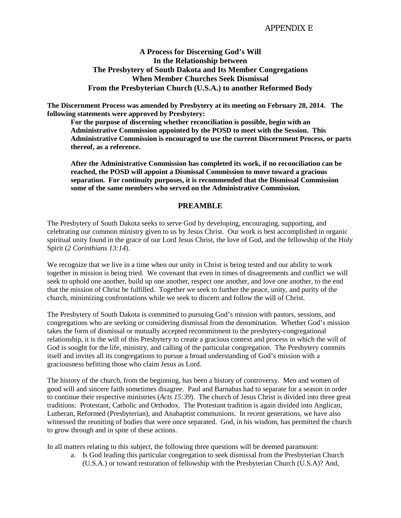# **A Process for Discerning God's Will In the Relationship between The Presbytery of South Dakota and Its Member Congregations When Member Churches Seek Dismissal From the Presbyterian Church (U.S.A.) to another Reformed Body**

**The Discernment Process was amended by Presbytery at its meeting on February 28, 2014. The following statements were approved by Presbytery:**

**For the purpose of discerning whether reconciliation is possible, begin with an Administrative Commission appointed by the POSD to meet with the Session. This Administrative Commission is encouraged to use the current Discernment Process, or parts thereof, as a reference.**

**After the Administrative Commission has completed its work, if no reconciliation can be reached, the POSD will appoint a Dismissal Commission to move toward a gracious separation. For continuity purposes, it is recommended that the Dismissal Commission some of the same members who served on the Administrative Commission.**

# **PREAMBLE**

The Presbytery of South Dakota seeks to serve God by developing, encouraging, supporting, and celebrating our common ministry given to us by Jesus Christ. Our work is best accomplished in organic spiritual unity found in the grace of our Lord Jesus Christ, the love of God, and the fellowship of the Holy Spirit (*2 Corinthians 13:14*).

We recognize that we live in a time when our unity in Christ is being tested and our ability to work together in mission is being tried. We covenant that even in times of disagreements and conflict we will seek to uphold one another, build up one another, respect one another, and love one another, to the end that the mission of Christ be fulfilled. Together we seek to further the peace, unity, and purity of the church, minimizing confrontations while we seek to discern and follow the will of Christ.

The Presbytery of South Dakota is committed to pursuing God's mission with pastors, sessions, and congregations who are seeking or considering dismissal from the denomination. Whether God's mission takes the form of dismissal or mutually accepted recommitment to the presbytery-congregational relationship, it is the will of this Presbytery to create a gracious context and process in which the will of God is sought for the life, ministry, and calling of the particular congregation. The Presbytery commits itself and invites all its congregations to pursue a broad understanding of God's mission with a graciousness befitting those who claim Jesus as Lord.

The history of the church, from the beginning, has been a history of controversy. Men and women of good will and sincere faith sometimes disagree. Paul and Barnabas had to separate for a season in order to continue their respective ministries (*Acts 15:39*). The church of Jesus Christ is divided into three great traditions: Protestant, Catholic and Orthodox. The Protestant tradition is again divided into Anglican, Lutheran, Reformed (Presbyterian), and Anabaptist communions. In recent generations, we have also witnessed the reuniting of bodies that were once separated. God, in his wisdom, has permitted the church to grow through and in spite of these actions.

In all matters relating to this subject, the following three questions will be deemed paramount:

a. Is God leading this particular congregation to seek dismissal from the Presbyterian Church (U.S.A.) or toward restoration of fellowship with the Presbyterian Church (U.S.A)? And,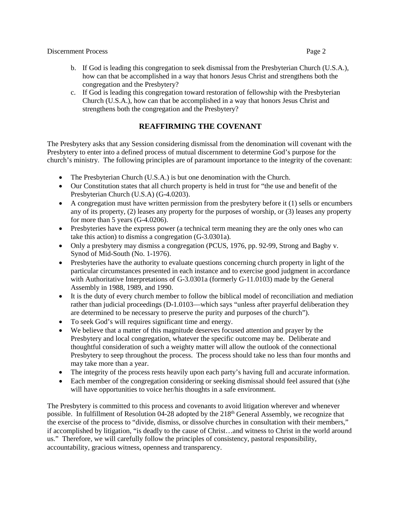- b. If God is leading this congregation to seek dismissal from the Presbyterian Church (U.S.A.), how can that be accomplished in a way that honors Jesus Christ and strengthens both the congregation and the Presbytery?
- c. If God is leading this congregation toward restoration of fellowship with the Presbyterian Church (U.S.A.), how can that be accomplished in a way that honors Jesus Christ and strengthens both the congregation and the Presbytery?

# **REAFFIRMING THE COVENANT**

The Presbytery asks that any Session considering dismissal from the denomination will covenant with the Presbytery to enter into a defined process of mutual discernment to determine God's purpose for the church's ministry. The following principles are of paramount importance to the integrity of the covenant:

- The Presbyterian Church (U.S.A.) is but one denomination with the Church.
- Our Constitution states that all church property is held in trust for "the use and benefit of the Presbyterian Church (U.S.A) (G-4.0203).
- $\bullet$  A congregation must have written permission from the presbytery before it (1) sells or encumbers any of its property, (2) leases any property for the purposes of worship, or (3) leases any property for more than 5 years (G-4.0206).
- Presbyteries have the express power (a technical term meaning they are the only ones who can take this action) to dismiss a congregation (G-3.0301a).
- Only a presbytery may dismiss a congregation (PCUS, 1976, pp. 92-99, Strong and Bagby v. Synod of Mid-South (No. 1-1976).
- Presbyteries have the authority to evaluate questions concerning church property in light of the particular circumstances presented in each instance and to exercise good judgment in accordance with Authoritative Interpretations of G-3.0301a (formerly G-11.0103) made by the General Assembly in 1988, 1989, and 1990.
- It is the duty of every church member to follow the biblical model of reconciliation and mediation rather than judicial proceedings (D-1.0103—which says "unless after prayerful deliberation they are determined to be necessary to preserve the purity and purposes of the church").
- To seek God's will requires significant time and energy.
- We believe that a matter of this magnitude deserves focused attention and prayer by the Presbytery and local congregation, whatever the specific outcome may be. Deliberate and thoughtful consideration of such a weighty matter will allow the outlook of the connectional Presbytery to seep throughout the process. The process should take no less than four months and may take more than a year.
- The integrity of the process rests heavily upon each party's having full and accurate information.
- Each member of the congregation considering or seeking dismissal should feel assured that (s)he will have opportunities to voice her/his thoughts in a safe environment.

The Presbytery is committed to this process and covenants to avoid litigation wherever and whenever possible. In fulfillment of Resolution 04-28 adopted by the 218<sup>th</sup> General Assembly, we recognize that the exercise of the process to "divide, dismiss, or dissolve churches in consultation with their members," if accomplished by litigation, "is deadly to the cause of Christ…and witness to Christ in the world around us." Therefore, we will carefully follow the principles of consistency, pastoral responsibility, accountability, gracious witness, openness and transparency.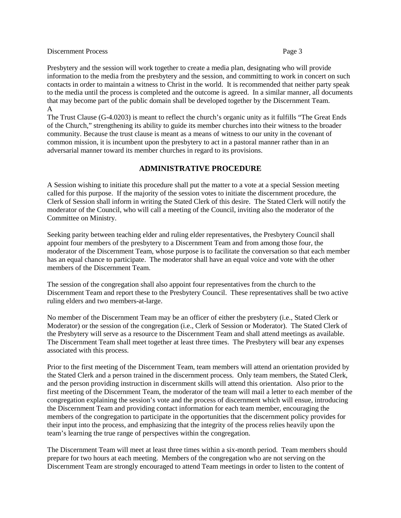Presbytery and the session will work together to create a media plan, designating who will provide information to the media from the presbytery and the session, and committing to work in concert on such contacts in order to maintain a witness to Christ in the world. It is recommended that neither party speak to the media until the process is completed and the outcome is agreed. In a similar manner, all documents that may become part of the public domain shall be developed together by the Discernment Team. A

The Trust Clause (G-4.0203) is meant to reflect the church's organic unity as it fulfills "The Great Ends of the Church," strengthening its ability to guide its member churches into their witness to the broader community. Because the trust clause is meant as a means of witness to our unity in the covenant of common mission, it is incumbent upon the presbytery to act in a pastoral manner rather than in an adversarial manner toward its member churches in regard to its provisions.

# **ADMINISTRATIVE PROCEDURE**

A Session wishing to initiate this procedure shall put the matter to a vote at a special Session meeting called for this purpose. If the majority of the session votes to initiate the discernment procedure, the Clerk of Session shall inform in writing the Stated Clerk of this desire. The Stated Clerk will notify the moderator of the Council, who will call a meeting of the Council, inviting also the moderator of the Committee on Ministry.

Seeking parity between teaching elder and ruling elder representatives, the Presbytery Council shall appoint four members of the presbytery to a Discernment Team and from among those four, the moderator of the Discernment Team, whose purpose is to facilitate the conversation so that each member has an equal chance to participate. The moderator shall have an equal voice and vote with the other members of the Discernment Team.

The session of the congregation shall also appoint four representatives from the church to the Discernment Team and report these to the Presbytery Council. These representatives shall be two active ruling elders and two members-at-large.

No member of the Discernment Team may be an officer of either the presbytery (i.e., Stated Clerk or Moderator) or the session of the congregation (i.e., Clerk of Session or Moderator). The Stated Clerk of the Presbytery will serve as a resource to the Discernment Team and shall attend meetings as available. The Discernment Team shall meet together at least three times. The Presbytery will bear any expenses associated with this process.

Prior to the first meeting of the Discernment Team, team members will attend an orientation provided by the Stated Clerk and a person trained in the discernment process. Only team members, the Stated Clerk, and the person providing instruction in discernment skills will attend this orientation. Also prior to the first meeting of the Discernment Team, the moderator of the team will mail a letter to each member of the congregation explaining the session's vote and the process of discernment which will ensue, introducing the Discernment Team and providing contact information for each team member, encouraging the members of the congregation to participate in the opportunities that the discernment policy provides for their input into the process, and emphasizing that the integrity of the process relies heavily upon the team's learning the true range of perspectives within the congregation.

The Discernment Team will meet at least three times within a six-month period. Team members should prepare for two hours at each meeting. Members of the congregation who are not serving on the Discernment Team are strongly encouraged to attend Team meetings in order to listen to the content of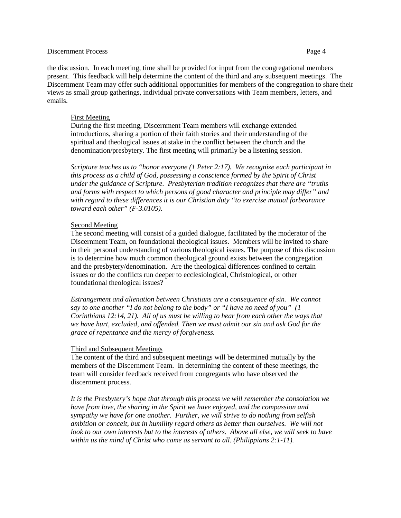the discussion. In each meeting, time shall be provided for input from the congregational members present. This feedback will help determine the content of the third and any subsequent meetings. The Discernment Team may offer such additional opportunities for members of the congregation to share their views as small group gatherings, individual private conversations with Team members, letters, and emails.

### First Meeting

During the first meeting, Discernment Team members will exchange extended introductions, sharing a portion of their faith stories and their understanding of the spiritual and theological issues at stake in the conflict between the church and the denomination/presbytery. The first meeting will primarily be a listening session.

*Scripture teaches us to "honor everyone (1 Peter 2:17). We recognize each participant in this process as a child of God, possessing a conscience formed by the Spirit of Christ under the guidance of Scripture. Presbyterian tradition recognizes that there are "truths and forms with respect to which persons of good character and principle may differ" and with regard to these differences it is our Christian duty "to exercise mutual forbearance toward each other" (F-3.0105).*

### Second Meeting

The second meeting will consist of a guided dialogue, facilitated by the moderator of the Discernment Team, on foundational theological issues. Members will be invited to share in their personal understanding of various theological issues. The purpose of this discussion is to determine how much common theological ground exists between the congregation and the presbytery/denomination. Are the theological differences confined to certain issues or do the conflicts run deeper to ecclesiological, Christological, or other foundational theological issues?

*Estrangement and alienation between Christians are a consequence of sin. We cannot say to one another "I do not belong to the body" or "I have no need of you" (1 Corinthians 12:14, 21). All of us must be willing to hear from each other the ways that we have hurt, excluded, and offended. Then we must admit our sin and ask God for the grace of repentance and the mercy of forgiveness.*

## Third and Subsequent Meetings

The content of the third and subsequent meetings will be determined mutually by the members of the Discernment Team. In determining the content of these meetings, the team will consider feedback received from congregants who have observed the discernment process.

*It is the Presbytery's hope that through this process we will remember the consolation we have from love, the sharing in the Spirit we have enjoyed, and the compassion and sympathy we have for one another. Further, we will strive to do nothing from selfish ambition or conceit, but in humility regard others as better than ourselves. We will not look to our own interests but to the interests of others. Above all else, we will seek to have within us the mind of Christ who came as servant to all. (Philippians 2:1-11).*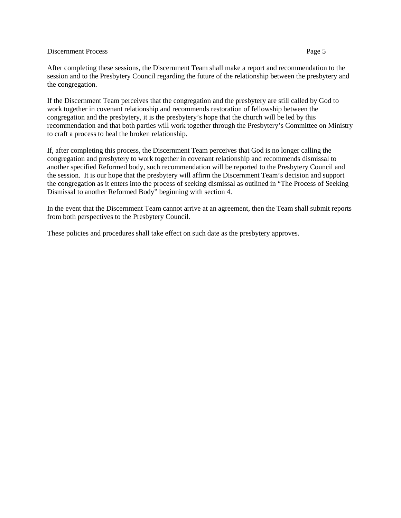After completing these sessions, the Discernment Team shall make a report and recommendation to the session and to the Presbytery Council regarding the future of the relationship between the presbytery and the congregation.

If the Discernment Team perceives that the congregation and the presbytery are still called by God to work together in covenant relationship and recommends restoration of fellowship between the congregation and the presbytery, it is the presbytery's hope that the church will be led by this recommendation and that both parties will work together through the Presbytery's Committee on Ministry to craft a process to heal the broken relationship.

If, after completing this process, the Discernment Team perceives that God is no longer calling the congregation and presbytery to work together in covenant relationship and recommends dismissal to another specified Reformed body, such recommendation will be reported to the Presbytery Council and the session. It is our hope that the presbytery will affirm the Discernment Team's decision and support the congregation as it enters into the process of seeking dismissal as outlined in "The Process of Seeking Dismissal to another Reformed Body" beginning with section 4.

In the event that the Discernment Team cannot arrive at an agreement, then the Team shall submit reports from both perspectives to the Presbytery Council.

These policies and procedures shall take effect on such date as the presbytery approves.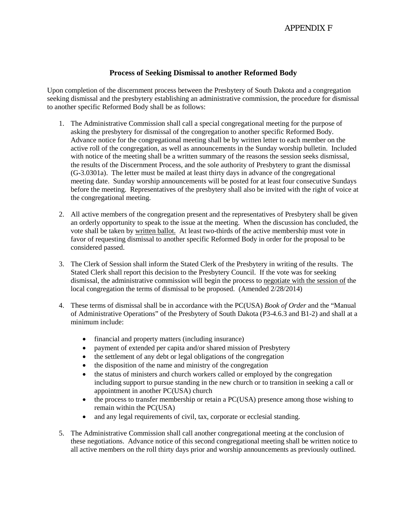# **Process of Seeking Dismissal to another Reformed Body**

Upon completion of the discernment process between the Presbytery of South Dakota and a congregation seeking dismissal and the presbytery establishing an administrative commission, the procedure for dismissal to another specific Reformed Body shall be as follows:

- 1. The Administrative Commission shall call a special congregational meeting for the purpose of asking the presbytery for dismissal of the congregation to another specific Reformed Body. Advance notice for the congregational meeting shall be by written letter to each member on the active roll of the congregation, as well as announcements in the Sunday worship bulletin. Included with notice of the meeting shall be a written summary of the reasons the session seeks dismissal, the results of the Discernment Process, and the sole authority of Presbytery to grant the dismissal (G-3.0301a). The letter must be mailed at least thirty days in advance of the congregational meeting date. Sunday worship announcements will be posted for at least four consecutive Sundays before the meeting. Representatives of the presbytery shall also be invited with the right of voice at the congregational meeting.
- 2. All active members of the congregation present and the representatives of Presbytery shall be given an orderly opportunity to speak to the issue at the meeting. When the discussion has concluded, the vote shall be taken by written ballot. At least two-thirds of the active membership must vote in favor of requesting dismissal to another specific Reformed Body in order for the proposal to be considered passed.
- 3. The Clerk of Session shall inform the Stated Clerk of the Presbytery in writing of the results. The Stated Clerk shall report this decision to the Presbytery Council. If the vote was for seeking dismissal, the administrative commission will begin the process to negotiate with the session of the local congregation the terms of dismissal to be proposed. (Amended 2/28/2014)
- 4. These terms of dismissal shall be in accordance with the PC(USA) *Book of Order* and the "Manual of Administrative Operations" of the Presbytery of South Dakota (P3-4.6.3 and B1-2) and shall at a minimum include:
	- financial and property matters (including insurance)
	- payment of extended per capita and/or shared mission of Presbytery
	- the settlement of any debt or legal obligations of the congregation
	- the disposition of the name and ministry of the congregation
	- the status of ministers and church workers called or employed by the congregation including support to pursue standing in the new church or to transition in seeking a call or appointment in another PC(USA) church
	- the process to transfer membership or retain a PC(USA) presence among those wishing to remain within the PC(USA)
	- and any legal requirements of civil, tax, corporate or ecclesial standing.
- 5. The Administrative Commission shall call another congregational meeting at the conclusion of these negotiations. Advance notice of this second congregational meeting shall be written notice to all active members on the roll thirty days prior and worship announcements as previously outlined.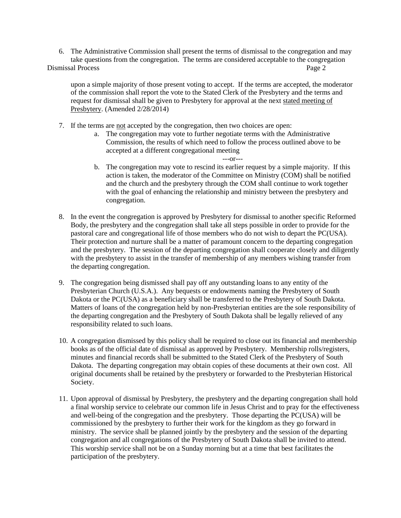6. The Administrative Commission shall present the terms of dismissal to the congregation and may take questions from the congregation. The terms are considered acceptable to the congregation Dismissal Process **Page 2 Page 2** 

upon a simple majority of those present voting to accept. If the terms are accepted, the moderator of the commission shall report the vote to the Stated Clerk of the Presbytery and the terms and request for dismissal shall be given to Presbytery for approval at the next stated meeting of Presbytery. (Amended 2/28/2014)

- 7. If the terms are not accepted by the congregation, then two choices are open:
	- a. The congregation may vote to further negotiate terms with the Administrative Commission, the results of which need to follow the process outlined above to be accepted at a different congregational meeting
	- ---or-- b. The congregation may vote to rescind its earlier request by a simple majority. If this action is taken, the moderator of the Committee on Ministry (COM) shall be notified and the church and the presbytery through the COM shall continue to work together with the goal of enhancing the relationship and ministry between the presbytery and congregation.
- 8. In the event the congregation is approved by Presbytery for dismissal to another specific Reformed Body, the presbytery and the congregation shall take all steps possible in order to provide for the pastoral care and congregational life of those members who do not wish to depart the PC(USA). Their protection and nurture shall be a matter of paramount concern to the departing congregation and the presbytery. The session of the departing congregation shall cooperate closely and diligently with the presbytery to assist in the transfer of membership of any members wishing transfer from the departing congregation.
- 9. The congregation being dismissed shall pay off any outstanding loans to any entity of the Presbyterian Church (U.S.A.). Any bequests or endowments naming the Presbytery of South Dakota or the PC(USA) as a beneficiary shall be transferred to the Presbytery of South Dakota. Matters of loans of the congregation held by non-Presbyterian entities are the sole responsibility of the departing congregation and the Presbytery of South Dakota shall be legally relieved of any responsibility related to such loans.
- 10. A congregation dismissed by this policy shall be required to close out its financial and membership books as of the official date of dismissal as approved by Presbytery. Membership rolls/registers, minutes and financial records shall be submitted to the Stated Clerk of the Presbytery of South Dakota. The departing congregation may obtain copies of these documents at their own cost. All original documents shall be retained by the presbytery or forwarded to the Presbyterian Historical Society.
- 11. Upon approval of dismissal by Presbytery, the presbytery and the departing congregation shall hold a final worship service to celebrate our common life in Jesus Christ and to pray for the effectiveness and well-being of the congregation and the presbytery. Those departing the PC(USA) will be commissioned by the presbytery to further their work for the kingdom as they go forward in ministry. The service shall be planned jointly by the presbytery and the session of the departing congregation and all congregations of the Presbytery of South Dakota shall be invited to attend. This worship service shall not be on a Sunday morning but at a time that best facilitates the participation of the presbytery.